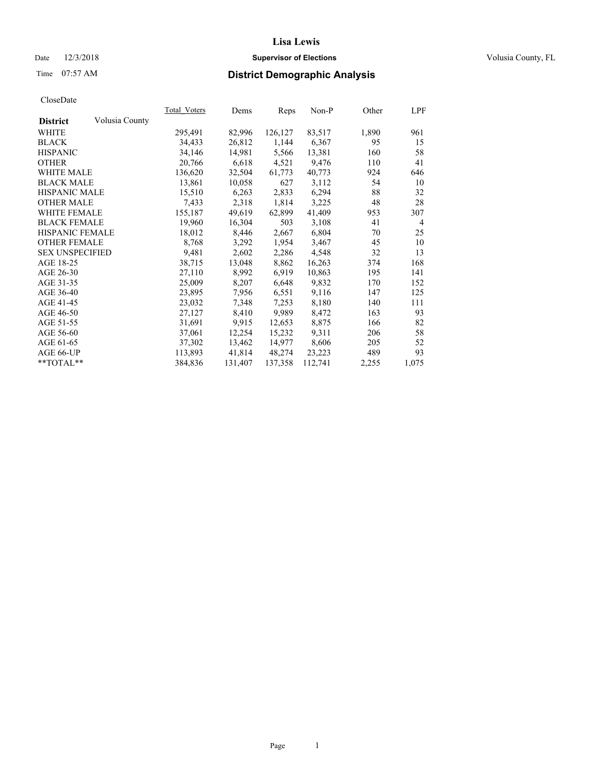#### Date  $12/3/2018$  **Supervisor of Elections Supervisor of Elections** Volusia County, FL

# Time 07:57 AM **District Demographic Analysis**

|                        |                | Total Voters | Dems    | Reps    | Non-P   | Other | <u>LPF</u>     |
|------------------------|----------------|--------------|---------|---------|---------|-------|----------------|
| <b>District</b>        | Volusia County |              |         |         |         |       |                |
| WHITE                  |                | 295,491      | 82,996  | 126,127 | 83,517  | 1,890 | 961            |
| <b>BLACK</b>           |                | 34,433       | 26,812  | 1,144   | 6,367   | 95    | 15             |
| <b>HISPANIC</b>        |                | 34,146       | 14,981  | 5,566   | 13,381  | 160   | 58             |
| <b>OTHER</b>           |                | 20,766       | 6,618   | 4,521   | 9,476   | 110   | 41             |
| WHITE MALE             |                | 136,620      | 32,504  | 61,773  | 40,773  | 924   | 646            |
| <b>BLACK MALE</b>      |                | 13,861       | 10,058  | 627     | 3,112   | 54    | 10             |
| <b>HISPANIC MALE</b>   |                | 15,510       | 6,263   | 2,833   | 6,294   | 88    | 32             |
| <b>OTHER MALE</b>      |                | 7,433        | 2,318   | 1,814   | 3,225   | 48    | 28             |
| WHITE FEMALE           |                | 155,187      | 49,619  | 62,899  | 41,409  | 953   | 307            |
| <b>BLACK FEMALE</b>    |                | 19,960       | 16,304  | 503     | 3,108   | 41    | $\overline{4}$ |
| HISPANIC FEMALE        |                | 18,012       | 8,446   | 2,667   | 6,804   | 70    | 25             |
| <b>OTHER FEMALE</b>    |                | 8,768        | 3,292   | 1,954   | 3,467   | 45    | 10             |
| <b>SEX UNSPECIFIED</b> |                | 9,481        | 2,602   | 2,286   | 4,548   | 32    | 13             |
| AGE 18-25              |                | 38,715       | 13,048  | 8,862   | 16,263  | 374   | 168            |
| AGE 26-30              |                | 27,110       | 8,992   | 6,919   | 10,863  | 195   | 141            |
| AGE 31-35              |                | 25,009       | 8,207   | 6,648   | 9,832   | 170   | 152            |
| AGE 36-40              |                | 23,895       | 7,956   | 6,551   | 9,116   | 147   | 125            |
| AGE 41-45              |                | 23,032       | 7,348   | 7,253   | 8,180   | 140   | 111            |
| AGE 46-50              |                | 27,127       | 8,410   | 9,989   | 8,472   | 163   | 93             |
| AGE 51-55              |                | 31,691       | 9,915   | 12,653  | 8,875   | 166   | 82             |
| AGE 56-60              |                | 37,061       | 12,254  | 15,232  | 9,311   | 206   | 58             |
| AGE 61-65              |                | 37,302       | 13,462  | 14,977  | 8,606   | 205   | 52             |
| AGE 66-UP              |                | 113,893      | 41,814  | 48,274  | 23,223  | 489   | 93             |
| $*$ $TOTAL**$          |                | 384,836      | 131,407 | 137,358 | 112,741 | 2,255 | 1,075          |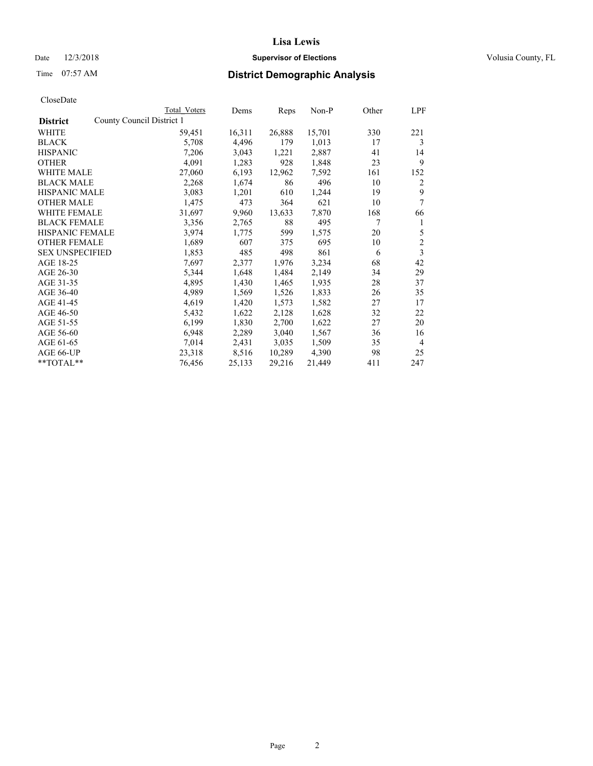## Date  $12/3/2018$  **Supervisor of Elections** Volusia County, FL

| CloseDate |
|-----------|
|-----------|

|                        | Total Voters              | Dems   | Reps   | Non-P  | Other | LPF            |
|------------------------|---------------------------|--------|--------|--------|-------|----------------|
| <b>District</b>        | County Council District 1 |        |        |        |       |                |
| WHITE                  | 59,451                    | 16,311 | 26,888 | 15,701 | 330   | 221            |
| <b>BLACK</b>           | 5,708                     | 4,496  | 179    | 1,013  | 17    | 3              |
| <b>HISPANIC</b>        | 7,206                     | 3,043  | 1,221  | 2,887  | 41    | 14             |
| <b>OTHER</b>           | 4,091                     | 1,283  | 928    | 1,848  | 23    | 9              |
| WHITE MALE             | 27,060                    | 6,193  | 12,962 | 7,592  | 161   | 152            |
| <b>BLACK MALE</b>      | 2,268                     | 1,674  | 86     | 496    | 10    | 2              |
| <b>HISPANIC MALE</b>   | 3,083                     | 1,201  | 610    | 1,244  | 19    | 9              |
| <b>OTHER MALE</b>      | 1,475                     | 473    | 364    | 621    | 10    | 7              |
| <b>WHITE FEMALE</b>    | 31,697                    | 9,960  | 13,633 | 7,870  | 168   | 66             |
| <b>BLACK FEMALE</b>    | 3,356                     | 2,765  | 88     | 495    | 7     | 1              |
| <b>HISPANIC FEMALE</b> | 3,974                     | 1,775  | 599    | 1,575  | 20    | 5              |
| <b>OTHER FEMALE</b>    | 1,689                     | 607    | 375    | 695    | 10    | $\overline{2}$ |
| <b>SEX UNSPECIFIED</b> | 1,853                     | 485    | 498    | 861    | 6     | 3              |
| AGE 18-25              | 7,697                     | 2,377  | 1,976  | 3,234  | 68    | 42             |
| AGE 26-30              | 5,344                     | 1,648  | 1,484  | 2,149  | 34    | 29             |
| AGE 31-35              | 4,895                     | 1,430  | 1,465  | 1,935  | 28    | 37             |
| AGE 36-40              | 4,989                     | 1,569  | 1,526  | 1,833  | 26    | 35             |
| AGE 41-45              | 4,619                     | 1,420  | 1,573  | 1,582  | 27    | 17             |
| AGE 46-50              | 5,432                     | 1,622  | 2,128  | 1,628  | 32    | 22             |
| AGE 51-55              | 6,199                     | 1,830  | 2,700  | 1,622  | 27    | 20             |
| AGE 56-60              | 6,948                     | 2,289  | 3,040  | 1,567  | 36    | 16             |
| AGE 61-65              | 7,014                     | 2,431  | 3,035  | 1,509  | 35    | $\overline{4}$ |
| AGE 66-UP              | 23,318                    | 8,516  | 10,289 | 4,390  | 98    | 25             |
| **TOTAL**              | 76,456                    | 25,133 | 29,216 | 21,449 | 411   | 247            |
|                        |                           |        |        |        |       |                |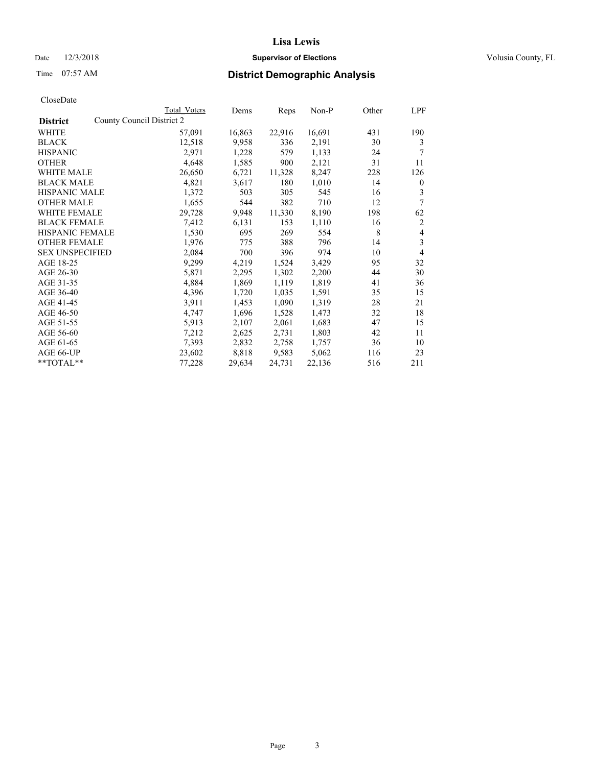## Date  $12/3/2018$  **Supervisor of Elections** Volusia County, FL

| CloseDate |
|-----------|
|-----------|

|                                              | Total Voters | Dems   | Reps   | Non-P  | Other | LPF            |
|----------------------------------------------|--------------|--------|--------|--------|-------|----------------|
| County Council District 2<br><b>District</b> |              |        |        |        |       |                |
| WHITE                                        | 57,091       | 16,863 | 22,916 | 16,691 | 431   | 190            |
| <b>BLACK</b>                                 | 12,518       | 9,958  | 336    | 2,191  | 30    | 3              |
| <b>HISPANIC</b>                              | 2,971        | 1,228  | 579    | 1,133  | 24    | 7              |
| <b>OTHER</b>                                 | 4,648        | 1,585  | 900    | 2,121  | 31    | 11             |
| WHITE MALE                                   | 26,650       | 6,721  | 11,328 | 8,247  | 228   | 126            |
| <b>BLACK MALE</b>                            | 4,821        | 3,617  | 180    | 1,010  | 14    | $\mathbf{0}$   |
| <b>HISPANIC MALE</b>                         | 1,372        | 503    | 305    | 545    | 16    | 3              |
| <b>OTHER MALE</b>                            | 1,655        | 544    | 382    | 710    | 12    | 7              |
| WHITE FEMALE                                 | 29,728       | 9,948  | 11,330 | 8,190  | 198   | 62             |
| <b>BLACK FEMALE</b>                          | 7,412        | 6,131  | 153    | 1,110  | 16    | $\overline{2}$ |
| <b>HISPANIC FEMALE</b>                       | 1,530        | 695    | 269    | 554    | 8     | 4              |
| <b>OTHER FEMALE</b>                          | 1,976        | 775    | 388    | 796    | 14    | 3              |
| <b>SEX UNSPECIFIED</b>                       | 2,084        | 700    | 396    | 974    | 10    | $\overline{4}$ |
| AGE 18-25                                    | 9,299        | 4,219  | 1,524  | 3,429  | 95    | 32             |
| AGE 26-30                                    | 5,871        | 2,295  | 1,302  | 2,200  | 44    | 30             |
| AGE 31-35                                    | 4,884        | 1,869  | 1,119  | 1,819  | 41    | 36             |
| AGE 36-40                                    | 4,396        | 1,720  | 1,035  | 1,591  | 35    | 15             |
| AGE 41-45                                    | 3,911        | 1,453  | 1,090  | 1,319  | 28    | 21             |
| AGE 46-50                                    | 4,747        | 1,696  | 1,528  | 1,473  | 32    | 18             |
| AGE 51-55                                    | 5,913        | 2,107  | 2,061  | 1,683  | 47    | 15             |
| AGE 56-60                                    | 7,212        | 2,625  | 2,731  | 1,803  | 42    | 11             |
| AGE 61-65                                    | 7,393        | 2,832  | 2,758  | 1,757  | 36    | 10             |
| AGE 66-UP                                    | 23,602       | 8,818  | 9,583  | 5,062  | 116   | 23             |
| $*$ $TOTAL**$                                | 77,228       | 29,634 | 24,731 | 22,136 | 516   | 211            |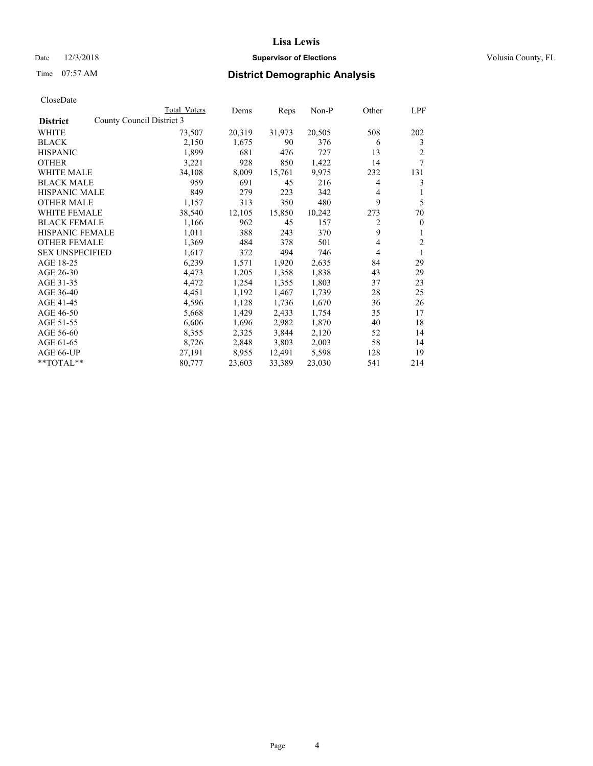## Date  $12/3/2018$  **Supervisor of Elections** Volusia County, FL

# Time 07:57 AM **District Demographic Analysis**

|                        | Total Voters              | Dems   | Reps   | Non-P  | Other | LPF          |
|------------------------|---------------------------|--------|--------|--------|-------|--------------|
| <b>District</b>        | County Council District 3 |        |        |        |       |              |
| WHITE                  | 73,507                    | 20,319 | 31,973 | 20,505 | 508   | 202          |
| <b>BLACK</b>           | 2,150                     | 1,675  | 90     | 376    | 6     | 3            |
| <b>HISPANIC</b>        | 1,899                     | 681    | 476    | 727    | 13    | 2            |
| <b>OTHER</b>           | 3,221                     | 928    | 850    | 1,422  | 14    | 7            |
| WHITE MALE             | 34,108                    | 8,009  | 15,761 | 9,975  | 232   | 131          |
| <b>BLACK MALE</b>      | 959                       | 691    | 45     | 216    | 4     | 3            |
| <b>HISPANIC MALE</b>   | 849                       | 279    | 223    | 342    | 4     | 1            |
| <b>OTHER MALE</b>      | 1,157                     | 313    | 350    | 480    | 9     | 5            |
| WHITE FEMALE           | 38,540                    | 12,105 | 15,850 | 10,242 | 273   | 70           |
| <b>BLACK FEMALE</b>    | 1,166                     | 962    | 45     | 157    | 2     | $\mathbf{0}$ |
| <b>HISPANIC FEMALE</b> | 1,011                     | 388    | 243    | 370    | 9     | 1            |
| <b>OTHER FEMALE</b>    | 1,369                     | 484    | 378    | 501    | 4     | 2            |
| <b>SEX UNSPECIFIED</b> | 1,617                     | 372    | 494    | 746    | 4     | 1            |
| AGE 18-25              | 6,239                     | 1,571  | 1,920  | 2,635  | 84    | 29           |
| AGE 26-30              | 4,473                     | 1,205  | 1,358  | 1,838  | 43    | 29           |
| AGE 31-35              | 4,472                     | 1,254  | 1,355  | 1,803  | 37    | 23           |
| AGE 36-40              | 4,451                     | 1,192  | 1,467  | 1,739  | 28    | 25           |
| AGE 41-45              | 4,596                     | 1,128  | 1,736  | 1,670  | 36    | 26           |
| AGE 46-50              | 5,668                     | 1,429  | 2,433  | 1,754  | 35    | 17           |
| AGE 51-55              | 6,606                     | 1,696  | 2,982  | 1,870  | 40    | 18           |
| AGE 56-60              | 8,355                     | 2,325  | 3,844  | 2,120  | 52    | 14           |
| AGE 61-65              | 8,726                     | 2,848  | 3,803  | 2,003  | 58    | 14           |
| AGE 66-UP              | 27,191                    | 8,955  | 12,491 | 5,598  | 128   | 19           |
| $*$ $TOTAL**$          | 80,777                    | 23,603 | 33,389 | 23,030 | 541   | 214          |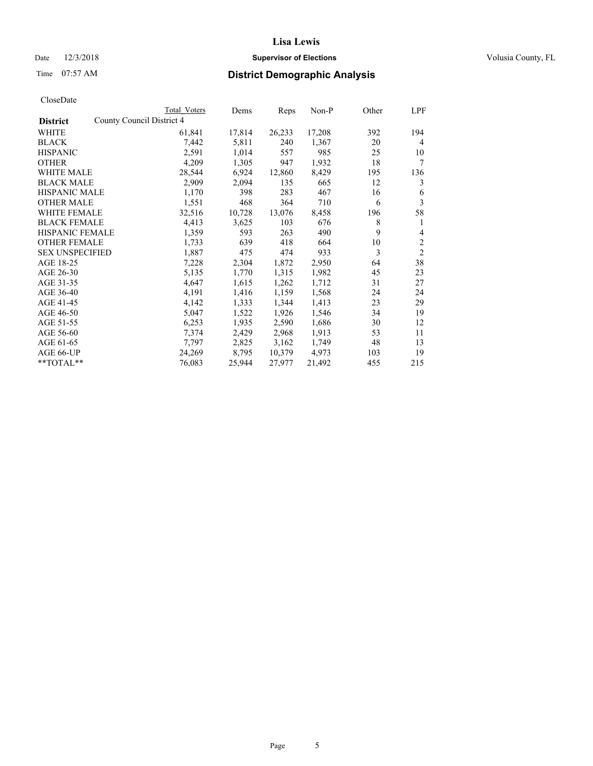## Date  $12/3/2018$  **Supervisor of Elections** Volusia County, FL

|                                              | Total Voters | Dems   | Reps   | Non-P  | Other | LPF            |
|----------------------------------------------|--------------|--------|--------|--------|-------|----------------|
| County Council District 4<br><b>District</b> |              |        |        |        |       |                |
| WHITE                                        | 61,841       | 17,814 | 26,233 | 17,208 | 392   | 194            |
| <b>BLACK</b>                                 | 7,442        | 5,811  | 240    | 1,367  | 20    | 4              |
| <b>HISPANIC</b>                              | 2,591        | 1,014  | 557    | 985    | 25    | 10             |
| <b>OTHER</b>                                 | 4,209        | 1,305  | 947    | 1,932  | 18    | 7              |
| <b>WHITE MALE</b>                            | 28,544       | 6,924  | 12,860 | 8,429  | 195   | 136            |
| <b>BLACK MALE</b>                            | 2,909        | 2,094  | 135    | 665    | 12    | 3              |
| <b>HISPANIC MALE</b>                         | 1,170        | 398    | 283    | 467    | 16    | 6              |
| <b>OTHER MALE</b>                            | 1,551        | 468    | 364    | 710    | 6     | 3              |
| <b>WHITE FEMALE</b>                          | 32,516       | 10,728 | 13,076 | 8,458  | 196   | 58             |
| <b>BLACK FEMALE</b>                          | 4,413        | 3,625  | 103    | 676    | 8     | 1              |
| <b>HISPANIC FEMALE</b>                       | 1,359        | 593    | 263    | 490    | 9     | 4              |
| <b>OTHER FEMALE</b>                          | 1,733        | 639    | 418    | 664    | 10    | $\overline{c}$ |
| <b>SEX UNSPECIFIED</b>                       | 1,887        | 475    | 474    | 933    | 3     | $\overline{2}$ |
| AGE 18-25                                    | 7,228        | 2,304  | 1,872  | 2,950  | 64    | 38             |
| AGE 26-30                                    | 5,135        | 1,770  | 1,315  | 1,982  | 45    | 23             |
| AGE 31-35                                    | 4,647        | 1,615  | 1,262  | 1,712  | 31    | 27             |
| AGE 36-40                                    | 4,191        | 1,416  | 1,159  | 1,568  | 24    | 24             |
| AGE 41-45                                    | 4,142        | 1,333  | 1,344  | 1,413  | 23    | 29             |
| AGE 46-50                                    | 5,047        | 1,522  | 1,926  | 1,546  | 34    | 19             |
| AGE 51-55                                    | 6,253        | 1,935  | 2,590  | 1,686  | 30    | 12             |
| AGE 56-60                                    | 7,374        | 2,429  | 2,968  | 1,913  | 53    | 11             |
| AGE 61-65                                    | 7,797        | 2,825  | 3,162  | 1,749  | 48    | 13             |
| AGE 66-UP                                    | 24,269       | 8,795  | 10,379 | 4.973  | 103   | 19             |
| **TOTAL**                                    | 76,083       | 25,944 | 27,977 | 21,492 | 455   | 215            |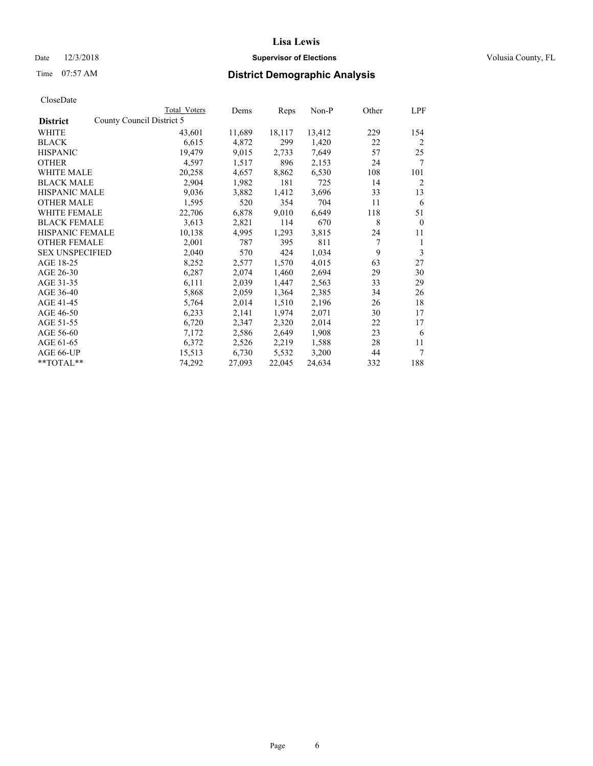## Date  $12/3/2018$  **Supervisor of Elections** Volusia County, FL

|                                              | Total Voters | Dems   | Reps   | Non-P  | Other | LPF          |
|----------------------------------------------|--------------|--------|--------|--------|-------|--------------|
| County Council District 5<br><b>District</b> |              |        |        |        |       |              |
| WHITE                                        | 43,601       | 11,689 | 18,117 | 13,412 | 229   | 154          |
| <b>BLACK</b>                                 | 6,615        | 4,872  | 299    | 1,420  | 22    | 2            |
| <b>HISPANIC</b>                              | 19,479       | 9,015  | 2,733  | 7,649  | 57    | 25           |
| <b>OTHER</b>                                 | 4,597        | 1,517  | 896    | 2,153  | 24    | 7            |
| <b>WHITE MALE</b>                            | 20,258       | 4,657  | 8,862  | 6,530  | 108   | 101          |
| <b>BLACK MALE</b>                            | 2,904        | 1,982  | 181    | 725    | 14    | 2            |
| <b>HISPANIC MALE</b>                         | 9,036        | 3,882  | 1,412  | 3,696  | 33    | 13           |
| <b>OTHER MALE</b>                            | 1,595        | 520    | 354    | 704    | 11    | 6            |
| <b>WHITE FEMALE</b>                          | 22,706       | 6,878  | 9,010  | 6,649  | 118   | 51           |
| <b>BLACK FEMALE</b>                          | 3,613        | 2,821  | 114    | 670    | 8     | $\mathbf{0}$ |
| HISPANIC FEMALE                              | 10,138       | 4,995  | 1,293  | 3,815  | 24    | 11           |
| <b>OTHER FEMALE</b>                          | 2,001        | 787    | 395    | 811    | 7     | 1            |
| <b>SEX UNSPECIFIED</b>                       | 2,040        | 570    | 424    | 1,034  | 9     | 3            |
| AGE 18-25                                    | 8,252        | 2,577  | 1,570  | 4,015  | 63    | 27           |
| AGE 26-30                                    | 6,287        | 2,074  | 1,460  | 2,694  | 29    | 30           |
| AGE 31-35                                    | 6,111        | 2,039  | 1,447  | 2,563  | 33    | 29           |
| AGE 36-40                                    | 5,868        | 2,059  | 1,364  | 2,385  | 34    | 26           |
| AGE 41-45                                    | 5,764        | 2,014  | 1,510  | 2,196  | 26    | 18           |
| AGE 46-50                                    | 6,233        | 2,141  | 1,974  | 2,071  | 30    | 17           |
| AGE 51-55                                    | 6,720        | 2,347  | 2,320  | 2,014  | 22    | 17           |
| AGE 56-60                                    | 7,172        | 2,586  | 2,649  | 1,908  | 23    | 6            |
| AGE 61-65                                    | 6,372        | 2,526  | 2,219  | 1,588  | 28    | 11           |
| AGE 66-UP                                    | 15,513       | 6,730  | 5,532  | 3,200  | 44    | $\tau$       |
| **TOTAL**                                    | 74,292       | 27,093 | 22,045 | 24,634 | 332   | 188          |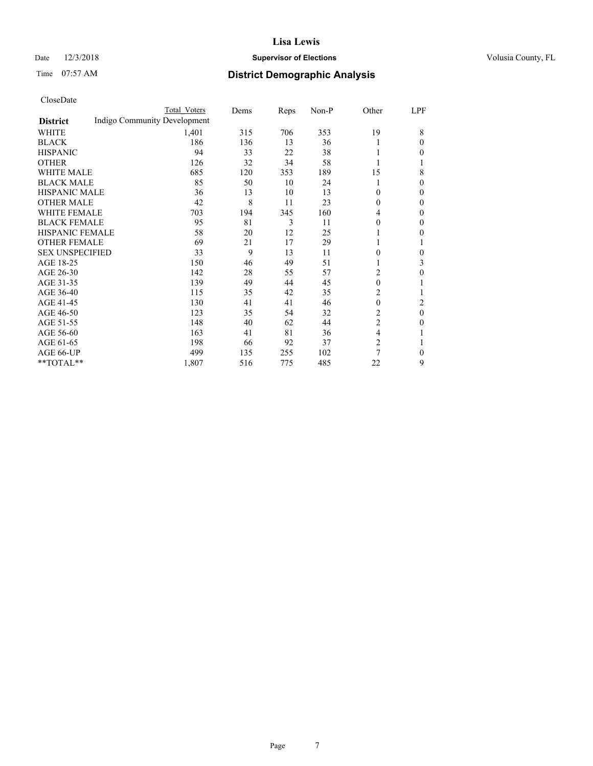## Date  $12/3/2018$  **Supervisor of Elections** Volusia County, FL

# Time 07:57 AM **District Demographic Analysis**

|                        |                              | Total Voters | Dems | Reps | Non-P | Other          | LPF          |
|------------------------|------------------------------|--------------|------|------|-------|----------------|--------------|
| <b>District</b>        | Indigo Community Development |              |      |      |       |                |              |
| WHITE                  |                              | 1,401        | 315  | 706  | 353   | 19             | 8            |
| <b>BLACK</b>           |                              | 186          | 136  | 13   | 36    |                | $\theta$     |
| <b>HISPANIC</b>        |                              | 94           | 33   | 22   | 38    |                | 0            |
| <b>OTHER</b>           |                              | 126          | 32   | 34   | 58    |                | 1            |
| <b>WHITE MALE</b>      |                              | 685          | 120  | 353  | 189   | 15             | 8            |
| <b>BLACK MALE</b>      |                              | 85           | 50   | 10   | 24    |                | $\mathbf{0}$ |
| <b>HISPANIC MALE</b>   |                              | 36           | 13   | 10   | 13    | 0              | $\mathbf{0}$ |
| <b>OTHER MALE</b>      |                              | 42           | 8    | 11   | 23    | $\mathbf{0}$   | $\mathbf{0}$ |
| <b>WHITE FEMALE</b>    |                              | 703          | 194  | 345  | 160   | 4              | 0            |
| <b>BLACK FEMALE</b>    |                              | 95           | 81   | 3    | 11    | 0              | 0            |
| <b>HISPANIC FEMALE</b> |                              | 58           | 20   | 12   | 25    |                | 0            |
| <b>OTHER FEMALE</b>    |                              | 69           | 21   | 17   | 29    |                | 1            |
| <b>SEX UNSPECIFIED</b> |                              | 33           | 9    | 13   | 11    | 0              | 0            |
| AGE 18-25              |                              | 150          | 46   | 49   | 51    |                | 3            |
| AGE 26-30              |                              | 142          | 28   | 55   | 57    | 2              | 0            |
| AGE 31-35              |                              | 139          | 49   | 44   | 45    | $\theta$       | 1            |
| AGE 36-40              |                              | 115          | 35   | 42   | 35    | 2              |              |
| AGE 41-45              |                              | 130          | 41   | 41   | 46    | 0              | 2            |
| AGE 46-50              |                              | 123          | 35   | 54   | 32    | 2              | $\theta$     |
| AGE 51-55              |                              | 148          | 40   | 62   | 44    | $\overline{2}$ | 0            |
| AGE 56-60              |                              | 163          | 41   | 81   | 36    | 4              |              |
| AGE 61-65              |                              | 198          | 66   | 92   | 37    | $\overline{c}$ | 1            |
| AGE 66-UP              |                              | 499          | 135  | 255  | 102   | $\overline{7}$ | $\mathbf{0}$ |
| **TOTAL**              |                              | 1,807        | 516  | 775  | 485   | 22             | 9            |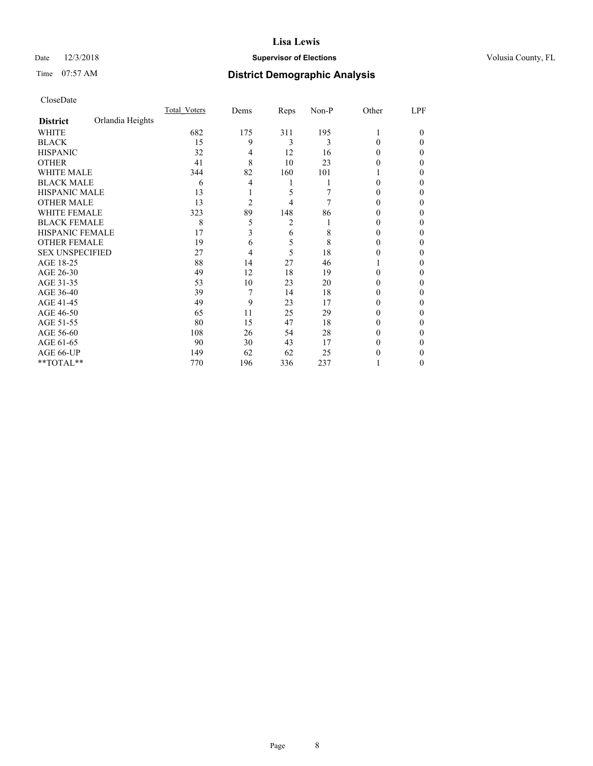## Date  $12/3/2018$  **Supervisor of Elections** Volusia County, FL

# Time 07:57 AM **District Demographic Analysis**

|                        |                  | Total Voters | Dems           | Reps | Non-P | Other | LPF    |
|------------------------|------------------|--------------|----------------|------|-------|-------|--------|
| <b>District</b>        | Orlandia Heights |              |                |      |       |       |        |
| WHITE                  |                  | 682          | 175            | 311  | 195   |       | $_{0}$ |
| <b>BLACK</b>           |                  | 15           | 9              | 3    | 3     | 0     | 0      |
| <b>HISPANIC</b>        |                  | 32           | 4              | 12   | 16    | 0     | 0      |
| <b>OTHER</b>           |                  | 41           | 8              | 10   | 23    | 0     | 0      |
| <b>WHITE MALE</b>      |                  | 344          | 82             | 160  | 101   |       | 0      |
| <b>BLACK MALE</b>      |                  | 6            | 4              | 1    |       | 0     | 0      |
| <b>HISPANIC MALE</b>   |                  | 13           |                | 5    |       |       | 0      |
| <b>OTHER MALE</b>      |                  | 13           | $\overline{2}$ | 4    | 7     | 0     | 0      |
| <b>WHITE FEMALE</b>    |                  | 323          | 89             | 148  | 86    |       | 0      |
| <b>BLACK FEMALE</b>    |                  | 8            | 5              | 2    |       | 0     | 0      |
| <b>HISPANIC FEMALE</b> |                  | 17           | 3              | 6    | 8     | 0     | 0      |
| <b>OTHER FEMALE</b>    |                  | 19           | 6              | 5    | 8     | 0     | 0      |
| <b>SEX UNSPECIFIED</b> |                  | 27           | 4              | 5    | 18    | 0     | 0      |
| AGE 18-25              |                  | 88           | 14             | 27   | 46    |       | 0      |
| AGE 26-30              |                  | 49           | 12             | 18   | 19    | 0     | 0      |
| AGE 31-35              |                  | 53           | 10             | 23   | 20    |       | 0      |
| AGE 36-40              |                  | 39           | 7              | 14   | 18    | 0     | 0      |
| AGE 41-45              |                  | 49           | 9              | 23   | 17    | 0     | 0      |
| AGE 46-50              |                  | 65           | 11             | 25   | 29    | 0     | 0      |
| AGE 51-55              |                  | 80           | 15             | 47   | 18    | 0     | 0      |
| AGE 56-60              |                  | 108          | 26             | 54   | 28    | 0     | 0      |
| AGE 61-65              |                  | 90           | 30             | 43   | 17    | 0     | 0      |
| AGE 66-UP              |                  | 149          | 62             | 62   | 25    |       | 0      |
| **TOTAL**              |                  | 770          | 196            | 336  | 237   |       | 0      |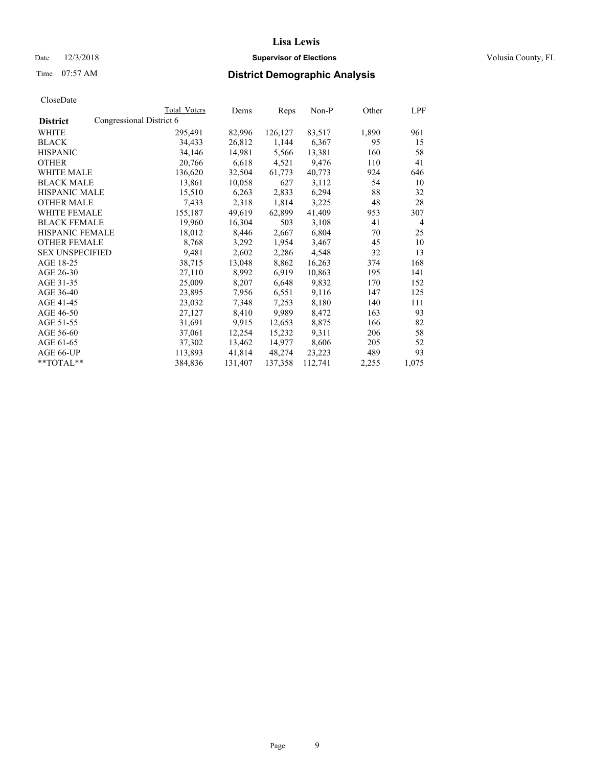Date  $12/3/2018$  **Supervisor of Elections** Volusia County, FL

# Time 07:57 AM **District Demographic Analysis**

|                        |                          | Total Voters | Dems    | Reps    | Non-P   | Other | LPF            |
|------------------------|--------------------------|--------------|---------|---------|---------|-------|----------------|
| <b>District</b>        | Congressional District 6 |              |         |         |         |       |                |
| WHITE                  |                          | 295,491      | 82,996  | 126,127 | 83,517  | 1,890 | 961            |
| <b>BLACK</b>           |                          | 34,433       | 26,812  | 1,144   | 6,367   | 95    | 15             |
| <b>HISPANIC</b>        |                          | 34,146       | 14,981  | 5,566   | 13,381  | 160   | 58             |
| <b>OTHER</b>           |                          | 20,766       | 6,618   | 4,521   | 9,476   | 110   | 41             |
| WHITE MALE             |                          | 136,620      | 32,504  | 61,773  | 40,773  | 924   | 646            |
| <b>BLACK MALE</b>      |                          | 13,861       | 10,058  | 627     | 3,112   | 54    | 10             |
| <b>HISPANIC MALE</b>   |                          | 15,510       | 6,263   | 2,833   | 6,294   | 88    | 32             |
| <b>OTHER MALE</b>      |                          | 7,433        | 2,318   | 1,814   | 3,225   | 48    | 28             |
| <b>WHITE FEMALE</b>    |                          | 155,187      | 49,619  | 62,899  | 41,409  | 953   | 307            |
| <b>BLACK FEMALE</b>    |                          | 19,960       | 16,304  | 503     | 3,108   | 41    | $\overline{4}$ |
| <b>HISPANIC FEMALE</b> |                          | 18,012       | 8,446   | 2,667   | 6,804   | 70    | 25             |
| <b>OTHER FEMALE</b>    |                          | 8,768        | 3,292   | 1,954   | 3,467   | 45    | 10             |
| <b>SEX UNSPECIFIED</b> |                          | 9,481        | 2,602   | 2,286   | 4,548   | 32    | 13             |
| AGE 18-25              |                          | 38,715       | 13,048  | 8,862   | 16,263  | 374   | 168            |
| AGE 26-30              |                          | 27,110       | 8,992   | 6,919   | 10,863  | 195   | 141            |
| AGE 31-35              |                          | 25,009       | 8,207   | 6,648   | 9,832   | 170   | 152            |
| AGE 36-40              |                          | 23,895       | 7,956   | 6,551   | 9,116   | 147   | 125            |
| AGE 41-45              |                          | 23,032       | 7,348   | 7,253   | 8,180   | 140   | 111            |
| AGE 46-50              |                          | 27,127       | 8,410   | 9,989   | 8,472   | 163   | 93             |
| AGE 51-55              |                          | 31,691       | 9,915   | 12,653  | 8,875   | 166   | 82             |
| AGE 56-60              |                          | 37,061       | 12,254  | 15,232  | 9,311   | 206   | 58             |
| AGE 61-65              |                          | 37,302       | 13,462  | 14,977  | 8,606   | 205   | 52             |
| AGE 66-UP              |                          | 113,893      | 41,814  | 48,274  | 23,223  | 489   | 93             |
| $*$ TOTAL $*$          |                          | 384,836      | 131,407 | 137,358 | 112,741 | 2,255 | 1,075          |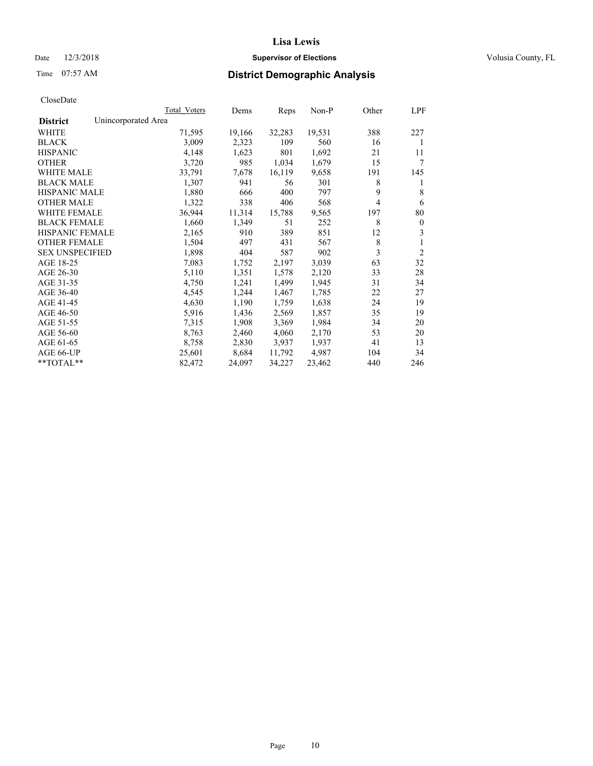## Date  $12/3/2018$  **Supervisor of Elections** Volusia County, FL

# Time 07:57 AM **District Demographic Analysis**

|                                        | Total Voters | Dems   | Reps   | Non-P  | Other | LPF            |
|----------------------------------------|--------------|--------|--------|--------|-------|----------------|
| Unincorporated Area<br><b>District</b> |              |        |        |        |       |                |
| WHITE                                  | 71,595       | 19,166 | 32,283 | 19,531 | 388   | 227            |
| <b>BLACK</b>                           | 3,009        | 2,323  | 109    | 560    | 16    | 1              |
| <b>HISPANIC</b>                        | 4,148        | 1,623  | 801    | 1,692  | 21    | 11             |
| <b>OTHER</b>                           | 3,720        | 985    | 1,034  | 1,679  | 15    | 7              |
| WHITE MALE                             | 33,791       | 7,678  | 16,119 | 9,658  | 191   | 145            |
| <b>BLACK MALE</b>                      | 1,307        | 941    | 56     | 301    | 8     | 1              |
| <b>HISPANIC MALE</b>                   | 1,880        | 666    | 400    | 797    | 9     | 8              |
| <b>OTHER MALE</b>                      | 1,322        | 338    | 406    | 568    | 4     | 6              |
| <b>WHITE FEMALE</b>                    | 36,944       | 11,314 | 15,788 | 9,565  | 197   | 80             |
| <b>BLACK FEMALE</b>                    | 1,660        | 1,349  | 51     | 252    | 8     | $\mathbf{0}$   |
| <b>HISPANIC FEMALE</b>                 | 2,165        | 910    | 389    | 851    | 12    | 3              |
| <b>OTHER FEMALE</b>                    | 1,504        | 497    | 431    | 567    | 8     | 1              |
| <b>SEX UNSPECIFIED</b>                 | 1,898        | 404    | 587    | 902    | 3     | $\overline{2}$ |
| AGE 18-25                              | 7,083        | 1,752  | 2,197  | 3,039  | 63    | 32             |
| AGE 26-30                              | 5,110        | 1,351  | 1,578  | 2,120  | 33    | 28             |
| AGE 31-35                              | 4,750        | 1,241  | 1,499  | 1,945  | 31    | 34             |
| AGE 36-40                              | 4,545        | 1,244  | 1,467  | 1,785  | 22    | 27             |
| AGE 41-45                              | 4,630        | 1,190  | 1,759  | 1,638  | 24    | 19             |
| AGE 46-50                              | 5,916        | 1,436  | 2,569  | 1,857  | 35    | 19             |
| AGE 51-55                              | 7,315        | 1,908  | 3,369  | 1,984  | 34    | 20             |
| AGE 56-60                              | 8,763        | 2,460  | 4,060  | 2,170  | 53    | 20             |
| AGE 61-65                              | 8,758        | 2,830  | 3,937  | 1,937  | 41    | 13             |
| AGE 66-UP                              | 25,601       | 8,684  | 11,792 | 4,987  | 104   | 34             |
| $*$ TOTAL $*$                          | 82,472       | 24,097 | 34,227 | 23,462 | 440   | 246            |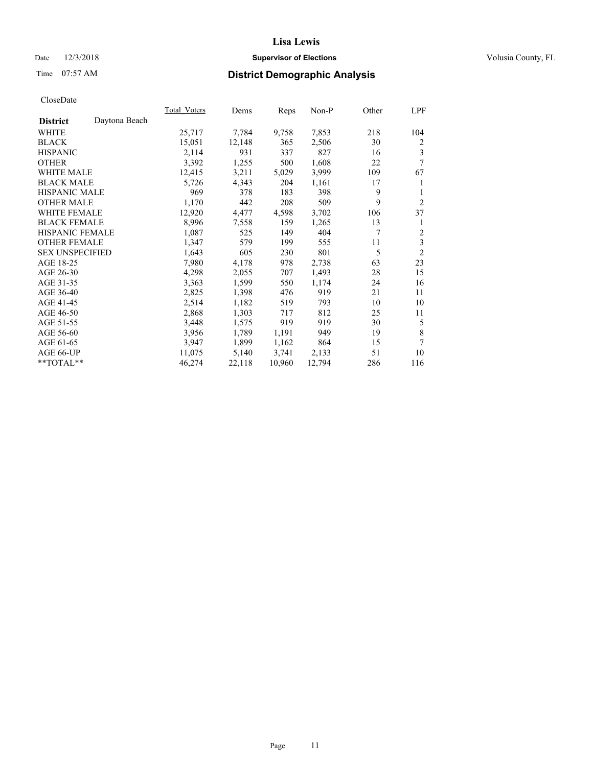## Date  $12/3/2018$  **Supervisor of Elections** Volusia County, FL

# Time 07:57 AM **District Demographic Analysis**

| Total Voters | Dems   |        | Non-P  | Other | LPF            |
|--------------|--------|--------|--------|-------|----------------|
|              |        |        |        |       |                |
| 25,717       | 7,784  | 9,758  | 7,853  | 218   | 104            |
| 15,051       | 12,148 | 365    | 2,506  | 30    | $\overline{2}$ |
| 2,114        | 931    | 337    | 827    | 16    | 3              |
| 3,392        | 1,255  | 500    | 1,608  | 22    | 7              |
| 12,415       | 3,211  | 5,029  | 3,999  | 109   | 67             |
| 5,726        | 4,343  | 204    | 1,161  | 17    | 1              |
| 969          | 378    | 183    | 398    | 9     | 1              |
| 1,170        | 442    | 208    | 509    | 9     | 2              |
| 12,920       | 4,477  | 4,598  | 3,702  | 106   | 37             |
| 8,996        | 7,558  | 159    | 1,265  | 13    | 1              |
| 1,087        | 525    | 149    | 404    | 7     | 2              |
| 1,347        | 579    | 199    | 555    | 11    | 3              |
| 1,643        | 605    | 230    | 801    | 5     | $\overline{2}$ |
| 7,980        | 4,178  | 978    | 2,738  | 63    | 23             |
| 4,298        | 2,055  | 707    | 1,493  | 28    | 15             |
| 3,363        | 1,599  | 550    | 1,174  | 24    | 16             |
| 2,825        | 1,398  | 476    | 919    | 21    | 11             |
| 2,514        | 1,182  | 519    | 793    | 10    | 10             |
| 2,868        | 1,303  | 717    | 812    | 25    | 11             |
| 3,448        | 1,575  | 919    | 919    | 30    | 5              |
| 3,956        | 1,789  | 1,191  | 949    | 19    | 8              |
| 3,947        | 1,899  | 1,162  | 864    | 15    | 7              |
| 11,075       | 5,140  | 3,741  | 2,133  | 51    | 10             |
| 46,274       | 22,118 | 10,960 | 12,794 | 286   | 116            |
|              |        |        | Reps   |       |                |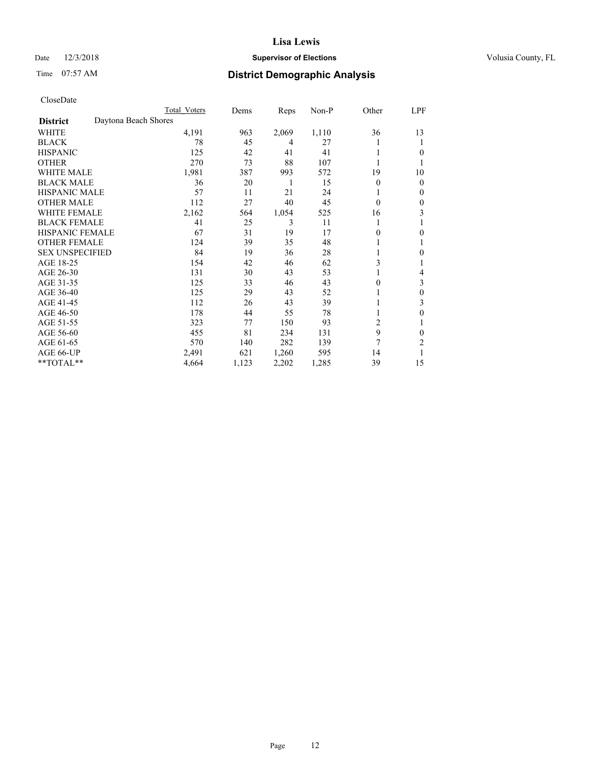## Date  $12/3/2018$  **Supervisor of Elections** Volusia County, FL

# Time 07:57 AM **District Demographic Analysis**

|                        |                      | Total Voters | Dems  | Reps  | Non-P | Other          | LPF          |
|------------------------|----------------------|--------------|-------|-------|-------|----------------|--------------|
| <b>District</b>        | Daytona Beach Shores |              |       |       |       |                |              |
| WHITE                  |                      | 4,191        | 963   | 2,069 | 1,110 | 36             | 13           |
| <b>BLACK</b>           |                      | 78           | 45    | 4     | 27    |                | 1            |
| <b>HISPANIC</b>        |                      | 125          | 42    | 41    | 41    |                | $\theta$     |
| <b>OTHER</b>           |                      | 270          | 73    | 88    | 107   |                |              |
| <b>WHITE MALE</b>      |                      | 1,981        | 387   | 993   | 572   | 19             | 10           |
| <b>BLACK MALE</b>      |                      | 36           | 20    | 1     | 15    | $\theta$       | $\mathbf{0}$ |
| <b>HISPANIC MALE</b>   |                      | 57           | 11    | 21    | 24    |                | $\mathbf{0}$ |
| <b>OTHER MALE</b>      |                      | 112          | 27    | 40    | 45    | $\theta$       | 0            |
| <b>WHITE FEMALE</b>    |                      | 2,162        | 564   | 1,054 | 525   | 16             | 3            |
| <b>BLACK FEMALE</b>    |                      | 41           | 25    | 3     | 11    |                |              |
| <b>HISPANIC FEMALE</b> |                      | 67           | 31    | 19    | 17    | 0              | $\theta$     |
| <b>OTHER FEMALE</b>    |                      | 124          | 39    | 35    | 48    |                | 1            |
| <b>SEX UNSPECIFIED</b> |                      | 84           | 19    | 36    | 28    |                | $\theta$     |
| AGE 18-25              |                      | 154          | 42    | 46    | 62    | 3              |              |
| AGE 26-30              |                      | 131          | 30    | 43    | 53    |                | 4            |
| AGE 31-35              |                      | 125          | 33    | 46    | 43    | 0              | 3            |
| AGE 36-40              |                      | 125          | 29    | 43    | 52    |                | $\theta$     |
| AGE 41-45              |                      | 112          | 26    | 43    | 39    |                | 3            |
| AGE 46-50              |                      | 178          | 44    | 55    | 78    |                | $\theta$     |
| AGE 51-55              |                      | 323          | 77    | 150   | 93    | $\overline{c}$ | 1            |
| AGE 56-60              |                      | 455          | 81    | 234   | 131   | 9              | $\theta$     |
| AGE 61-65              |                      | 570          | 140   | 282   | 139   | 7              | 2            |
| AGE 66-UP              |                      | 2,491        | 621   | 1,260 | 595   | 14             |              |
| **TOTAL**              |                      | 4,664        | 1,123 | 2,202 | 1,285 | 39             | 15           |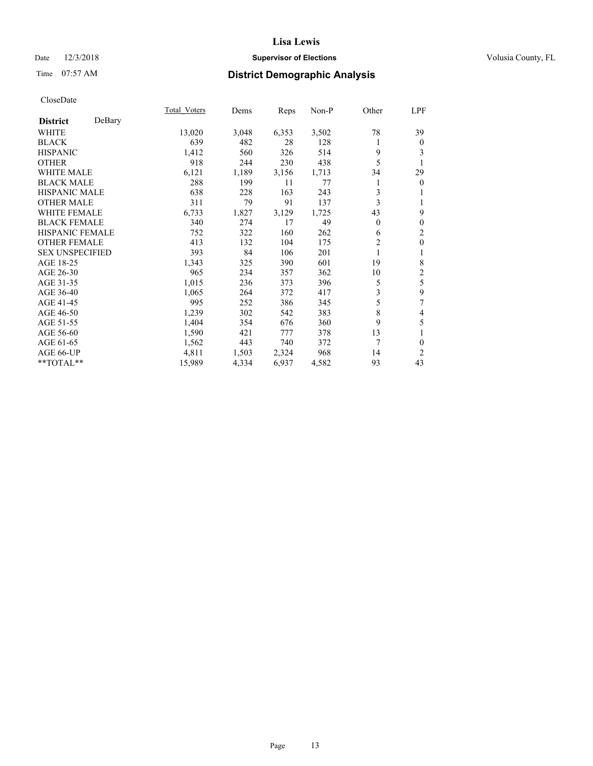## Date  $12/3/2018$  **Supervisor of Elections** Volusia County, FL

# Time 07:57 AM **District Demographic Analysis**

|                        |        | Total Voters | Dems  | Reps  | Non-P | Other          | LPF                     |
|------------------------|--------|--------------|-------|-------|-------|----------------|-------------------------|
| <b>District</b>        | DeBary |              |       |       |       |                |                         |
| WHITE                  |        | 13,020       | 3,048 | 6,353 | 3,502 | 78             | 39                      |
| <b>BLACK</b>           |        | 639          | 482   | 28    | 128   | 1              | $\mathbf{0}$            |
| <b>HISPANIC</b>        |        | 1,412        | 560   | 326   | 514   | 9              | 3                       |
| <b>OTHER</b>           |        | 918          | 244   | 230   | 438   | 5              |                         |
| <b>WHITE MALE</b>      |        | 6,121        | 1,189 | 3,156 | 1,713 | 34             | 29                      |
| <b>BLACK MALE</b>      |        | 288          | 199   | 11    | 77    |                | $\mathbf{0}$            |
| <b>HISPANIC MALE</b>   |        | 638          | 228   | 163   | 243   | 3              | 1                       |
| <b>OTHER MALE</b>      |        | 311          | 79    | 91    | 137   | 3              | 1                       |
| <b>WHITE FEMALE</b>    |        | 6,733        | 1,827 | 3,129 | 1,725 | 43             | 9                       |
| <b>BLACK FEMALE</b>    |        | 340          | 274   | 17    | 49    | $\overline{0}$ | $\mathbf{0}$            |
| <b>HISPANIC FEMALE</b> |        | 752          | 322   | 160   | 262   | 6              | $\overline{c}$          |
| <b>OTHER FEMALE</b>    |        | 413          | 132   | 104   | 175   | $\overline{2}$ | $\mathbf{0}$            |
| <b>SEX UNSPECIFIED</b> |        | 393          | 84    | 106   | 201   | 1              | 1                       |
| AGE 18-25              |        | 1,343        | 325   | 390   | 601   | 19             | 8                       |
| AGE 26-30              |        | 965          | 234   | 357   | 362   | 10             | $\overline{\mathbf{c}}$ |
| AGE 31-35              |        | 1,015        | 236   | 373   | 396   | 5              | 5                       |
| AGE 36-40              |        | 1,065        | 264   | 372   | 417   | 3              | 9                       |
| AGE 41-45              |        | 995          | 252   | 386   | 345   | 5              | 7                       |
| AGE 46-50              |        | 1,239        | 302   | 542   | 383   | 8              | 4                       |
| AGE 51-55              |        | 1,404        | 354   | 676   | 360   | 9              | 5                       |
| AGE 56-60              |        | 1,590        | 421   | 777   | 378   | 13             | 1                       |
| AGE 61-65              |        | 1,562        | 443   | 740   | 372   | 7              | $\theta$                |
| AGE 66-UP              |        | 4,811        | 1,503 | 2,324 | 968   | 14             | 2                       |
| **TOTAL**              |        | 15,989       | 4,334 | 6,937 | 4,582 | 93             | 43                      |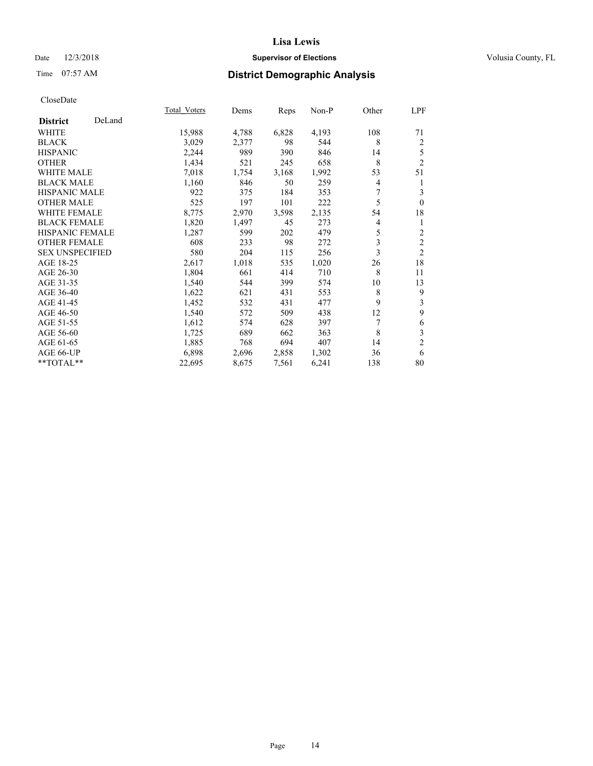## Date  $12/3/2018$  **Supervisor of Elections** Volusia County, FL

# Time 07:57 AM **District Demographic Analysis**

|                        |        | Total Voters | Dems  | Reps  | Non-P | Other | LPF            |
|------------------------|--------|--------------|-------|-------|-------|-------|----------------|
| <b>District</b>        | DeLand |              |       |       |       |       |                |
| WHITE                  |        | 15,988       | 4,788 | 6,828 | 4,193 | 108   | 71             |
| <b>BLACK</b>           |        | 3,029        | 2,377 | 98    | 544   | 8     | $\overline{2}$ |
| <b>HISPANIC</b>        |        | 2,244        | 989   | 390   | 846   | 14    | 5              |
| <b>OTHER</b>           |        | 1,434        | 521   | 245   | 658   | 8     | $\overline{2}$ |
| <b>WHITE MALE</b>      |        | 7,018        | 1,754 | 3,168 | 1,992 | 53    | 51             |
| <b>BLACK MALE</b>      |        | 1,160        | 846   | 50    | 259   | 4     | 1              |
| <b>HISPANIC MALE</b>   |        | 922          | 375   | 184   | 353   | 7     | 3              |
| <b>OTHER MALE</b>      |        | 525          | 197   | 101   | 222   | 5     | $\mathbf{0}$   |
| <b>WHITE FEMALE</b>    |        | 8,775        | 2,970 | 3,598 | 2,135 | 54    | 18             |
| <b>BLACK FEMALE</b>    |        | 1,820        | 1,497 | 45    | 273   | 4     | 1              |
| <b>HISPANIC FEMALE</b> |        | 1,287        | 599   | 202   | 479   | 5     | $\overline{2}$ |
| <b>OTHER FEMALE</b>    |        | 608          | 233   | 98    | 272   | 3     | $\mathfrak{2}$ |
| <b>SEX UNSPECIFIED</b> |        | 580          | 204   | 115   | 256   | 3     | $\overline{2}$ |
| AGE 18-25              |        | 2,617        | 1,018 | 535   | 1,020 | 26    | 18             |
| AGE 26-30              |        | 1,804        | 661   | 414   | 710   | 8     | 11             |
| AGE 31-35              |        | 1,540        | 544   | 399   | 574   | 10    | 13             |
| AGE 36-40              |        | 1,622        | 621   | 431   | 553   | 8     | 9              |
| AGE 41-45              |        | 1,452        | 532   | 431   | 477   | 9     | 3              |
| AGE 46-50              |        | 1,540        | 572   | 509   | 438   | 12    | 9              |
| AGE 51-55              |        | 1,612        | 574   | 628   | 397   | 7     | 6              |
| AGE 56-60              |        | 1,725        | 689   | 662   | 363   | 8     | $\mathfrak{Z}$ |
| AGE 61-65              |        | 1,885        | 768   | 694   | 407   | 14    | $\mathfrak{2}$ |
| AGE 66-UP              |        | 6,898        | 2,696 | 2,858 | 1,302 | 36    | 6              |
| **TOTAL**              |        | 22,695       | 8,675 | 7,561 | 6,241 | 138   | 80             |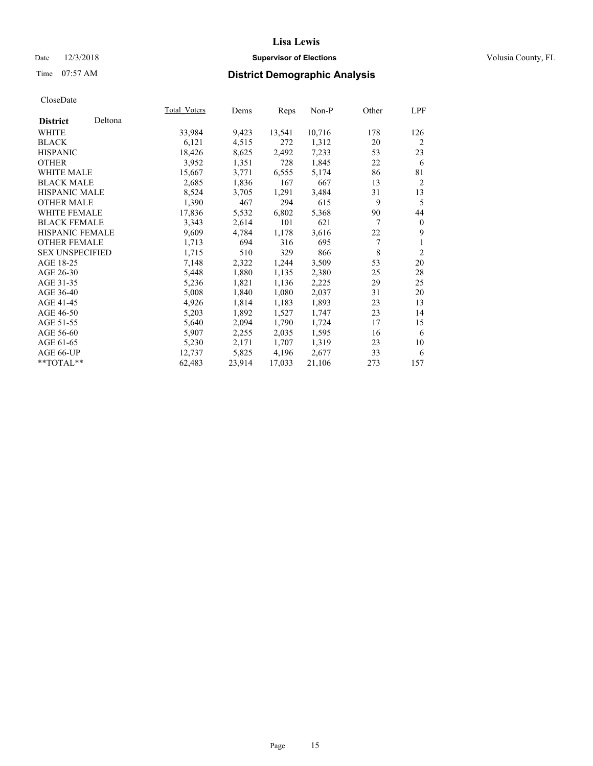## Date  $12/3/2018$  **Supervisor of Elections** Volusia County, FL

# Time 07:57 AM **District Demographic Analysis**

|                        |         | Total Voters | Dems   | Reps   | Non-P  | Other          | LPF            |
|------------------------|---------|--------------|--------|--------|--------|----------------|----------------|
| <b>District</b>        | Deltona |              |        |        |        |                |                |
| WHITE                  |         | 33,984       | 9,423  | 13,541 | 10,716 | 178            | 126            |
| <b>BLACK</b>           |         | 6,121        | 4,515  | 272    | 1,312  | 20             | 2              |
| <b>HISPANIC</b>        |         | 18,426       | 8,625  | 2,492  | 7,233  | 53             | 23             |
| <b>OTHER</b>           |         | 3,952        | 1,351  | 728    | 1,845  | 22             | 6              |
| WHITE MALE             |         | 15,667       | 3,771  | 6,555  | 5,174  | 86             | 81             |
| <b>BLACK MALE</b>      |         | 2,685        | 1,836  | 167    | 667    | 13             | $\overline{2}$ |
| <b>HISPANIC MALE</b>   |         | 8,524        | 3,705  | 1,291  | 3,484  | 31             | 13             |
| <b>OTHER MALE</b>      |         | 1,390        | 467    | 294    | 615    | 9              | 5              |
| <b>WHITE FEMALE</b>    |         | 17,836       | 5,532  | 6,802  | 5,368  | 90             | 44             |
| <b>BLACK FEMALE</b>    |         | 3,343        | 2,614  | 101    | 621    | $\overline{7}$ | $\theta$       |
| HISPANIC FEMALE        |         | 9,609        | 4,784  | 1,178  | 3,616  | 22             | 9              |
| <b>OTHER FEMALE</b>    |         | 1,713        | 694    | 316    | 695    | 7              | 1              |
| <b>SEX UNSPECIFIED</b> |         | 1,715        | 510    | 329    | 866    | 8              | $\overline{2}$ |
| AGE 18-25              |         | 7,148        | 2,322  | 1,244  | 3,509  | 53             | 20             |
| AGE 26-30              |         | 5,448        | 1,880  | 1,135  | 2,380  | 25             | 28             |
| AGE 31-35              |         | 5,236        | 1,821  | 1,136  | 2,225  | 29             | 25             |
| AGE 36-40              |         | 5,008        | 1,840  | 1,080  | 2,037  | 31             | 20             |
| AGE 41-45              |         | 4,926        | 1,814  | 1,183  | 1,893  | 23             | 13             |
| AGE 46-50              |         | 5,203        | 1,892  | 1,527  | 1,747  | 23             | 14             |
| AGE 51-55              |         | 5,640        | 2,094  | 1,790  | 1,724  | 17             | 15             |
| AGE 56-60              |         | 5,907        | 2,255  | 2,035  | 1,595  | 16             | 6              |
| AGE 61-65              |         | 5,230        | 2,171  | 1,707  | 1,319  | 23             | 10             |
| AGE 66-UP              |         | 12,737       | 5,825  | 4,196  | 2,677  | 33             | 6              |
| $*$ $TOTAL**$          |         | 62,483       | 23,914 | 17,033 | 21,106 | 273            | 157            |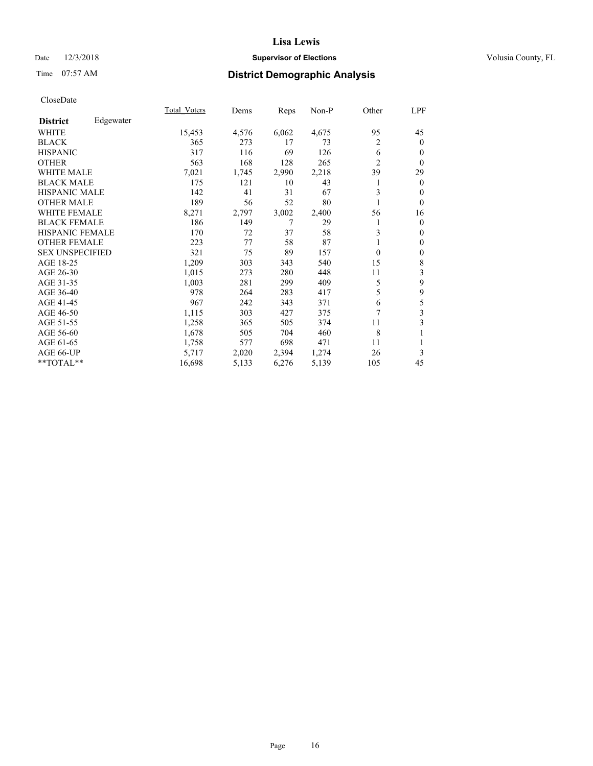## Date  $12/3/2018$  **Supervisor of Elections** Volusia County, FL

# Time 07:57 AM **District Demographic Analysis**

|                        |           | Total Voters | Dems  | Reps  | Non-P | Other          | LPF          |
|------------------------|-----------|--------------|-------|-------|-------|----------------|--------------|
| <b>District</b>        | Edgewater |              |       |       |       |                |              |
| WHITE                  |           | 15,453       | 4,576 | 6,062 | 4,675 | 95             | 45           |
| <b>BLACK</b>           |           | 365          | 273   | 17    | 73    | 2              | $\mathbf{0}$ |
| <b>HISPANIC</b>        |           | 317          | 116   | 69    | 126   | 6              | $\mathbf{0}$ |
| <b>OTHER</b>           |           | 563          | 168   | 128   | 265   | $\overline{2}$ | $\theta$     |
| WHITE MALE             |           | 7,021        | 1,745 | 2,990 | 2,218 | 39             | 29           |
| <b>BLACK MALE</b>      |           | 175          | 121   | 10    | 43    |                | $\mathbf{0}$ |
| <b>HISPANIC MALE</b>   |           | 142          | 41    | 31    | 67    | 3              | $\theta$     |
| <b>OTHER MALE</b>      |           | 189          | 56    | 52    | 80    | 1              | $\theta$     |
| <b>WHITE FEMALE</b>    |           | 8,271        | 2,797 | 3,002 | 2,400 | 56             | 16           |
| <b>BLACK FEMALE</b>    |           | 186          | 149   | 7     | 29    |                | $\mathbf{0}$ |
| <b>HISPANIC FEMALE</b> |           | 170          | 72    | 37    | 58    | 3              | $\mathbf{0}$ |
| <b>OTHER FEMALE</b>    |           | 223          | 77    | 58    | 87    |                | $\theta$     |
| <b>SEX UNSPECIFIED</b> |           | 321          | 75    | 89    | 157   | $\Omega$       | $\mathbf{0}$ |
| AGE 18-25              |           | 1,209        | 303   | 343   | 540   | 15             | $\,$ 8 $\,$  |
| AGE 26-30              |           | 1,015        | 273   | 280   | 448   | 11             | 3            |
| AGE 31-35              |           | 1,003        | 281   | 299   | 409   | 5              | 9            |
| AGE 36-40              |           | 978          | 264   | 283   | 417   | 5              | 9            |
| AGE 41-45              |           | 967          | 242   | 343   | 371   | 6              | 5            |
| AGE 46-50              |           | 1,115        | 303   | 427   | 375   | 7              | 3            |
| AGE 51-55              |           | 1,258        | 365   | 505   | 374   | 11             | 3            |
| AGE 56-60              |           | 1,678        | 505   | 704   | 460   | 8              | 1            |
| AGE 61-65              |           | 1,758        | 577   | 698   | 471   | 11             | 1            |
| AGE 66-UP              |           | 5,717        | 2,020 | 2,394 | 1,274 | 26             | 3            |
| **TOTAL**              |           | 16,698       | 5,133 | 6,276 | 5,139 | 105            | 45           |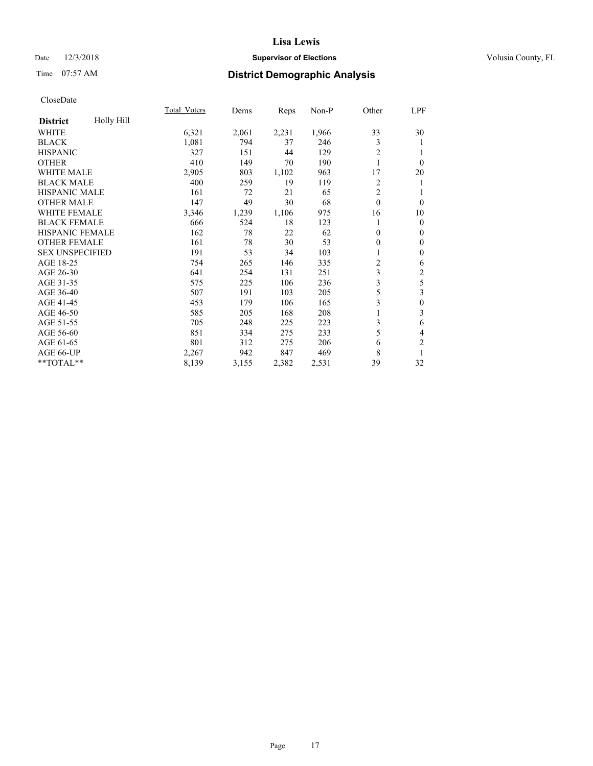## Date  $12/3/2018$  **Supervisor of Elections** Volusia County, FL

# Time 07:57 AM **District Demographic Analysis**

|                        |            | Total Voters | Dems  | Reps  | $Non-P$ | Other          | LPF              |
|------------------------|------------|--------------|-------|-------|---------|----------------|------------------|
| <b>District</b>        | Holly Hill |              |       |       |         |                |                  |
| WHITE                  |            | 6,321        | 2,061 | 2,231 | 1,966   | 33             | 30               |
| <b>BLACK</b>           |            | 1,081        | 794   | 37    | 246     | 3              | 1                |
| <b>HISPANIC</b>        |            | 327          | 151   | 44    | 129     | 2              | 1                |
| <b>OTHER</b>           |            | 410          | 149   | 70    | 190     | 1              | $\theta$         |
| WHITE MALE             |            | 2,905        | 803   | 1,102 | 963     | 17             | 20               |
| <b>BLACK MALE</b>      |            | 400          | 259   | 19    | 119     | 2              | 1                |
| HISPANIC MALE          |            | 161          | 72    | 21    | 65      | $\overline{2}$ |                  |
| <b>OTHER MALE</b>      |            | 147          | 49    | 30    | 68      | $\theta$       | $\theta$         |
| <b>WHITE FEMALE</b>    |            | 3,346        | 1,239 | 1,106 | 975     | 16             | 10               |
| <b>BLACK FEMALE</b>    |            | 666          | 524   | 18    | 123     | 1              | $\mathbf{0}$     |
| <b>HISPANIC FEMALE</b> |            | 162          | 78    | 22    | 62      | $\theta$       | $\mathbf{0}$     |
| <b>OTHER FEMALE</b>    |            | 161          | 78    | 30    | 53      | 0              | $\mathbf{0}$     |
| <b>SEX UNSPECIFIED</b> |            | 191          | 53    | 34    | 103     | 1              | $\mathbf{0}$     |
| AGE 18-25              |            | 754          | 265   | 146   | 335     | 2              | 6                |
| AGE 26-30              |            | 641          | 254   | 131   | 251     | 3              | $\overline{c}$   |
| AGE 31-35              |            | 575          | 225   | 106   | 236     | 3              | 5                |
| AGE 36-40              |            | 507          | 191   | 103   | 205     | 5              | 3                |
| AGE 41-45              |            | 453          | 179   | 106   | 165     | 3              | $\boldsymbol{0}$ |
| AGE 46-50              |            | 585          | 205   | 168   | 208     | 1              | 3                |
| AGE 51-55              |            | 705          | 248   | 225   | 223     | 3              | 6                |
| AGE 56-60              |            | 851          | 334   | 275   | 233     | 5              | 4                |
| AGE 61-65              |            | 801          | 312   | 275   | 206     | 6              | $\overline{2}$   |
| AGE 66-UP              |            | 2,267        | 942   | 847   | 469     | 8              | 1                |
| **TOTAL**              |            | 8,139        | 3,155 | 2,382 | 2,531   | 39             | 32               |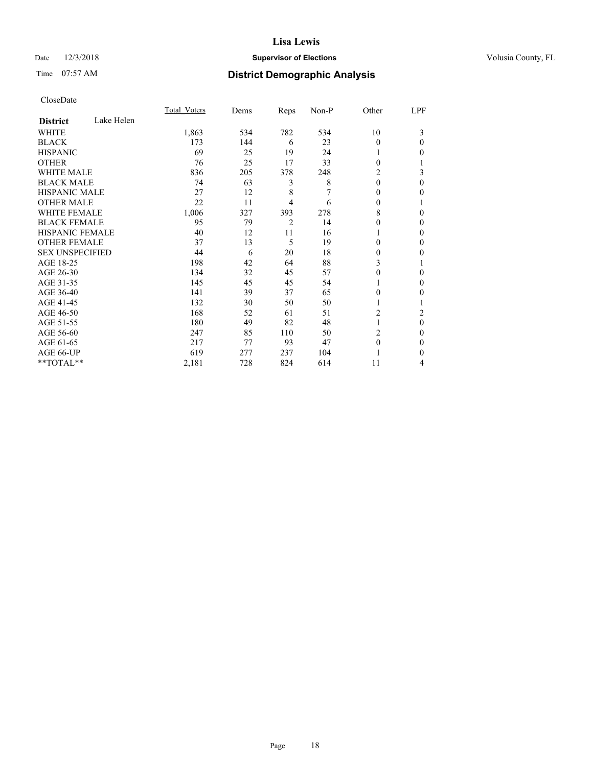## Date  $12/3/2018$  **Supervisor of Elections** Volusia County, FL

# Time 07:57 AM **District Demographic Analysis**

|                        |            | Total Voters | Dems | Reps           | Non-P | Other    | LPF      |
|------------------------|------------|--------------|------|----------------|-------|----------|----------|
| <b>District</b>        | Lake Helen |              |      |                |       |          |          |
| WHITE                  |            | 1,863        | 534  | 782            | 534   | 10       | 3        |
| <b>BLACK</b>           |            | 173          | 144  | 6              | 23    | $\Omega$ | $\Omega$ |
| <b>HISPANIC</b>        |            | 69           | 25   | 19             | 24    |          | 0        |
| <b>OTHER</b>           |            | 76           | 25   | 17             | 33    | $\Omega$ |          |
| WHITE MALE             |            | 836          | 205  | 378            | 248   | 2        | 3        |
| <b>BLACK MALE</b>      |            | 74           | 63   | 3              | 8     | $\theta$ | 0        |
| <b>HISPANIC MALE</b>   |            | 27           | 12   | 8              | 7     | 0        | 0        |
| <b>OTHER MALE</b>      |            | 22           | 11   | 4              | 6     | 0        |          |
| <b>WHITE FEMALE</b>    |            | 1,006        | 327  | 393            | 278   | 8        | 0        |
| <b>BLACK FEMALE</b>    |            | 95           | 79   | $\overline{2}$ | 14    | 0        | 0        |
| <b>HISPANIC FEMALE</b> |            | 40           | 12   | 11             | 16    |          | 0        |
| <b>OTHER FEMALE</b>    |            | 37           | 13   | 5              | 19    | $\Omega$ | 0        |
| <b>SEX UNSPECIFIED</b> |            | 44           | 6    | 20             | 18    | 0        | 0        |
| AGE 18-25              |            | 198          | 42   | 64             | 88    | 3        |          |
| AGE 26-30              |            | 134          | 32   | 45             | 57    | $\Omega$ | 0        |
| AGE 31-35              |            | 145          | 45   | 45             | 54    |          | 0        |
| AGE 36-40              |            | 141          | 39   | 37             | 65    | 0        | 0        |
| AGE 41-45              |            | 132          | 30   | 50             | 50    |          |          |
| AGE 46-50              |            | 168          | 52   | 61             | 51    | 2        | 2        |
| AGE 51-55              |            | 180          | 49   | 82             | 48    | 1        | $\theta$ |
| AGE 56-60              |            | 247          | 85   | 110            | 50    | 2        | 0        |
| AGE 61-65              |            | 217          | 77   | 93             | 47    | $\theta$ | 0        |
| AGE 66-UP              |            | 619          | 277  | 237            | 104   |          | 0        |
| **TOTAL**              |            | 2,181        | 728  | 824            | 614   | 11       | 4        |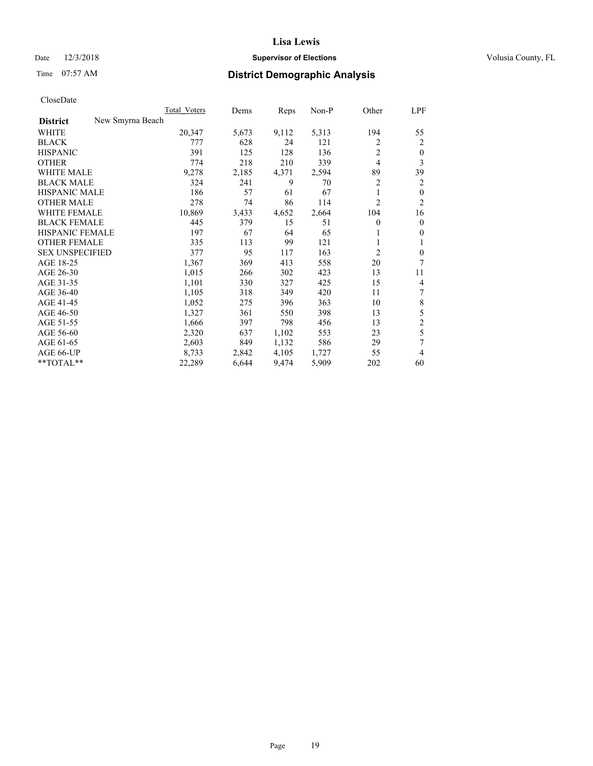## Date  $12/3/2018$  **Supervisor of Elections** Volusia County, FL

# Time 07:57 AM **District Demographic Analysis**

| New Smyrna Beach<br><b>District</b><br>5,313<br>194<br>WHITE<br>20,347<br>5,673<br>9,112<br>55<br>628<br>2<br><b>BLACK</b><br>777<br>24<br>121<br>2<br>$\overline{2}$<br>391<br>125<br>128<br><b>HISPANIC</b><br>136<br>$\mathbf{0}$<br>$\overline{4}$<br>3<br><b>OTHER</b><br>774<br>218<br>210<br>339<br><b>WHITE MALE</b><br>9,278<br>2,185<br>4,371<br>2,594<br>89<br>39<br>2<br><b>BLACK MALE</b><br>324<br>241<br>9<br>70<br>2<br><b>HISPANIC MALE</b><br>186<br>61<br>67<br>$\mathbf{0}$<br>57<br>1<br>$\overline{c}$<br>$\overline{2}$<br><b>OTHER MALE</b><br>278<br>74<br>86<br>114<br><b>WHITE FEMALE</b><br>10,869<br>2,664<br>104<br>3,433<br>4,652<br>16<br><b>BLACK FEMALE</b><br>445<br>379<br>15<br>51<br>$\mathbf{0}$<br>$\mathbf{0}$<br>HISPANIC FEMALE<br>197<br>67<br>64<br>65<br>$\mathbf{0}$<br>1<br><b>OTHER FEMALE</b><br>113<br>99<br>335<br>121<br>1<br>1<br>2<br><b>SEX UNSPECIFIED</b><br>95<br>377<br>117<br>163<br>$\mathbf{0}$<br>7<br>AGE 18-25<br>1,367<br>369<br>413<br>20<br>558<br>AGE 26-30<br>1,015<br>266<br>423<br>13<br>302<br>11<br>AGE 31-35<br>330<br>1,101<br>327<br>425<br>15<br>4<br>7<br>AGE 36-40<br>1,105<br>318<br>349<br>420<br>11<br>$\,$ 8 $\,$<br>AGE 41-45<br>1,052<br>275<br>396<br>10<br>363<br>5<br>AGE 46-50<br>1,327<br>361<br>550<br>398<br>13<br>$\overline{2}$<br>AGE 51-55<br>1,666<br>397<br>798<br>13<br>456<br>5<br>2,320<br>1,102<br>23<br>AGE 56-60<br>637<br>553<br>7<br>AGE 61-65<br>2,603<br>849<br>1,132<br>586<br>29<br>AGE 66-UP<br>8,733<br>2,842<br>4,105<br>1,727<br>55<br>4<br>**TOTAL**<br>22,289<br>6,644<br>9,474<br>5,909<br>202<br>60 |  | Total Voters | Dems | Reps | $Non-P$ | Other | <u>LPF</u> |
|-----------------------------------------------------------------------------------------------------------------------------------------------------------------------------------------------------------------------------------------------------------------------------------------------------------------------------------------------------------------------------------------------------------------------------------------------------------------------------------------------------------------------------------------------------------------------------------------------------------------------------------------------------------------------------------------------------------------------------------------------------------------------------------------------------------------------------------------------------------------------------------------------------------------------------------------------------------------------------------------------------------------------------------------------------------------------------------------------------------------------------------------------------------------------------------------------------------------------------------------------------------------------------------------------------------------------------------------------------------------------------------------------------------------------------------------------------------------------------------------------------------------------------------------------------------------------------------------------------------------------------|--|--------------|------|------|---------|-------|------------|
|                                                                                                                                                                                                                                                                                                                                                                                                                                                                                                                                                                                                                                                                                                                                                                                                                                                                                                                                                                                                                                                                                                                                                                                                                                                                                                                                                                                                                                                                                                                                                                                                                             |  |              |      |      |         |       |            |
|                                                                                                                                                                                                                                                                                                                                                                                                                                                                                                                                                                                                                                                                                                                                                                                                                                                                                                                                                                                                                                                                                                                                                                                                                                                                                                                                                                                                                                                                                                                                                                                                                             |  |              |      |      |         |       |            |
|                                                                                                                                                                                                                                                                                                                                                                                                                                                                                                                                                                                                                                                                                                                                                                                                                                                                                                                                                                                                                                                                                                                                                                                                                                                                                                                                                                                                                                                                                                                                                                                                                             |  |              |      |      |         |       |            |
|                                                                                                                                                                                                                                                                                                                                                                                                                                                                                                                                                                                                                                                                                                                                                                                                                                                                                                                                                                                                                                                                                                                                                                                                                                                                                                                                                                                                                                                                                                                                                                                                                             |  |              |      |      |         |       |            |
|                                                                                                                                                                                                                                                                                                                                                                                                                                                                                                                                                                                                                                                                                                                                                                                                                                                                                                                                                                                                                                                                                                                                                                                                                                                                                                                                                                                                                                                                                                                                                                                                                             |  |              |      |      |         |       |            |
|                                                                                                                                                                                                                                                                                                                                                                                                                                                                                                                                                                                                                                                                                                                                                                                                                                                                                                                                                                                                                                                                                                                                                                                                                                                                                                                                                                                                                                                                                                                                                                                                                             |  |              |      |      |         |       |            |
|                                                                                                                                                                                                                                                                                                                                                                                                                                                                                                                                                                                                                                                                                                                                                                                                                                                                                                                                                                                                                                                                                                                                                                                                                                                                                                                                                                                                                                                                                                                                                                                                                             |  |              |      |      |         |       |            |
|                                                                                                                                                                                                                                                                                                                                                                                                                                                                                                                                                                                                                                                                                                                                                                                                                                                                                                                                                                                                                                                                                                                                                                                                                                                                                                                                                                                                                                                                                                                                                                                                                             |  |              |      |      |         |       |            |
|                                                                                                                                                                                                                                                                                                                                                                                                                                                                                                                                                                                                                                                                                                                                                                                                                                                                                                                                                                                                                                                                                                                                                                                                                                                                                                                                                                                                                                                                                                                                                                                                                             |  |              |      |      |         |       |            |
|                                                                                                                                                                                                                                                                                                                                                                                                                                                                                                                                                                                                                                                                                                                                                                                                                                                                                                                                                                                                                                                                                                                                                                                                                                                                                                                                                                                                                                                                                                                                                                                                                             |  |              |      |      |         |       |            |
|                                                                                                                                                                                                                                                                                                                                                                                                                                                                                                                                                                                                                                                                                                                                                                                                                                                                                                                                                                                                                                                                                                                                                                                                                                                                                                                                                                                                                                                                                                                                                                                                                             |  |              |      |      |         |       |            |
|                                                                                                                                                                                                                                                                                                                                                                                                                                                                                                                                                                                                                                                                                                                                                                                                                                                                                                                                                                                                                                                                                                                                                                                                                                                                                                                                                                                                                                                                                                                                                                                                                             |  |              |      |      |         |       |            |
|                                                                                                                                                                                                                                                                                                                                                                                                                                                                                                                                                                                                                                                                                                                                                                                                                                                                                                                                                                                                                                                                                                                                                                                                                                                                                                                                                                                                                                                                                                                                                                                                                             |  |              |      |      |         |       |            |
|                                                                                                                                                                                                                                                                                                                                                                                                                                                                                                                                                                                                                                                                                                                                                                                                                                                                                                                                                                                                                                                                                                                                                                                                                                                                                                                                                                                                                                                                                                                                                                                                                             |  |              |      |      |         |       |            |
|                                                                                                                                                                                                                                                                                                                                                                                                                                                                                                                                                                                                                                                                                                                                                                                                                                                                                                                                                                                                                                                                                                                                                                                                                                                                                                                                                                                                                                                                                                                                                                                                                             |  |              |      |      |         |       |            |
|                                                                                                                                                                                                                                                                                                                                                                                                                                                                                                                                                                                                                                                                                                                                                                                                                                                                                                                                                                                                                                                                                                                                                                                                                                                                                                                                                                                                                                                                                                                                                                                                                             |  |              |      |      |         |       |            |
|                                                                                                                                                                                                                                                                                                                                                                                                                                                                                                                                                                                                                                                                                                                                                                                                                                                                                                                                                                                                                                                                                                                                                                                                                                                                                                                                                                                                                                                                                                                                                                                                                             |  |              |      |      |         |       |            |
|                                                                                                                                                                                                                                                                                                                                                                                                                                                                                                                                                                                                                                                                                                                                                                                                                                                                                                                                                                                                                                                                                                                                                                                                                                                                                                                                                                                                                                                                                                                                                                                                                             |  |              |      |      |         |       |            |
|                                                                                                                                                                                                                                                                                                                                                                                                                                                                                                                                                                                                                                                                                                                                                                                                                                                                                                                                                                                                                                                                                                                                                                                                                                                                                                                                                                                                                                                                                                                                                                                                                             |  |              |      |      |         |       |            |
|                                                                                                                                                                                                                                                                                                                                                                                                                                                                                                                                                                                                                                                                                                                                                                                                                                                                                                                                                                                                                                                                                                                                                                                                                                                                                                                                                                                                                                                                                                                                                                                                                             |  |              |      |      |         |       |            |
|                                                                                                                                                                                                                                                                                                                                                                                                                                                                                                                                                                                                                                                                                                                                                                                                                                                                                                                                                                                                                                                                                                                                                                                                                                                                                                                                                                                                                                                                                                                                                                                                                             |  |              |      |      |         |       |            |
|                                                                                                                                                                                                                                                                                                                                                                                                                                                                                                                                                                                                                                                                                                                                                                                                                                                                                                                                                                                                                                                                                                                                                                                                                                                                                                                                                                                                                                                                                                                                                                                                                             |  |              |      |      |         |       |            |
|                                                                                                                                                                                                                                                                                                                                                                                                                                                                                                                                                                                                                                                                                                                                                                                                                                                                                                                                                                                                                                                                                                                                                                                                                                                                                                                                                                                                                                                                                                                                                                                                                             |  |              |      |      |         |       |            |
|                                                                                                                                                                                                                                                                                                                                                                                                                                                                                                                                                                                                                                                                                                                                                                                                                                                                                                                                                                                                                                                                                                                                                                                                                                                                                                                                                                                                                                                                                                                                                                                                                             |  |              |      |      |         |       |            |
|                                                                                                                                                                                                                                                                                                                                                                                                                                                                                                                                                                                                                                                                                                                                                                                                                                                                                                                                                                                                                                                                                                                                                                                                                                                                                                                                                                                                                                                                                                                                                                                                                             |  |              |      |      |         |       |            |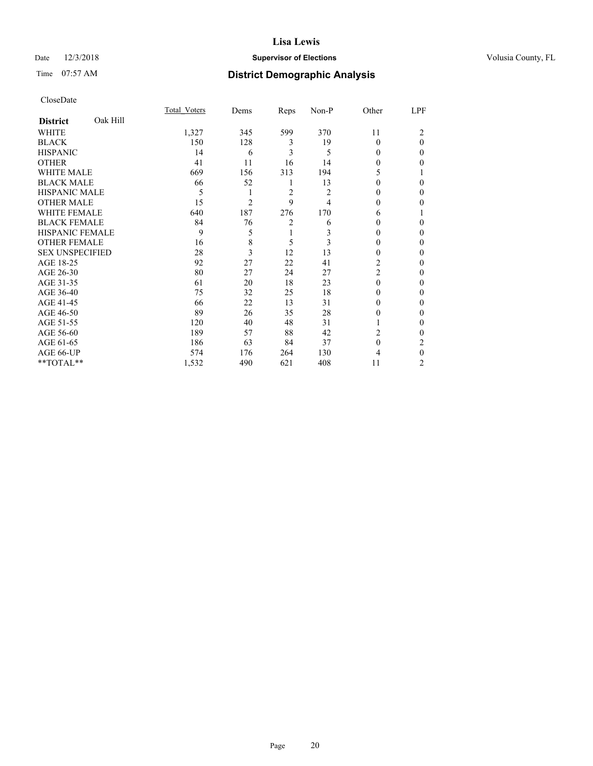## Date  $12/3/2018$  **Supervisor of Elections** Volusia County, FL

# Time 07:57 AM **District Demographic Analysis**

|                        |          | Total Voters | Dems           | Reps           | Non-P | Other          | LPF      |
|------------------------|----------|--------------|----------------|----------------|-------|----------------|----------|
| <b>District</b>        | Oak Hill |              |                |                |       |                |          |
| WHITE                  |          | 1,327        | 345            | 599            | 370   | 11             | 2        |
| <b>BLACK</b>           |          | 150          | 128            | 3              | 19    | $\theta$       | $\theta$ |
| <b>HISPANIC</b>        |          | 14           | 6              | 3              | 5     | 0              | $\Omega$ |
| <b>OTHER</b>           |          | 41           | 11             | 16             | 14    | 0              | 0        |
| WHITE MALE             |          | 669          | 156            | 313            | 194   | 5              |          |
| <b>BLACK MALE</b>      |          | 66           | 52             | 1              | 13    | 0              | 0        |
| <b>HISPANIC MALE</b>   |          | 5            | 1              | $\overline{2}$ | 2     | 0              | 0        |
| <b>OTHER MALE</b>      |          | 15           | $\overline{2}$ | 9              | 4     | 0              | 0        |
| WHITE FEMALE           |          | 640          | 187            | 276            | 170   | 6              |          |
| <b>BLACK FEMALE</b>    |          | 84           | 76             | $\overline{c}$ | 6     | 0              | $\Omega$ |
| <b>HISPANIC FEMALE</b> |          | 9            | 5              | 1              | 3     | 0              | 0        |
| <b>OTHER FEMALE</b>    |          | 16           | 8              | 5              | 3     | $\theta$       | 0        |
| <b>SEX UNSPECIFIED</b> |          | 28           | 3              | 12             | 13    | $\theta$       | 0        |
| AGE 18-25              |          | 92           | 27             | 22             | 41    | 2              | 0        |
| AGE 26-30              |          | 80           | 27             | 24             | 27    | $\overline{2}$ | 0        |
| AGE 31-35              |          | 61           | 20             | 18             | 23    | $\theta$       | 0        |
| AGE 36-40              |          | 75           | 32             | 25             | 18    | $\theta$       | $\Omega$ |
| AGE 41-45              |          | 66           | 22             | 13             | 31    | 0              | 0        |
| AGE 46-50              |          | 89           | 26             | 35             | 28    | $\theta$       | 0        |
| AGE 51-55              |          | 120          | 40             | 48             | 31    |                | $\theta$ |
| AGE 56-60              |          | 189          | 57             | 88             | 42    | 2              | 0        |
| AGE 61-65              |          | 186          | 63             | 84             | 37    | $\Omega$       | 2        |
| AGE 66-UP              |          | 574          | 176            | 264            | 130   | 4              | $\theta$ |
| **TOTAL**              |          | 1,532        | 490            | 621            | 408   | 11             | 2        |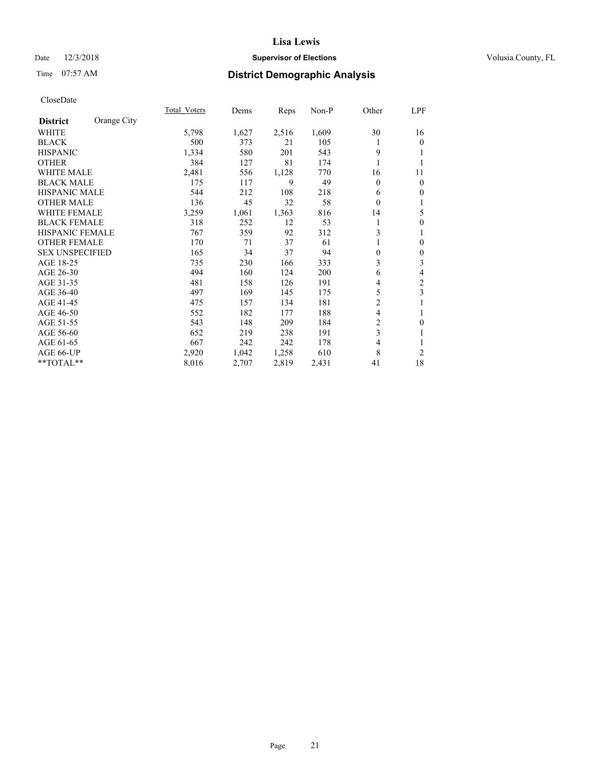## Date  $12/3/2018$  **Supervisor of Elections** Volusia County, FL

# Time 07:57 AM **District Demographic Analysis**

|                        |             | Total Voters | Dems  | Reps  | Non-P | Other    | LPF              |
|------------------------|-------------|--------------|-------|-------|-------|----------|------------------|
| <b>District</b>        | Orange City |              |       |       |       |          |                  |
| WHITE                  |             | 5,798        | 1,627 | 2,516 | 1,609 | 30       | 16               |
| <b>BLACK</b>           |             | 500          | 373   | 21    | 105   |          | $\mathbf{0}$     |
| <b>HISPANIC</b>        |             | 1,334        | 580   | 201   | 543   | 9        |                  |
| <b>OTHER</b>           |             | 384          | 127   | 81    | 174   | 1        | 1                |
| <b>WHITE MALE</b>      |             | 2,481        | 556   | 1,128 | 770   | 16       | 11               |
| <b>BLACK MALE</b>      |             | 175          | 117   | 9     | 49    | 0        | $\mathbf{0}$     |
| <b>HISPANIC MALE</b>   |             | 544          | 212   | 108   | 218   | 6        | $\mathbf{0}$     |
| <b>OTHER MALE</b>      |             | 136          | 45    | 32    | 58    | $\theta$ | 1                |
| WHITE FEMALE           |             | 3,259        | 1,061 | 1,363 | 816   | 14       | 5                |
| <b>BLACK FEMALE</b>    |             | 318          | 252   | 12    | 53    | 1        | $\boldsymbol{0}$ |
| HISPANIC FEMALE        |             | 767          | 359   | 92    | 312   | 3        | 1                |
| <b>OTHER FEMALE</b>    |             | 170          | 71    | 37    | 61    |          | $\mathbf{0}$     |
| <b>SEX UNSPECIFIED</b> |             | 165          | 34    | 37    | 94    | 0        | $\boldsymbol{0}$ |
| AGE 18-25              |             | 735          | 230   | 166   | 333   | 3        | $\mathfrak{Z}$   |
| AGE 26-30              |             | 494          | 160   | 124   | 200   | 6        | 4                |
| AGE 31-35              |             | 481          | 158   | 126   | 191   | 4        | $\mathfrak{2}$   |
| AGE 36-40              |             | 497          | 169   | 145   | 175   | 5        | $\mathfrak{Z}$   |
| AGE 41-45              |             | 475          | 157   | 134   | 181   | 2        |                  |
| AGE 46-50              |             | 552          | 182   | 177   | 188   | 4        | 1                |
| AGE 51-55              |             | 543          | 148   | 209   | 184   | 2        | $\mathbf{0}$     |
| AGE 56-60              |             | 652          | 219   | 238   | 191   | 3        | 1                |
| AGE 61-65              |             | 667          | 242   | 242   | 178   | 4        | 1                |
| AGE 66-UP              |             | 2,920        | 1,042 | 1,258 | 610   | 8        | $\overline{2}$   |
| **TOTAL**              |             | 8,016        | 2,707 | 2,819 | 2,431 | 41       | 18               |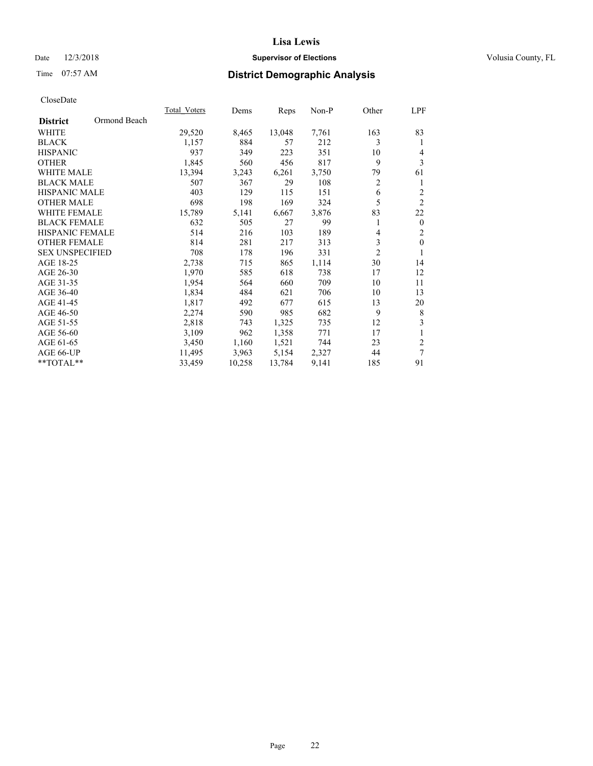## Date  $12/3/2018$  **Supervisor of Elections** Volusia County, FL

# Time 07:57 AM **District Demographic Analysis**

|                                 | Total Voters | Dems   | Reps   | Non-P | Other          | LPF            |
|---------------------------------|--------------|--------|--------|-------|----------------|----------------|
| Ormond Beach<br><b>District</b> |              |        |        |       |                |                |
| WHITE                           | 29,520       | 8,465  | 13,048 | 7,761 | 163            | 83             |
| <b>BLACK</b>                    | 1,157        | 884    | 57     | 212   | 3              | 1              |
| <b>HISPANIC</b>                 | 937          | 349    | 223    | 351   | 10             | 4              |
| <b>OTHER</b>                    | 1,845        | 560    | 456    | 817   | 9              | 3              |
| WHITE MALE                      | 13,394       | 3,243  | 6,261  | 3,750 | 79             | 61             |
| <b>BLACK MALE</b>               | 507          | 367    | 29     | 108   | $\overline{2}$ | 1              |
| <b>HISPANIC MALE</b>            | 403          | 129    | 115    | 151   | 6              | $\overline{2}$ |
| <b>OTHER MALE</b>               | 698          | 198    | 169    | 324   | 5              | $\overline{2}$ |
| WHITE FEMALE                    | 15,789       | 5,141  | 6,667  | 3,876 | 83             | 22             |
| <b>BLACK FEMALE</b>             | 632          | 505    | 27     | 99    |                | $\mathbf{0}$   |
| <b>HISPANIC FEMALE</b>          | 514          | 216    | 103    | 189   | 4              | $\overline{2}$ |
| <b>OTHER FEMALE</b>             | 814          | 281    | 217    | 313   | 3              | $\mathbf{0}$   |
| <b>SEX UNSPECIFIED</b>          | 708          | 178    | 196    | 331   | $\overline{2}$ |                |
| AGE 18-25                       | 2,738        | 715    | 865    | 1,114 | 30             | 14             |
| AGE 26-30                       | 1,970        | 585    | 618    | 738   | 17             | 12             |
| AGE 31-35                       | 1,954        | 564    | 660    | 709   | 10             | 11             |
| AGE 36-40                       | 1,834        | 484    | 621    | 706   | 10             | 13             |
| AGE 41-45                       | 1,817        | 492    | 677    | 615   | 13             | 20             |
| AGE 46-50                       | 2,274        | 590    | 985    | 682   | 9              | 8              |
| AGE 51-55                       | 2,818        | 743    | 1,325  | 735   | 12             | 3              |
| AGE 56-60                       | 3,109        | 962    | 1,358  | 771   | 17             | 1              |
| AGE 61-65                       | 3,450        | 1,160  | 1,521  | 744   | 23             | $\overline{2}$ |
| AGE 66-UP                       | 11,495       | 3,963  | 5,154  | 2,327 | 44             | $\overline{7}$ |
| **TOTAL**                       | 33,459       | 10,258 | 13,784 | 9,141 | 185            | 91             |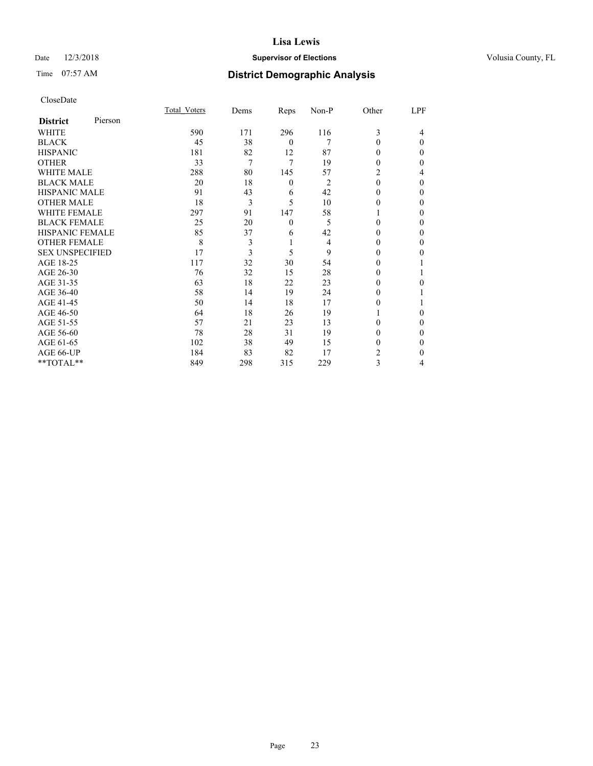## Date  $12/3/2018$  **Supervisor of Elections** Volusia County, FL

# Time 07:57 AM **District Demographic Analysis**

|                        |         | Total Voters | Dems | Reps         | Non-P | Other        | LPF      |
|------------------------|---------|--------------|------|--------------|-------|--------------|----------|
| <b>District</b>        | Pierson |              |      |              |       |              |          |
| WHITE                  |         | 590          | 171  | 296          | 116   | 3            | 4        |
| <b>BLACK</b>           |         | 45           | 38   | $\theta$     | 7     | $\theta$     | $\Omega$ |
| <b>HISPANIC</b>        |         | 181          | 82   | 12           | 87    | 0            | 0        |
| <b>OTHER</b>           |         | 33           | 7    | 7            | 19    | 0            | 0        |
| WHITE MALE             |         | 288          | 80   | 145          | 57    | 2            | 4        |
| <b>BLACK MALE</b>      |         | 20           | 18   | $\mathbf{0}$ | 2     | $\theta$     | 0        |
| <b>HISPANIC MALE</b>   |         | 91           | 43   | 6            | 42    | $\theta$     | 0        |
| <b>OTHER MALE</b>      |         | 18           | 3    | 5            | 10    | $\mathbf{0}$ | $\Omega$ |
| WHITE FEMALE           |         | 297          | 91   | 147          | 58    |              | 0        |
| <b>BLACK FEMALE</b>    |         | 25           | 20   | $\mathbf{0}$ | 5     | 0            | 0        |
| <b>HISPANIC FEMALE</b> |         | 85           | 37   | 6            | 42    | 0            | $\Omega$ |
| <b>OTHER FEMALE</b>    |         | 8            | 3    | 1            | 4     | 0            | 0        |
| <b>SEX UNSPECIFIED</b> |         | 17           | 3    | 5            | 9     | $\Omega$     | 0        |
| AGE 18-25              |         | 117          | 32   | 30           | 54    | 0            |          |
| AGE 26-30              |         | 76           | 32   | 15           | 28    | 0            |          |
| AGE 31-35              |         | 63           | 18   | 22           | 23    | 0            | 0        |
| AGE 36-40              |         | 58           | 14   | 19           | 24    | 0            |          |
| AGE 41-45              |         | 50           | 14   | 18           | 17    | 0            |          |
| AGE 46-50              |         | 64           | 18   | 26           | 19    |              | 0        |
| AGE 51-55              |         | 57           | 21   | 23           | 13    | 0            | 0        |
| AGE 56-60              |         | 78           | 28   | 31           | 19    | 0            | 0        |
| AGE 61-65              |         | 102          | 38   | 49           | 15    | 0            | 0        |
| AGE 66-UP              |         | 184          | 83   | 82           | 17    | 2            | 0        |
| **TOTAL**              |         | 849          | 298  | 315          | 229   | 3            | 4        |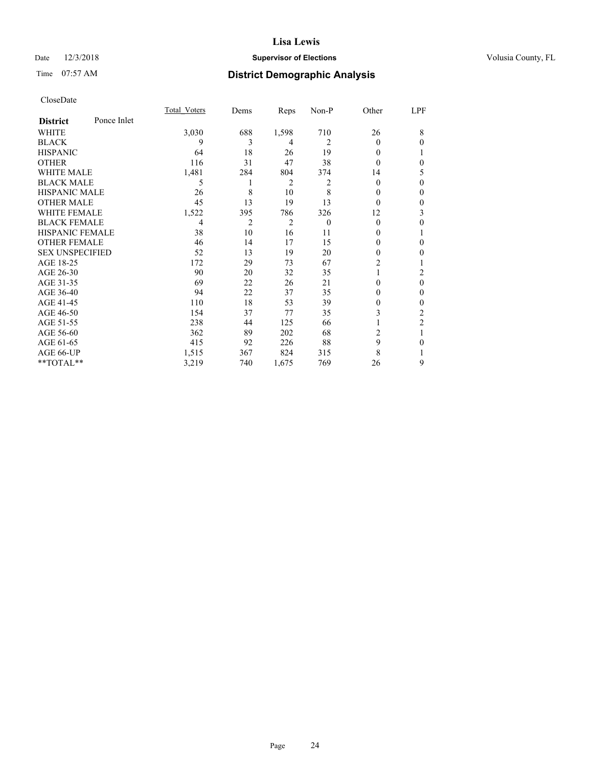## Date  $12/3/2018$  **Supervisor of Elections** Volusia County, FL

# Time 07:57 AM **District Demographic Analysis**

|                        |             | Total Voters   | Dems           | Reps           | Non-P    | Other    | LPF            |
|------------------------|-------------|----------------|----------------|----------------|----------|----------|----------------|
| <b>District</b>        | Ponce Inlet |                |                |                |          |          |                |
| WHITE                  |             | 3,030          | 688            | 1,598          | 710      | 26       | 8              |
| <b>BLACK</b>           |             | 9              | 3              | 4              | 2        | $\Omega$ | $\theta$       |
| <b>HISPANIC</b>        |             | 64             | 18             | 26             | 19       | 0        | 1              |
| <b>OTHER</b>           |             | 116            | 31             | 47             | 38       | 0        | $\theta$       |
| <b>WHITE MALE</b>      |             | 1,481          | 284            | 804            | 374      | 14       | 5              |
| <b>BLACK MALE</b>      |             | 5              | 1              | 2              | 2        | $\theta$ | $\theta$       |
| <b>HISPANIC MALE</b>   |             | 26             | 8              | 10             | 8        | $_{0}$   | $\theta$       |
| <b>OTHER MALE</b>      |             | 45             | 13             | 19             | 13       | $\theta$ | $\mathbf{0}$   |
| <b>WHITE FEMALE</b>    |             | 1,522          | 395            | 786            | 326      | 12       | 3              |
| <b>BLACK FEMALE</b>    |             | $\overline{4}$ | $\overline{2}$ | $\overline{2}$ | $\theta$ | $\theta$ | $\theta$       |
| <b>HISPANIC FEMALE</b> |             | 38             | 10             | 16             | 11       | 0        | 1              |
| <b>OTHER FEMALE</b>    |             | 46             | 14             | 17             | 15       | 0        | $\theta$       |
| <b>SEX UNSPECIFIED</b> |             | 52             | 13             | 19             | 20       | 0        | $\mathbf{0}$   |
| AGE 18-25              |             | 172            | 29             | 73             | 67       | 2        | 1              |
| AGE 26-30              |             | 90             | 20             | 32             | 35       |          | 2              |
| AGE 31-35              |             | 69             | 22             | 26             | 21       | 0        | $\theta$       |
| AGE 36-40              |             | 94             | 22             | 37             | 35       | 0        | $\mathbf{0}$   |
| AGE 41-45              |             | 110            | 18             | 53             | 39       | 0        | $\theta$       |
| AGE 46-50              |             | 154            | 37             | 77             | 35       | 3        | 2              |
| AGE 51-55              |             | 238            | 44             | 125            | 66       |          | $\overline{2}$ |
| AGE 56-60              |             | 362            | 89             | 202            | 68       | 2        | 1              |
| AGE 61-65              |             | 415            | 92             | 226            | 88       | 9        | $\mathbf{0}$   |
| AGE 66-UP              |             | 1,515          | 367            | 824            | 315      | 8        |                |
| **TOTAL**              |             | 3,219          | 740            | 1,675          | 769      | 26       | 9              |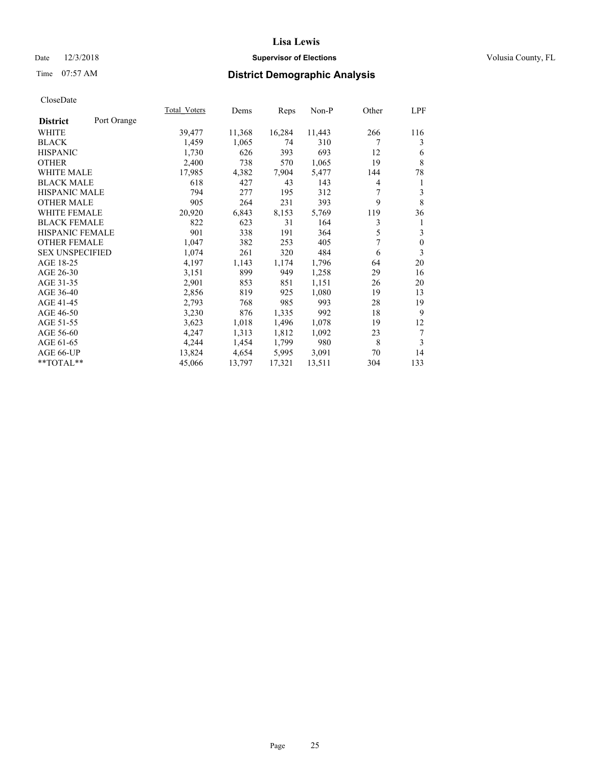## Date  $12/3/2018$  **Supervisor of Elections** Volusia County, FL

# Time 07:57 AM **District Demographic Analysis**

|                        |             | Total Voters | Dems   | Reps   | Non-P  | Other | LPF          |
|------------------------|-------------|--------------|--------|--------|--------|-------|--------------|
| <b>District</b>        | Port Orange |              |        |        |        |       |              |
| WHITE                  |             | 39,477       | 11,368 | 16,284 | 11,443 | 266   | 116          |
| <b>BLACK</b>           |             | 1,459        | 1,065  | 74     | 310    | 7     | 3            |
| <b>HISPANIC</b>        |             | 1,730        | 626    | 393    | 693    | 12    | 6            |
| <b>OTHER</b>           |             | 2,400        | 738    | 570    | 1,065  | 19    | 8            |
| <b>WHITE MALE</b>      |             | 17,985       | 4,382  | 7,904  | 5,477  | 144   | 78           |
| <b>BLACK MALE</b>      |             | 618          | 427    | 43     | 143    | 4     | 1            |
| <b>HISPANIC MALE</b>   |             | 794          | 277    | 195    | 312    | 7     | 3            |
| <b>OTHER MALE</b>      |             | 905          | 264    | 231    | 393    | 9     | 8            |
| <b>WHITE FEMALE</b>    |             | 20,920       | 6,843  | 8,153  | 5,769  | 119   | 36           |
| <b>BLACK FEMALE</b>    |             | 822          | 623    | 31     | 164    | 3     | 1            |
| HISPANIC FEMALE        |             | 901          | 338    | 191    | 364    | 5     | 3            |
| <b>OTHER FEMALE</b>    |             | 1,047        | 382    | 253    | 405    | 7     | $\mathbf{0}$ |
| <b>SEX UNSPECIFIED</b> |             | 1,074        | 261    | 320    | 484    | 6     | 3            |
| AGE 18-25              |             | 4,197        | 1,143  | 1,174  | 1,796  | 64    | 20           |
| AGE 26-30              |             | 3,151        | 899    | 949    | 1,258  | 29    | 16           |
| AGE 31-35              |             | 2,901        | 853    | 851    | 1,151  | 26    | 20           |
| AGE 36-40              |             | 2,856        | 819    | 925    | 1,080  | 19    | 13           |
| AGE 41-45              |             | 2,793        | 768    | 985    | 993    | 28    | 19           |
| AGE 46-50              |             | 3,230        | 876    | 1,335  | 992    | 18    | 9            |
| AGE 51-55              |             | 3,623        | 1,018  | 1,496  | 1,078  | 19    | 12           |
| AGE 56-60              |             | 4,247        | 1,313  | 1,812  | 1,092  | 23    | 7            |
| AGE 61-65              |             | 4,244        | 1,454  | 1,799  | 980    | 8     | 3            |
| AGE 66-UP              |             | 13,824       | 4,654  | 5,995  | 3,091  | 70    | 14           |
| $*$ $TOTAL**$          |             | 45,066       | 13,797 | 17,321 | 13,511 | 304   | 133          |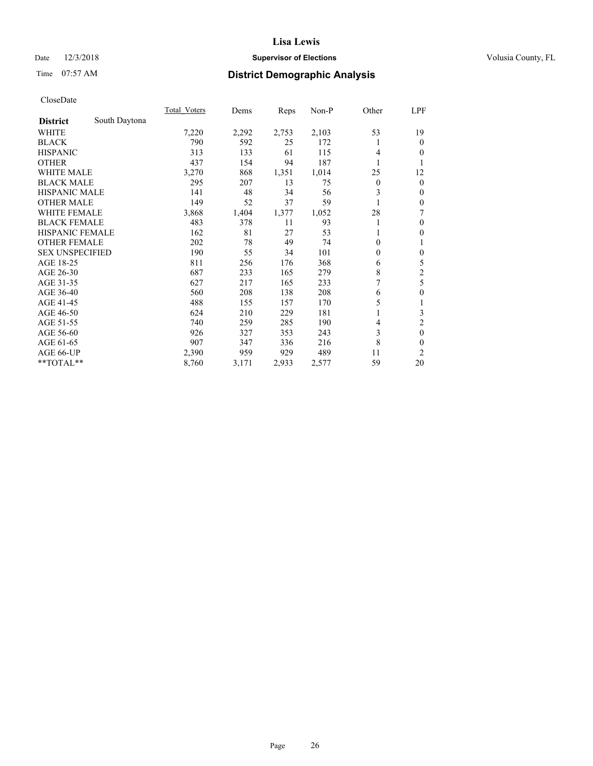## Date  $12/3/2018$  **Supervisor of Elections** Volusia County, FL

# Time 07:57 AM **District Demographic Analysis**

|                        |               | <b>Total Voters</b> | Dems  | Reps  | $Non-P$ | Other          | LPF            |
|------------------------|---------------|---------------------|-------|-------|---------|----------------|----------------|
| <b>District</b>        | South Daytona |                     |       |       |         |                |                |
| WHITE                  |               | 7,220               | 2,292 | 2,753 | 2,103   | 53             | 19             |
| <b>BLACK</b>           |               | 790                 | 592   | 25    | 172     | 1              | $\theta$       |
| <b>HISPANIC</b>        |               | 313                 | 133   | 61    | 115     | 4              | 0              |
| <b>OTHER</b>           |               | 437                 | 154   | 94    | 187     | 1              | 1              |
| <b>WHITE MALE</b>      |               | 3,270               | 868   | 1,351 | 1,014   | 25             | 12             |
| <b>BLACK MALE</b>      |               | 295                 | 207   | 13    | 75      | $\overline{0}$ | $\mathbf{0}$   |
| <b>HISPANIC MALE</b>   |               | 141                 | 48    | 34    | 56      | 3              | $\mathbf{0}$   |
| <b>OTHER MALE</b>      |               | 149                 | 52    | 37    | 59      |                | $\theta$       |
| WHITE FEMALE           |               | 3,868               | 1,404 | 1,377 | 1,052   | 28             | 7              |
| <b>BLACK FEMALE</b>    |               | 483                 | 378   | 11    | 93      | 1              | $\theta$       |
| <b>HISPANIC FEMALE</b> |               | 162                 | 81    | 27    | 53      | 1              | $\theta$       |
| <b>OTHER FEMALE</b>    |               | 202                 | 78    | 49    | 74      | 0              | 1              |
| <b>SEX UNSPECIFIED</b> |               | 190                 | 55    | 34    | 101     | $\mathbf{0}$   | $\theta$       |
| AGE 18-25              |               | 811                 | 256   | 176   | 368     | 6              | 5              |
| AGE 26-30              |               | 687                 | 233   | 165   | 279     | 8              | $\overline{c}$ |
| AGE 31-35              |               | 627                 | 217   | 165   | 233     | 7              | 5              |
| AGE 36-40              |               | 560                 | 208   | 138   | 208     | 6              | $\theta$       |
| AGE 41-45              |               | 488                 | 155   | 157   | 170     | 5              | 1              |
| AGE 46-50              |               | 624                 | 210   | 229   | 181     |                | 3              |
| AGE 51-55              |               | 740                 | 259   | 285   | 190     | 4              | $\overline{c}$ |
| AGE 56-60              |               | 926                 | 327   | 353   | 243     | 3              | $\theta$       |
| AGE 61-65              |               | 907                 | 347   | 336   | 216     | 8              | 0              |
| AGE 66-UP              |               | 2,390               | 959   | 929   | 489     | 11             | $\overline{2}$ |
| **TOTAL**              |               | 8,760               | 3,171 | 2,933 | 2,577   | 59             | 20             |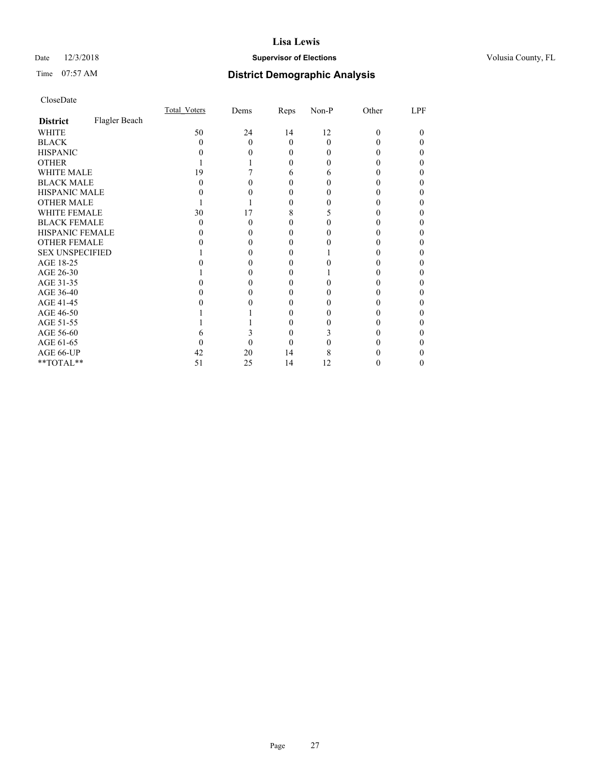## Date  $12/3/2018$  **Supervisor of Elections** Volusia County, FL

# Time 07:57 AM **District Demographic Analysis**

|                        |               | Total Voters | Dems | Reps     | Non-P        | Other | LPF |
|------------------------|---------------|--------------|------|----------|--------------|-------|-----|
| <b>District</b>        | Flagler Beach |              |      |          |              |       |     |
| WHITE                  |               | 50           | 24   | 14       | 12           | 0     | 0   |
| <b>BLACK</b>           |               | $\theta$     | 0    | $\Omega$ | 0            |       |     |
| <b>HISPANIC</b>        |               |              |      | 0        | $\mathbf{0}$ |       |     |
| <b>OTHER</b>           |               |              |      | 0        |              |       |     |
| WHITE MALE             |               | 19           |      | 6        | 6            |       |     |
| <b>BLACK MALE</b>      |               |              |      |          |              |       |     |
| <b>HISPANIC MALE</b>   |               |              |      |          |              |       |     |
| <b>OTHER MALE</b>      |               |              |      | 0        |              |       |     |
| <b>WHITE FEMALE</b>    |               | 30           | 17   | 8        |              |       |     |
| <b>BLACK FEMALE</b>    |               | $\theta$     | 0    | 0        |              |       |     |
| <b>HISPANIC FEMALE</b> |               |              |      |          |              |       |     |
| <b>OTHER FEMALE</b>    |               |              |      | 0        |              |       |     |
| <b>SEX UNSPECIFIED</b> |               |              |      |          |              |       |     |
| AGE 18-25              |               |              |      |          |              |       |     |
| AGE 26-30              |               |              |      |          |              |       |     |
| AGE 31-35              |               |              |      |          |              |       |     |
| AGE 36-40              |               |              |      | 0        |              |       |     |
| AGE 41-45              |               |              |      |          |              |       |     |
| AGE 46-50              |               |              |      | $_{0}$   |              |       |     |
| AGE 51-55              |               |              |      |          |              |       |     |
| AGE 56-60              |               |              |      |          |              |       |     |
| AGE 61-65              |               |              |      |          |              |       |     |
| AGE 66-UP              |               | 42           | 20   | 14       | 8            |       |     |
| **TOTAL**              |               | 51           | 25   | 14       | 12           |       | 0   |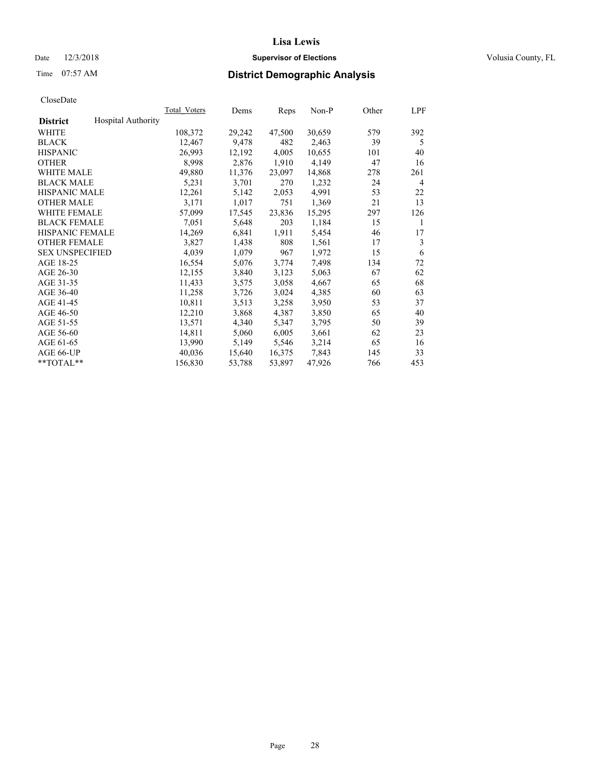## Date  $12/3/2018$  **Supervisor of Elections** Volusia County, FL

# Time 07:57 AM **District Demographic Analysis**

|                        |                           | Total Voters | Dems   | Reps   | Non-P  | Other | LPF |
|------------------------|---------------------------|--------------|--------|--------|--------|-------|-----|
| <b>District</b>        | <b>Hospital Authority</b> |              |        |        |        |       |     |
| WHITE                  |                           | 108,372      | 29,242 | 47,500 | 30,659 | 579   | 392 |
| <b>BLACK</b>           |                           | 12,467       | 9,478  | 482    | 2,463  | 39    | 5   |
| <b>HISPANIC</b>        |                           | 26,993       | 12,192 | 4,005  | 10,655 | 101   | 40  |
| <b>OTHER</b>           |                           | 8,998        | 2,876  | 1,910  | 4,149  | 47    | 16  |
| WHITE MALE             |                           | 49,880       | 11,376 | 23,097 | 14,868 | 278   | 261 |
| <b>BLACK MALE</b>      |                           | 5,231        | 3,701  | 270    | 1,232  | 24    | 4   |
| <b>HISPANIC MALE</b>   |                           | 12,261       | 5,142  | 2,053  | 4,991  | 53    | 22  |
| <b>OTHER MALE</b>      |                           | 3,171        | 1,017  | 751    | 1,369  | 21    | 13  |
| WHITE FEMALE           |                           | 57,099       | 17,545 | 23,836 | 15,295 | 297   | 126 |
| <b>BLACK FEMALE</b>    |                           | 7,051        | 5,648  | 203    | 1,184  | 15    | 1   |
| <b>HISPANIC FEMALE</b> |                           | 14,269       | 6,841  | 1,911  | 5,454  | 46    | 17  |
| <b>OTHER FEMALE</b>    |                           | 3,827        | 1,438  | 808    | 1,561  | 17    | 3   |
| <b>SEX UNSPECIFIED</b> |                           | 4,039        | 1,079  | 967    | 1,972  | 15    | 6   |
| AGE 18-25              |                           | 16,554       | 5,076  | 3,774  | 7,498  | 134   | 72  |
| AGE 26-30              |                           | 12,155       | 3,840  | 3,123  | 5,063  | 67    | 62  |
| AGE 31-35              |                           | 11,433       | 3,575  | 3,058  | 4,667  | 65    | 68  |
| AGE 36-40              |                           | 11,258       | 3,726  | 3,024  | 4,385  | 60    | 63  |
| AGE 41-45              |                           | 10,811       | 3,513  | 3,258  | 3,950  | 53    | 37  |
| AGE 46-50              |                           | 12,210       | 3,868  | 4,387  | 3,850  | 65    | 40  |
| AGE 51-55              |                           | 13,571       | 4,340  | 5,347  | 3,795  | 50    | 39  |
| AGE 56-60              |                           | 14,811       | 5,060  | 6,005  | 3,661  | 62    | 23  |
| AGE 61-65              |                           | 13,990       | 5,149  | 5,546  | 3,214  | 65    | 16  |
| AGE 66-UP              |                           | 40,036       | 15,640 | 16,375 | 7,843  | 145   | 33  |
| $*$ TOTAL $*$          |                           | 156,830      | 53,788 | 53,897 | 47,926 | 766   | 453 |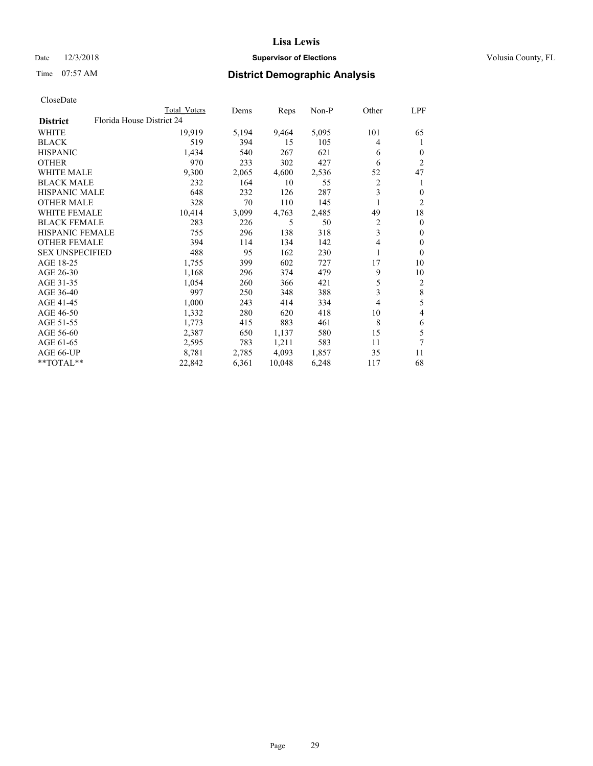## Date  $12/3/2018$  **Supervisor of Elections** Volusia County, FL

| CloseDate |
|-----------|
|-----------|

|                        |                           | Total Voters | Dems  | Reps   | Non-P | Other | LPF          |
|------------------------|---------------------------|--------------|-------|--------|-------|-------|--------------|
| <b>District</b>        | Florida House District 24 |              |       |        |       |       |              |
| WHITE                  |                           | 19,919       | 5,194 | 9,464  | 5,095 | 101   | 65           |
| <b>BLACK</b>           |                           | 519          | 394   | 15     | 105   | 4     | 1            |
| <b>HISPANIC</b>        |                           | 1,434        | 540   | 267    | 621   | 6     | $\Omega$     |
| <b>OTHER</b>           |                           | 970          | 233   | 302    | 427   | 6     | 2            |
| <b>WHITE MALE</b>      |                           | 9,300        | 2,065 | 4,600  | 2,536 | 52    | 47           |
| <b>BLACK MALE</b>      |                           | 232          | 164   | 10     | 55    | 2     |              |
| <b>HISPANIC MALE</b>   |                           | 648          | 232   | 126    | 287   | 3     | $\mathbf{0}$ |
| <b>OTHER MALE</b>      |                           | 328          | 70    | 110    | 145   |       | 2            |
| <b>WHITE FEMALE</b>    |                           | 10,414       | 3,099 | 4,763  | 2,485 | 49    | 18           |
| <b>BLACK FEMALE</b>    |                           | 283          | 226   | 5      | 50    | 2     | $\theta$     |
| HISPANIC FEMALE        |                           | 755          | 296   | 138    | 318   | 3     | $\Omega$     |
| <b>OTHER FEMALE</b>    |                           | 394          | 114   | 134    | 142   | 4     | $\Omega$     |
| <b>SEX UNSPECIFIED</b> |                           | 488          | 95    | 162    | 230   | 1     | $\theta$     |
| AGE 18-25              |                           | 1,755        | 399   | 602    | 727   | 17    | 10           |
| AGE 26-30              |                           | 1,168        | 296   | 374    | 479   | 9     | 10           |
| AGE 31-35              |                           | 1,054        | 260   | 366    | 421   | 5     | 2            |
| AGE 36-40              |                           | 997          | 250   | 348    | 388   | 3     | $\,$ 8 $\,$  |
| AGE 41-45              |                           | 1,000        | 243   | 414    | 334   | 4     | 5            |
| AGE 46-50              |                           | 1,332        | 280   | 620    | 418   | 10    | 4            |
| AGE 51-55              |                           | 1,773        | 415   | 883    | 461   | 8     | 6            |
| AGE 56-60              |                           | 2,387        | 650   | 1,137  | 580   | 15    | 5            |
| AGE 61-65              |                           | 2,595        | 783   | 1,211  | 583   | 11    | 7            |
| AGE 66-UP              |                           | 8,781        | 2,785 | 4,093  | 1,857 | 35    | 11           |
| **TOTAL**              |                           | 22,842       | 6,361 | 10,048 | 6,248 | 117   | 68           |
|                        |                           |              |       |        |       |       |              |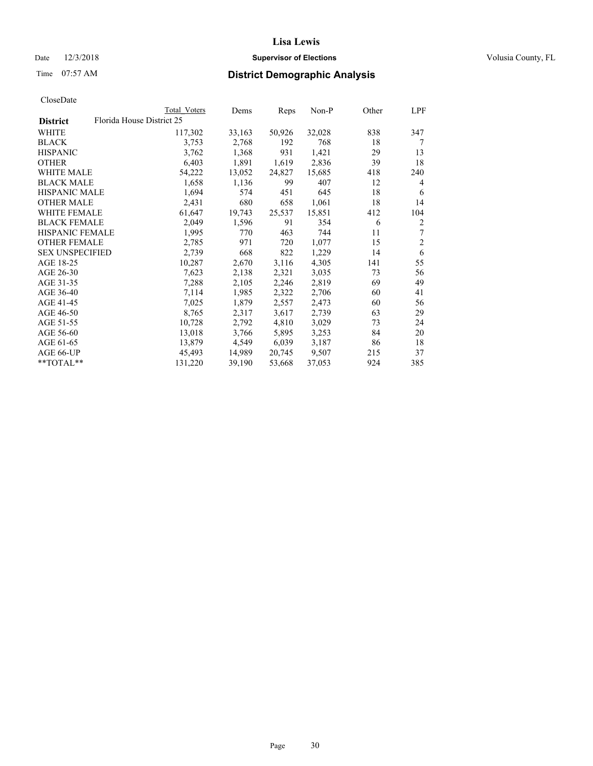## Date  $12/3/2018$  **Supervisor of Elections** Volusia County, FL

|                        |                           | Total Voters | Dems   | Reps   | Non-P  | Other | LPF            |
|------------------------|---------------------------|--------------|--------|--------|--------|-------|----------------|
| <b>District</b>        | Florida House District 25 |              |        |        |        |       |                |
| WHITE                  |                           | 117,302      | 33,163 | 50,926 | 32,028 | 838   | 347            |
| <b>BLACK</b>           |                           | 3,753        | 2,768  | 192    | 768    | 18    | 7              |
| <b>HISPANIC</b>        |                           | 3,762        | 1,368  | 931    | 1,421  | 29    | 13             |
| <b>OTHER</b>           |                           | 6,403        | 1,891  | 1,619  | 2,836  | 39    | 18             |
| <b>WHITE MALE</b>      |                           | 54,222       | 13,052 | 24,827 | 15,685 | 418   | 240            |
| <b>BLACK MALE</b>      |                           | 1,658        | 1,136  | 99     | 407    | 12    | 4              |
| <b>HISPANIC MALE</b>   |                           | 1,694        | 574    | 451    | 645    | 18    | 6              |
| <b>OTHER MALE</b>      |                           | 2,431        | 680    | 658    | 1,061  | 18    | 14             |
| <b>WHITE FEMALE</b>    |                           | 61,647       | 19,743 | 25,537 | 15,851 | 412   | 104            |
| <b>BLACK FEMALE</b>    |                           | 2,049        | 1,596  | 91     | 354    | 6     | 2              |
| <b>HISPANIC FEMALE</b> |                           | 1,995        | 770    | 463    | 744    | 11    | 7              |
| <b>OTHER FEMALE</b>    |                           | 2,785        | 971    | 720    | 1,077  | 15    | $\overline{2}$ |
| <b>SEX UNSPECIFIED</b> |                           | 2,739        | 668    | 822    | 1,229  | 14    | 6              |
| AGE 18-25              |                           | 10,287       | 2,670  | 3,116  | 4,305  | 141   | 55             |
| AGE 26-30              |                           | 7,623        | 2,138  | 2,321  | 3,035  | 73    | 56             |
| AGE 31-35              |                           | 7,288        | 2,105  | 2,246  | 2,819  | 69    | 49             |
| AGE 36-40              |                           | 7,114        | 1,985  | 2,322  | 2,706  | 60    | 41             |
| AGE 41-45              |                           | 7,025        | 1,879  | 2,557  | 2,473  | 60    | 56             |
| AGE 46-50              |                           | 8,765        | 2,317  | 3,617  | 2,739  | 63    | 29             |
| AGE 51-55              |                           | 10,728       | 2,792  | 4,810  | 3,029  | 73    | 24             |
| AGE 56-60              |                           | 13,018       | 3,766  | 5,895  | 3,253  | 84    | 20             |
| AGE 61-65              |                           | 13,879       | 4,549  | 6,039  | 3,187  | 86    | 18             |
| AGE 66-UP              |                           | 45,493       | 14,989 | 20,745 | 9,507  | 215   | 37             |
| **TOTAL**              |                           | 131,220      | 39,190 | 53,668 | 37,053 | 924   | 385            |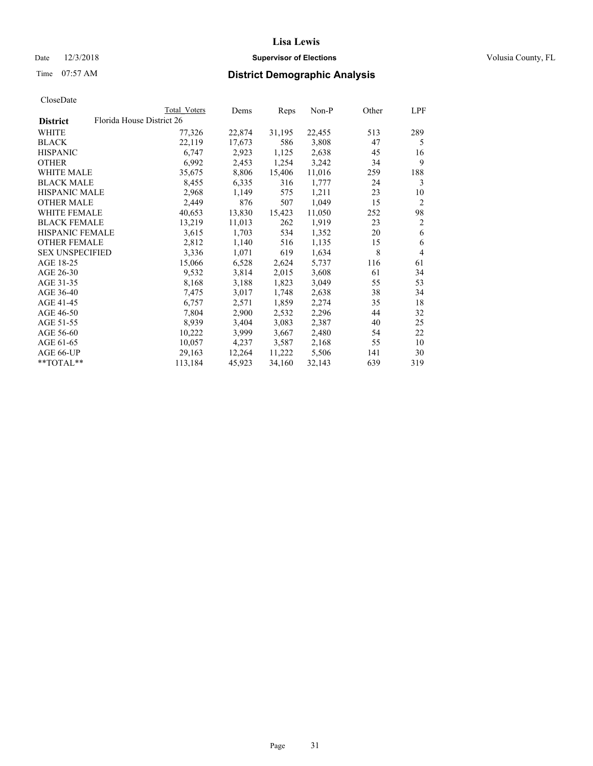## Date  $12/3/2018$  **Supervisor of Elections** Volusia County, FL

| CloseDate |
|-----------|
|-----------|

|                        |                           | Total Voters | Dems   | Reps   | $Non-P$ | Other | LPF            |
|------------------------|---------------------------|--------------|--------|--------|---------|-------|----------------|
| <b>District</b>        | Florida House District 26 |              |        |        |         |       |                |
| WHITE                  |                           | 77,326       | 22,874 | 31,195 | 22,455  | 513   | 289            |
| <b>BLACK</b>           |                           | 22,119       | 17,673 | 586    | 3,808   | 47    | 5              |
| <b>HISPANIC</b>        |                           | 6,747        | 2,923  | 1,125  | 2,638   | 45    | 16             |
| <b>OTHER</b>           |                           | 6,992        | 2,453  | 1,254  | 3,242   | 34    | 9              |
| WHITE MALE             |                           | 35,675       | 8,806  | 15,406 | 11,016  | 259   | 188            |
| <b>BLACK MALE</b>      |                           | 8,455        | 6,335  | 316    | 1,777   | 24    | 3              |
| <b>HISPANIC MALE</b>   |                           | 2,968        | 1,149  | 575    | 1,211   | 23    | 10             |
| <b>OTHER MALE</b>      |                           | 2,449        | 876    | 507    | 1,049   | 15    | $\overline{2}$ |
| <b>WHITE FEMALE</b>    |                           | 40,653       | 13,830 | 15,423 | 11,050  | 252   | 98             |
| <b>BLACK FEMALE</b>    |                           | 13,219       | 11,013 | 262    | 1,919   | 23    | $\overline{2}$ |
| HISPANIC FEMALE        |                           | 3,615        | 1,703  | 534    | 1,352   | 20    | 6              |
| <b>OTHER FEMALE</b>    |                           | 2,812        | 1,140  | 516    | 1,135   | 15    | 6              |
| <b>SEX UNSPECIFIED</b> |                           | 3,336        | 1,071  | 619    | 1,634   | 8     | $\overline{4}$ |
| AGE 18-25              |                           | 15,066       | 6,528  | 2,624  | 5,737   | 116   | 61             |
| AGE 26-30              |                           | 9,532        | 3,814  | 2,015  | 3,608   | 61    | 34             |
| AGE 31-35              |                           | 8,168        | 3,188  | 1,823  | 3,049   | 55    | 53             |
| AGE 36-40              |                           | 7,475        | 3,017  | 1,748  | 2,638   | 38    | 34             |
| AGE 41-45              |                           | 6,757        | 2,571  | 1,859  | 2,274   | 35    | 18             |
| AGE 46-50              |                           | 7,804        | 2,900  | 2,532  | 2,296   | 44    | 32             |
| AGE 51-55              |                           | 8,939        | 3,404  | 3,083  | 2,387   | 40    | 25             |
| AGE 56-60              |                           | 10,222       | 3,999  | 3,667  | 2,480   | 54    | 22             |
| AGE 61-65              |                           | 10,057       | 4,237  | 3,587  | 2,168   | 55    | 10             |
| AGE 66-UP              |                           | 29,163       | 12,264 | 11,222 | 5,506   | 141   | 30             |
| $*$ TOTAL $*$          |                           | 113,184      | 45,923 | 34,160 | 32,143  | 639   | 319            |
|                        |                           |              |        |        |         |       |                |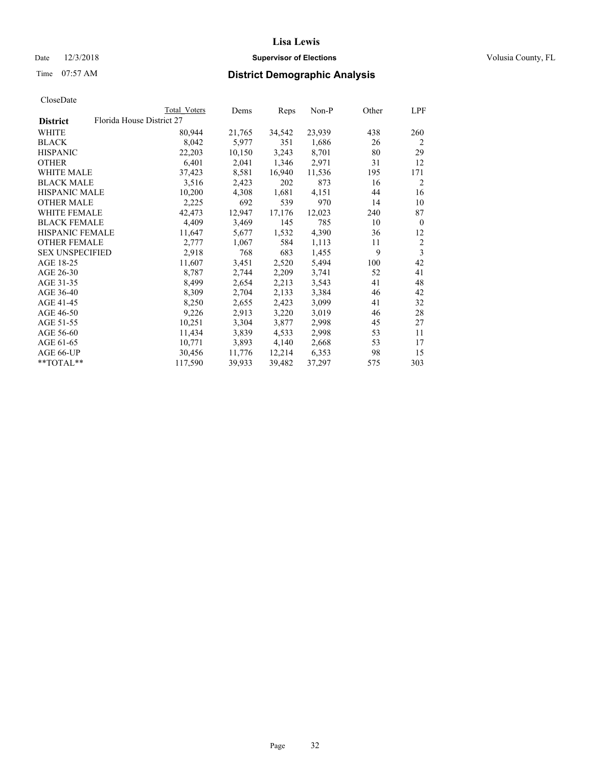## Date  $12/3/2018$  **Supervisor of Elections** Volusia County, FL

| Total Voters | Dems                      | Reps   | Non-P  | Other | LPF            |
|--------------|---------------------------|--------|--------|-------|----------------|
|              |                           |        |        |       |                |
| 80,944       | 21,765                    | 34,542 | 23,939 | 438   | 260            |
| 8,042        | 5,977                     | 351    | 1,686  | 26    | $\overline{2}$ |
| 22,203       | 10,150                    | 3,243  | 8,701  | 80    | 29             |
| 6,401        | 2,041                     | 1,346  | 2,971  | 31    | 12             |
| 37,423       | 8,581                     | 16,940 | 11,536 | 195   | 171            |
| 3,516        | 2,423                     | 202    | 873    | 16    | 2              |
| 10,200       | 4,308                     | 1,681  | 4,151  | 44    | 16             |
| 2,225        | 692                       | 539    | 970    | 14    | 10             |
| 42,473       | 12,947                    | 17,176 | 12,023 | 240   | 87             |
| 4,409        | 3,469                     | 145    | 785    | 10    | $\theta$       |
| 11,647       | 5,677                     | 1,532  | 4,390  | 36    | 12             |
| 2,777        | 1,067                     | 584    | 1,113  | 11    | $\overline{2}$ |
| 2,918        | 768                       | 683    | 1,455  | 9     | 3              |
| 11,607       | 3,451                     | 2,520  | 5,494  | 100   | 42             |
| 8,787        | 2,744                     | 2,209  | 3,741  | 52    | 41             |
| 8,499        | 2,654                     | 2,213  | 3,543  | 41    | 48             |
| 8,309        | 2,704                     | 2,133  | 3,384  | 46    | 42             |
| 8,250        | 2,655                     | 2,423  | 3,099  | 41    | 32             |
| 9,226        | 2,913                     | 3,220  | 3,019  | 46    | 28             |
| 10,251       | 3,304                     | 3,877  | 2,998  | 45    | 27             |
| 11,434       | 3,839                     | 4,533  | 2,998  | 53    | 11             |
| 10,771       | 3,893                     | 4,140  | 2,668  | 53    | 17             |
| 30,456       | 11,776                    | 12,214 | 6,353  | 98    | 15             |
| 117,590      | 39,933                    | 39,482 | 37,297 | 575   | 303            |
|              | Florida House District 27 |        |        |       |                |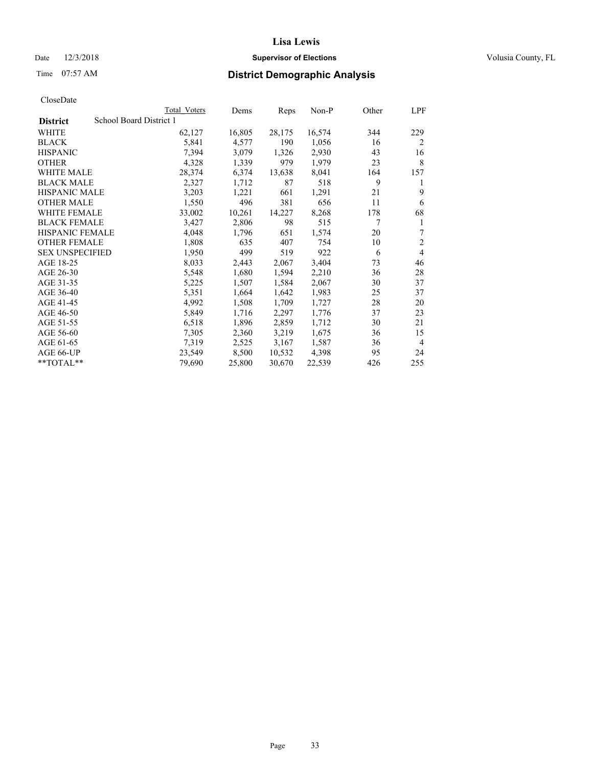## Date  $12/3/2018$  **Supervisor of Elections** Volusia County, FL

# Time 07:57 AM **District Demographic Analysis**

|                        | Total Voters            | Dems   | Reps   | Non-P  | Other | LPF            |
|------------------------|-------------------------|--------|--------|--------|-------|----------------|
| <b>District</b>        | School Board District 1 |        |        |        |       |                |
| WHITE                  | 62,127                  | 16,805 | 28,175 | 16,574 | 344   | 229            |
| <b>BLACK</b>           | 5,841                   | 4,577  | 190    | 1,056  | 16    | $\overline{2}$ |
| <b>HISPANIC</b>        | 7,394                   | 3,079  | 1,326  | 2,930  | 43    | 16             |
| <b>OTHER</b>           | 4,328                   | 1,339  | 979    | 1,979  | 23    | 8              |
| WHITE MALE             | 28,374                  | 6,374  | 13,638 | 8,041  | 164   | 157            |
| <b>BLACK MALE</b>      | 2,327                   | 1,712  | 87     | 518    | 9     | 1              |
| <b>HISPANIC MALE</b>   | 3,203                   | 1,221  | 661    | 1,291  | 21    | 9              |
| <b>OTHER MALE</b>      | 1,550                   | 496    | 381    | 656    | 11    | 6              |
| WHITE FEMALE           | 33,002                  | 10,261 | 14,227 | 8,268  | 178   | 68             |
| <b>BLACK FEMALE</b>    | 3,427                   | 2,806  | 98     | 515    | 7     | 1              |
| <b>HISPANIC FEMALE</b> | 4,048                   | 1,796  | 651    | 1,574  | 20    | 7              |
| <b>OTHER FEMALE</b>    | 1,808                   | 635    | 407    | 754    | 10    | $\mathfrak{2}$ |
| <b>SEX UNSPECIFIED</b> | 1,950                   | 499    | 519    | 922    | 6     | 4              |
| AGE 18-25              | 8,033                   | 2,443  | 2,067  | 3,404  | 73    | 46             |
| AGE 26-30              | 5,548                   | 1,680  | 1,594  | 2,210  | 36    | 28             |
| AGE 31-35              | 5,225                   | 1,507  | 1,584  | 2,067  | 30    | 37             |
| AGE 36-40              | 5,351                   | 1,664  | 1,642  | 1,983  | 25    | 37             |
| AGE 41-45              | 4,992                   | 1,508  | 1,709  | 1,727  | 28    | 20             |
| AGE 46-50              | 5,849                   | 1,716  | 2,297  | 1,776  | 37    | 23             |
| AGE 51-55              | 6,518                   | 1,896  | 2,859  | 1,712  | 30    | 21             |
| AGE 56-60              | 7,305                   | 2,360  | 3,219  | 1,675  | 36    | 15             |
| AGE 61-65              | 7,319                   | 2,525  | 3,167  | 1,587  | 36    | 4              |
| AGE 66-UP              | 23,549                  | 8,500  | 10,532 | 4,398  | 95    | 24             |
| $*$ $TOTAL**$          | 79,690                  | 25,800 | 30,670 | 22,539 | 426   | 255            |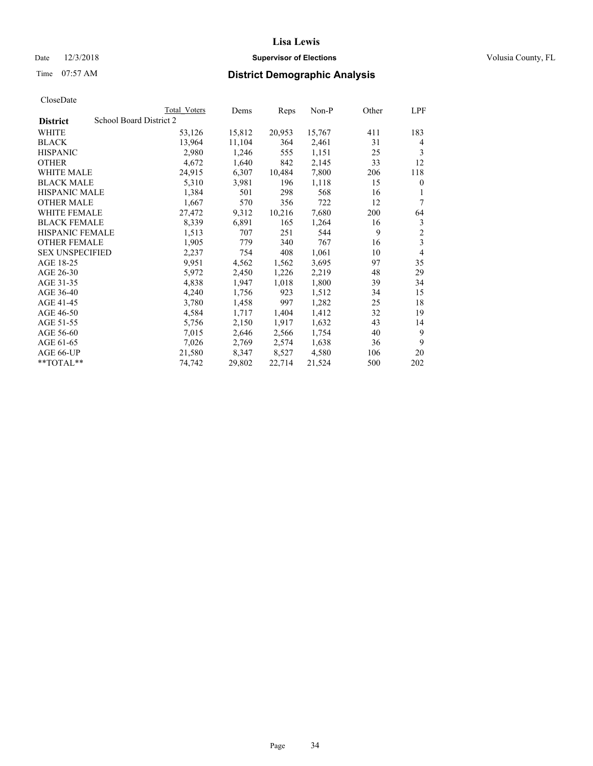## Date  $12/3/2018$  **Supervisor of Elections** Volusia County, FL

# Time 07:57 AM **District Demographic Analysis**

|                        | Total Voters            | Dems   | Reps   | Non-P  | Other | LPF            |
|------------------------|-------------------------|--------|--------|--------|-------|----------------|
| <b>District</b>        | School Board District 2 |        |        |        |       |                |
| WHITE                  | 53,126                  | 15,812 | 20,953 | 15,767 | 411   | 183            |
| <b>BLACK</b>           | 13,964                  | 11,104 | 364    | 2,461  | 31    | 4              |
| <b>HISPANIC</b>        | 2,980                   | 1,246  | 555    | 1,151  | 25    | 3              |
| <b>OTHER</b>           | 4,672                   | 1,640  | 842    | 2,145  | 33    | 12             |
| WHITE MALE             | 24,915                  | 6,307  | 10,484 | 7,800  | 206   | 118            |
| <b>BLACK MALE</b>      | 5,310                   | 3,981  | 196    | 1,118  | 15    | $\theta$       |
| <b>HISPANIC MALE</b>   | 1,384                   | 501    | 298    | 568    | 16    | 1              |
| <b>OTHER MALE</b>      | 1,667                   | 570    | 356    | 722    | 12    | 7              |
| <b>WHITE FEMALE</b>    | 27,472                  | 9,312  | 10,216 | 7,680  | 200   | 64             |
| <b>BLACK FEMALE</b>    | 8,339                   | 6,891  | 165    | 1,264  | 16    | 3              |
| <b>HISPANIC FEMALE</b> | 1,513                   | 707    | 251    | 544    | 9     | $\overline{2}$ |
| <b>OTHER FEMALE</b>    | 1,905                   | 779    | 340    | 767    | 16    | 3              |
| <b>SEX UNSPECIFIED</b> | 2,237                   | 754    | 408    | 1,061  | 10    | $\overline{4}$ |
| AGE 18-25              | 9,951                   | 4,562  | 1,562  | 3,695  | 97    | 35             |
| AGE 26-30              | 5,972                   | 2,450  | 1,226  | 2,219  | 48    | 29             |
| AGE 31-35              | 4,838                   | 1,947  | 1,018  | 1,800  | 39    | 34             |
| AGE 36-40              | 4,240                   | 1,756  | 923    | 1,512  | 34    | 15             |
| AGE 41-45              | 3,780                   | 1,458  | 997    | 1,282  | 25    | 18             |
| AGE 46-50              | 4,584                   | 1,717  | 1,404  | 1,412  | 32    | 19             |
| AGE 51-55              | 5,756                   | 2,150  | 1,917  | 1,632  | 43    | 14             |
| AGE 56-60              | 7,015                   | 2,646  | 2,566  | 1,754  | 40    | 9              |
| AGE 61-65              | 7,026                   | 2,769  | 2,574  | 1,638  | 36    | 9              |
| AGE 66-UP              | 21,580                  | 8,347  | 8,527  | 4,580  | 106   | 20             |
| $*$ TOTAL $*$          | 74,742                  | 29,802 | 22,714 | 21,524 | 500   | 202            |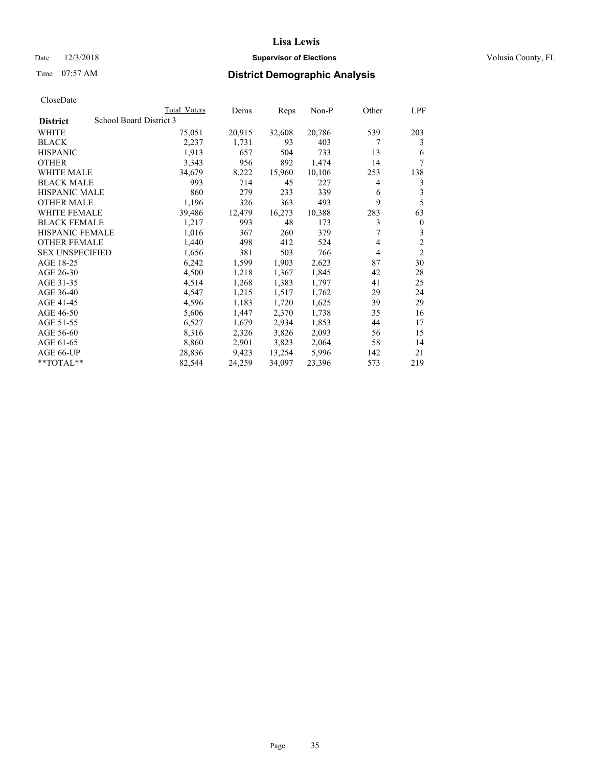## Date  $12/3/2018$  **Supervisor of Elections** Volusia County, FL

# Time 07:57 AM **District Demographic Analysis**

|                        | Total Voters            | Dems   | Reps   | Non-P  | Other | LPF            |
|------------------------|-------------------------|--------|--------|--------|-------|----------------|
| <b>District</b>        | School Board District 3 |        |        |        |       |                |
| WHITE                  | 75,051                  | 20,915 | 32,608 | 20,786 | 539   | 203            |
| <b>BLACK</b>           | 2,237                   | 1,731  | 93     | 403    | 7     | 3              |
| <b>HISPANIC</b>        | 1,913                   | 657    | 504    | 733    | 13    | 6              |
| <b>OTHER</b>           | 3,343                   | 956    | 892    | 1,474  | 14    | 7              |
| WHITE MALE             | 34,679                  | 8,222  | 15,960 | 10,106 | 253   | 138            |
| <b>BLACK MALE</b>      | 993                     | 714    | 45     | 227    | 4     | 3              |
| <b>HISPANIC MALE</b>   | 860                     | 279    | 233    | 339    | 6     | 3              |
| <b>OTHER MALE</b>      | 1,196                   | 326    | 363    | 493    | 9     | 5              |
| WHITE FEMALE           | 39,486                  | 12,479 | 16,273 | 10,388 | 283   | 63             |
| <b>BLACK FEMALE</b>    | 1,217                   | 993    | 48     | 173    | 3     | $\mathbf{0}$   |
| <b>HISPANIC FEMALE</b> | 1,016                   | 367    | 260    | 379    | 7     | 3              |
| <b>OTHER FEMALE</b>    | 1,440                   | 498    | 412    | 524    | 4     | $\overline{c}$ |
| <b>SEX UNSPECIFIED</b> | 1,656                   | 381    | 503    | 766    | 4     | $\overline{2}$ |
| AGE 18-25              | 6,242                   | 1,599  | 1,903  | 2,623  | 87    | 30             |
| AGE 26-30              | 4,500                   | 1,218  | 1,367  | 1,845  | 42    | 28             |
| AGE 31-35              | 4,514                   | 1,268  | 1,383  | 1,797  | 41    | 25             |
| AGE 36-40              | 4,547                   | 1,215  | 1,517  | 1,762  | 29    | 24             |
| AGE 41-45              | 4,596                   | 1,183  | 1,720  | 1,625  | 39    | 29             |
| AGE 46-50              | 5,606                   | 1,447  | 2,370  | 1,738  | 35    | 16             |
| AGE 51-55              | 6,527                   | 1,679  | 2,934  | 1,853  | 44    | 17             |
| AGE 56-60              | 8,316                   | 2,326  | 3,826  | 2,093  | 56    | 15             |
| AGE 61-65              | 8,860                   | 2,901  | 3,823  | 2,064  | 58    | 14             |
| AGE 66-UP              | 28,836                  | 9,423  | 13,254 | 5,996  | 142   | 21             |
| $*$ $TOTAL**$          | 82,544                  | 24,259 | 34,097 | 23,396 | 573   | 219            |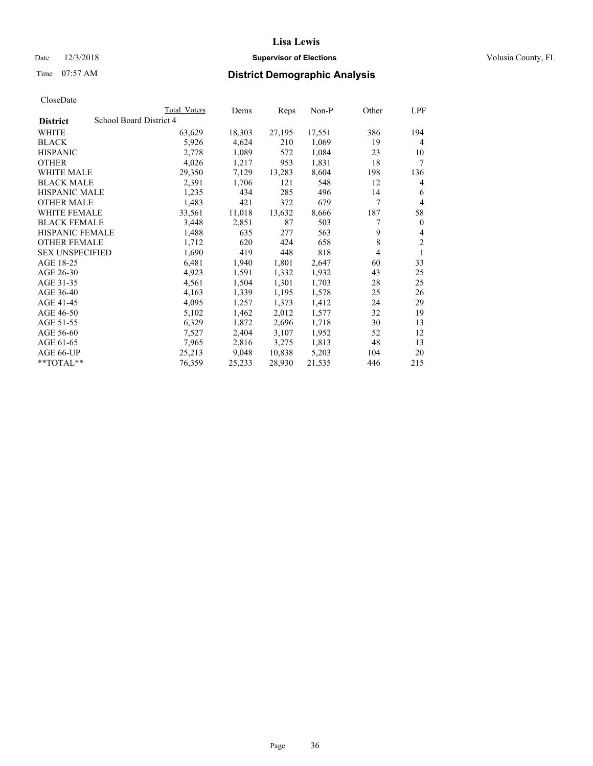## Date  $12/3/2018$  **Supervisor of Elections** Volusia County, FL

# Time 07:57 AM **District Demographic Analysis**

|                        | Total Voters            | Dems   | Reps   | Non-P  | Other | LPF            |
|------------------------|-------------------------|--------|--------|--------|-------|----------------|
| <b>District</b>        | School Board District 4 |        |        |        |       |                |
| WHITE                  | 63,629                  | 18,303 | 27,195 | 17,551 | 386   | 194            |
| <b>BLACK</b>           | 5,926                   | 4,624  | 210    | 1,069  | 19    | 4              |
| <b>HISPANIC</b>        | 2,778                   | 1,089  | 572    | 1,084  | 23    | 10             |
| <b>OTHER</b>           | 4,026                   | 1,217  | 953    | 1,831  | 18    | 7              |
| WHITE MALE             | 29,350                  | 7,129  | 13,283 | 8,604  | 198   | 136            |
| <b>BLACK MALE</b>      | 2,391                   | 1,706  | 121    | 548    | 12    | 4              |
| <b>HISPANIC MALE</b>   | 1,235                   | 434    | 285    | 496    | 14    | 6              |
| <b>OTHER MALE</b>      | 1,483                   | 421    | 372    | 679    | 7     | 4              |
| WHITE FEMALE           | 33,561                  | 11,018 | 13,632 | 8,666  | 187   | 58             |
| <b>BLACK FEMALE</b>    | 3,448                   | 2,851  | 87     | 503    | 7     | $\mathbf{0}$   |
| <b>HISPANIC FEMALE</b> | 1,488                   | 635    | 277    | 563    | 9     | 4              |
| <b>OTHER FEMALE</b>    | 1,712                   | 620    | 424    | 658    | 8     | $\mathfrak{2}$ |
| <b>SEX UNSPECIFIED</b> | 1,690                   | 419    | 448    | 818    | 4     | 1              |
| AGE 18-25              | 6,481                   | 1,940  | 1,801  | 2,647  | 60    | 33             |
| AGE 26-30              | 4,923                   | 1,591  | 1,332  | 1,932  | 43    | 25             |
| AGE 31-35              | 4,561                   | 1,504  | 1,301  | 1,703  | 28    | 25             |
| AGE 36-40              | 4,163                   | 1,339  | 1,195  | 1,578  | 25    | 26             |
| AGE 41-45              | 4,095                   | 1,257  | 1,373  | 1,412  | 24    | 29             |
| AGE 46-50              | 5,102                   | 1,462  | 2,012  | 1,577  | 32    | 19             |
| AGE 51-55              | 6,329                   | 1,872  | 2,696  | 1,718  | 30    | 13             |
| AGE 56-60              | 7,527                   | 2,404  | 3,107  | 1,952  | 52    | 12             |
| AGE 61-65              | 7,965                   | 2,816  | 3,275  | 1,813  | 48    | 13             |
| AGE 66-UP              | 25,213                  | 9,048  | 10,838 | 5,203  | 104   | 20             |
| $*$ $TOTAL**$          | 76,359                  | 25,233 | 28,930 | 21,535 | 446   | 215            |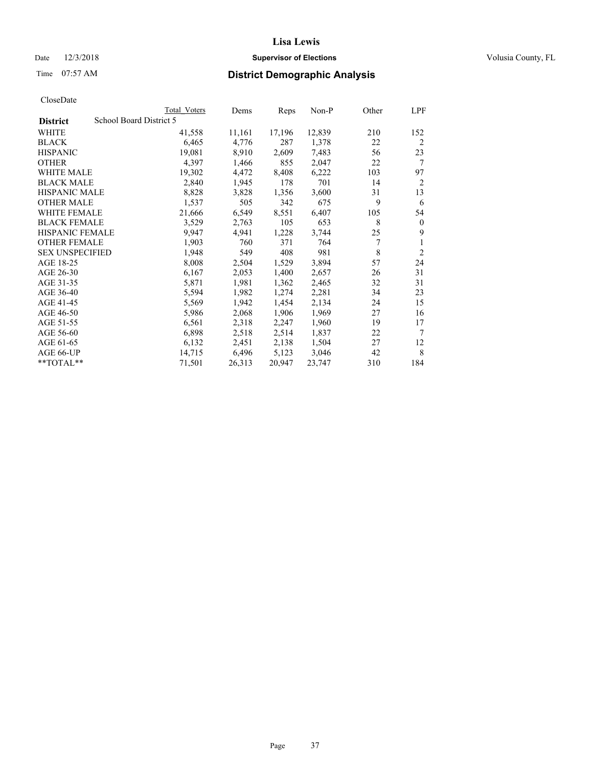# Date  $12/3/2018$  **Supervisor of Elections** Volusia County, FL

# Time 07:57 AM **District Demographic Analysis**

|                                            | Total Voters | Dems   | Reps   | $Non-P$ | Other | LPF            |
|--------------------------------------------|--------------|--------|--------|---------|-------|----------------|
| School Board District 5<br><b>District</b> |              |        |        |         |       |                |
| WHITE                                      | 41,558       | 11,161 | 17,196 | 12,839  | 210   | 152            |
| <b>BLACK</b>                               | 6,465        | 4,776  | 287    | 1,378   | 22    | $\overline{2}$ |
| <b>HISPANIC</b>                            | 19,081       | 8,910  | 2,609  | 7,483   | 56    | 23             |
| <b>OTHER</b>                               | 4,397        | 1,466  | 855    | 2,047   | 22    | 7              |
| WHITE MALE                                 | 19,302       | 4,472  | 8,408  | 6,222   | 103   | 97             |
| <b>BLACK MALE</b>                          | 2,840        | 1,945  | 178    | 701     | 14    | $\overline{2}$ |
| <b>HISPANIC MALE</b>                       | 8,828        | 3,828  | 1,356  | 3,600   | 31    | 13             |
| <b>OTHER MALE</b>                          | 1,537        | 505    | 342    | 675     | 9     | 6              |
| <b>WHITE FEMALE</b>                        | 21,666       | 6,549  | 8,551  | 6,407   | 105   | 54             |
| <b>BLACK FEMALE</b>                        | 3,529        | 2,763  | 105    | 653     | 8     | $\mathbf{0}$   |
| HISPANIC FEMALE                            | 9,947        | 4,941  | 1,228  | 3,744   | 25    | 9              |
| <b>OTHER FEMALE</b>                        | 1,903        | 760    | 371    | 764     | 7     | 1              |
| <b>SEX UNSPECIFIED</b>                     | 1,948        | 549    | 408    | 981     | 8     | $\overline{2}$ |
| AGE 18-25                                  | 8,008        | 2,504  | 1,529  | 3,894   | 57    | 24             |
| AGE 26-30                                  | 6,167        | 2,053  | 1,400  | 2,657   | 26    | 31             |
| AGE 31-35                                  | 5,871        | 1,981  | 1,362  | 2,465   | 32    | 31             |
| AGE 36-40                                  | 5,594        | 1,982  | 1,274  | 2,281   | 34    | 23             |
| AGE 41-45                                  | 5,569        | 1,942  | 1,454  | 2,134   | 24    | 15             |
| AGE 46-50                                  | 5,986        | 2,068  | 1,906  | 1,969   | 27    | 16             |
| AGE 51-55                                  | 6,561        | 2,318  | 2,247  | 1,960   | 19    | 17             |
| AGE 56-60                                  | 6,898        | 2,518  | 2,514  | 1,837   | 22    | 7              |
| AGE 61-65                                  | 6,132        | 2,451  | 2,138  | 1,504   | 27    | 12             |
| AGE 66-UP                                  | 14,715       | 6,496  | 5,123  | 3,046   | 42    | 8              |
| $*$ TOTAL $*$                              | 71,501       | 26,313 | 20,947 | 23,747  | 310   | 184            |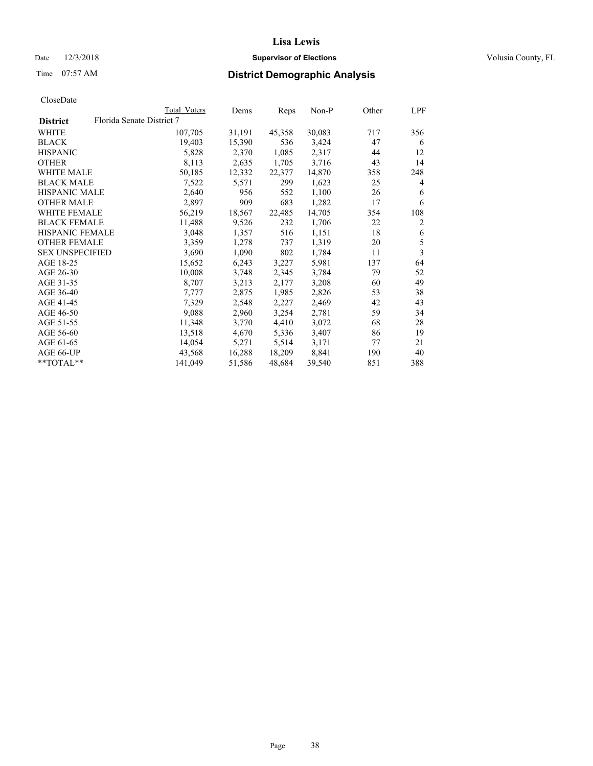# Date  $12/3/2018$  **Supervisor of Elections** Volusia County, FL

# Time 07:57 AM **District Demographic Analysis**

| Total Voters                                                                                                                                                                                   | Dems                      | Reps   | $Non-P$ | Other | LPF            |
|------------------------------------------------------------------------------------------------------------------------------------------------------------------------------------------------|---------------------------|--------|---------|-------|----------------|
|                                                                                                                                                                                                |                           |        |         |       |                |
| 107,705                                                                                                                                                                                        | 31,191                    | 45,358 | 30,083  | 717   | 356            |
| 19,403                                                                                                                                                                                         | 15,390                    | 536    | 3,424   | 47    | 6              |
| 5,828                                                                                                                                                                                          | 2,370                     | 1,085  | 2,317   | 44    | 12             |
| 8,113                                                                                                                                                                                          | 2,635                     | 1,705  | 3,716   | 43    | 14             |
| 50,185                                                                                                                                                                                         | 12,332                    | 22,377 | 14,870  | 358   | 248            |
| 7,522                                                                                                                                                                                          | 5,571                     | 299    | 1,623   | 25    | 4              |
| 2,640                                                                                                                                                                                          | 956                       | 552    | 1,100   | 26    | 6              |
| 2,897                                                                                                                                                                                          | 909                       | 683    | 1,282   | 17    | 6              |
| 56,219                                                                                                                                                                                         | 18,567                    | 22,485 | 14,705  | 354   | 108            |
| 11,488                                                                                                                                                                                         | 9,526                     | 232    | 1,706   | 22    | $\overline{2}$ |
| 3,048                                                                                                                                                                                          | 1,357                     | 516    | 1,151   | 18    | 6              |
| 3,359                                                                                                                                                                                          | 1,278                     | 737    | 1,319   | 20    | 5              |
| 3,690                                                                                                                                                                                          | 1,090                     | 802    | 1,784   | 11    | 3              |
| 15,652                                                                                                                                                                                         | 6,243                     | 3,227  | 5,981   | 137   | 64             |
| 10,008                                                                                                                                                                                         | 3,748                     | 2,345  | 3,784   | 79    | 52             |
| 8,707                                                                                                                                                                                          | 3,213                     | 2,177  | 3,208   | 60    | 49             |
| 7,777                                                                                                                                                                                          | 2,875                     | 1,985  | 2,826   | 53    | 38             |
| 7,329                                                                                                                                                                                          | 2,548                     | 2,227  | 2,469   | 42    | 43             |
| 9,088                                                                                                                                                                                          | 2,960                     | 3,254  | 2,781   | 59    | 34             |
| 11,348                                                                                                                                                                                         | 3,770                     | 4,410  | 3,072   | 68    | 28             |
| 13,518                                                                                                                                                                                         | 4,670                     | 5,336  | 3,407   | 86    | 19             |
| 14,054                                                                                                                                                                                         | 5,271                     | 5,514  | 3,171   | 77    | 21             |
| 43,568                                                                                                                                                                                         | 16,288                    | 18,209 | 8,841   | 190   | 40             |
| 141,049                                                                                                                                                                                        | 51,586                    | 48,684 | 39,540  | 851   | 388            |
| WHITE MALE<br><b>BLACK MALE</b><br><b>HISPANIC MALE</b><br><b>OTHER MALE</b><br><b>WHITE FEMALE</b><br><b>BLACK FEMALE</b><br>HISPANIC FEMALE<br><b>OTHER FEMALE</b><br><b>SEX UNSPECIFIED</b> | Florida Senate District 7 |        |         |       |                |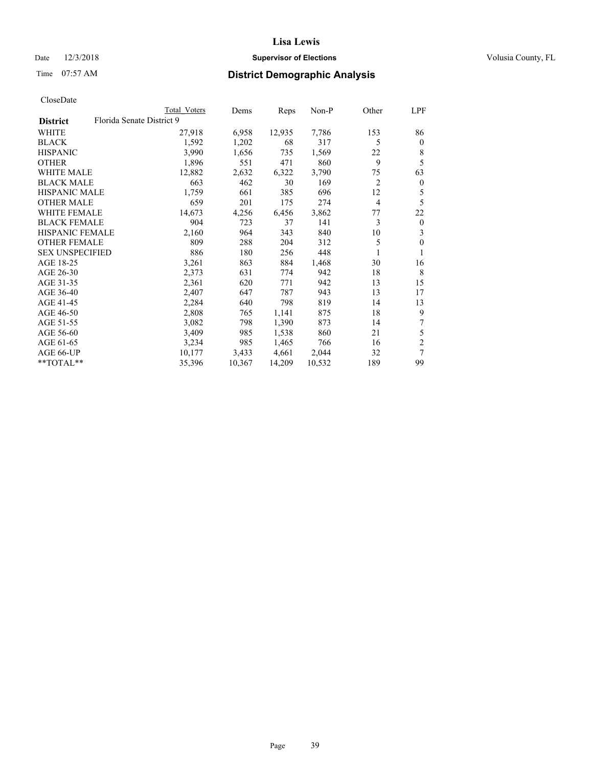# Date  $12/3/2018$  **Supervisor of Elections** Volusia County, FL

# Time 07:57 AM **District Demographic Analysis**

|                        | Total Voters              | Dems   | Reps   | $Non-P$ | Other | LPF            |
|------------------------|---------------------------|--------|--------|---------|-------|----------------|
| <b>District</b>        | Florida Senate District 9 |        |        |         |       |                |
| WHITE                  | 27,918                    | 6,958  | 12,935 | 7,786   | 153   | 86             |
| <b>BLACK</b>           | 1,592                     | 1,202  | 68     | 317     | 5     | $\mathbf{0}$   |
| <b>HISPANIC</b>        | 3,990                     | 1,656  | 735    | 1,569   | 22    | 8              |
| <b>OTHER</b>           | 1,896                     | 551    | 471    | 860     | 9     | 5              |
| WHITE MALE             | 12,882                    | 2,632  | 6,322  | 3,790   | 75    | 63             |
| <b>BLACK MALE</b>      | 663                       | 462    | 30     | 169     | 2     | $\mathbf{0}$   |
| <b>HISPANIC MALE</b>   | 1,759                     | 661    | 385    | 696     | 12    | 5              |
| <b>OTHER MALE</b>      | 659                       | 201    | 175    | 274     | 4     | 5              |
| WHITE FEMALE           | 14,673                    | 4,256  | 6,456  | 3,862   | 77    | 22             |
| <b>BLACK FEMALE</b>    | 904                       | 723    | 37     | 141     | 3     | $\mathbf{0}$   |
| HISPANIC FEMALE        | 2,160                     | 964    | 343    | 840     | 10    | 3              |
| <b>OTHER FEMALE</b>    | 809                       | 288    | 204    | 312     | 5     | $\theta$       |
| <b>SEX UNSPECIFIED</b> | 886                       | 180    | 256    | 448     | 1     | 1              |
| AGE 18-25              | 3,261                     | 863    | 884    | 1,468   | 30    | 16             |
| AGE 26-30              | 2,373                     | 631    | 774    | 942     | 18    | 8              |
| AGE 31-35              | 2,361                     | 620    | 771    | 942     | 13    | 15             |
| AGE 36-40              | 2,407                     | 647    | 787    | 943     | 13    | 17             |
| AGE 41-45              | 2,284                     | 640    | 798    | 819     | 14    | 13             |
| AGE 46-50              | 2,808                     | 765    | 1,141  | 875     | 18    | 9              |
| AGE 51-55              | 3,082                     | 798    | 1,390  | 873     | 14    | 7              |
| AGE 56-60              | 3,409                     | 985    | 1,538  | 860     | 21    | 5              |
| AGE 61-65              | 3,234                     | 985    | 1,465  | 766     | 16    | $\overline{2}$ |
| AGE 66-UP              | 10,177                    | 3,433  | 4,661  | 2,044   | 32    | 7              |
| $*$ TOTAL $**$         | 35,396                    | 10,367 | 14,209 | 10,532  | 189   | 99             |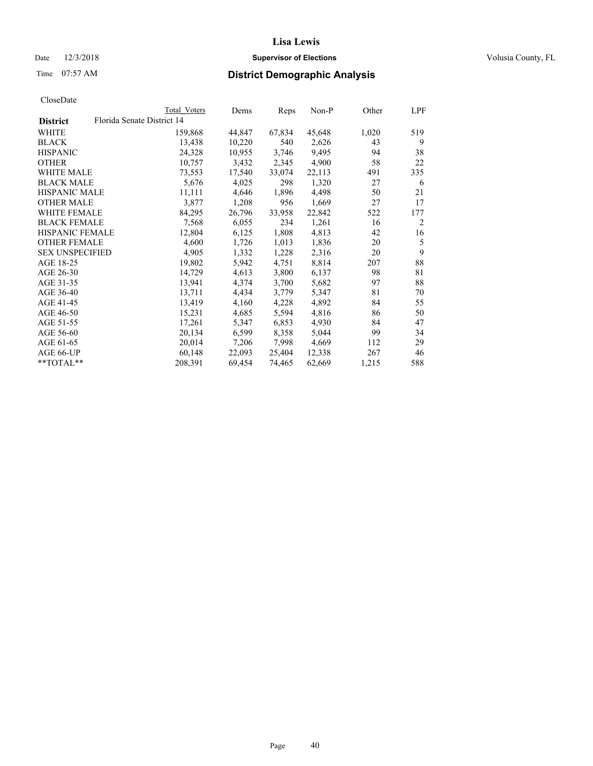# Date  $12/3/2018$  **Supervisor of Elections** Volusia County, FL

| CloseDate |
|-----------|
|-----------|

|                                               | Total Voters | Dems   | Reps   | Non-P  | Other | LPF |
|-----------------------------------------------|--------------|--------|--------|--------|-------|-----|
| Florida Senate District 14<br><b>District</b> |              |        |        |        |       |     |
| WHITE                                         | 159,868      | 44,847 | 67,834 | 45,648 | 1,020 | 519 |
| <b>BLACK</b>                                  | 13,438       | 10,220 | 540    | 2,626  | 43    | 9   |
| <b>HISPANIC</b>                               | 24,328       | 10,955 | 3,746  | 9,495  | 94    | 38  |
| <b>OTHER</b>                                  | 10,757       | 3,432  | 2,345  | 4,900  | 58    | 22  |
| <b>WHITE MALE</b>                             | 73,553       | 17,540 | 33,074 | 22,113 | 491   | 335 |
| <b>BLACK MALE</b>                             | 5,676        | 4,025  | 298    | 1,320  | 27    | 6   |
| <b>HISPANIC MALE</b>                          | 11,111       | 4,646  | 1,896  | 4,498  | 50    | 21  |
| <b>OTHER MALE</b>                             | 3,877        | 1,208  | 956    | 1,669  | 27    | 17  |
| WHITE FEMALE                                  | 84,295       | 26,796 | 33,958 | 22,842 | 522   | 177 |
| <b>BLACK FEMALE</b>                           | 7,568        | 6,055  | 234    | 1,261  | 16    | 2   |
| <b>HISPANIC FEMALE</b>                        | 12,804       | 6,125  | 1,808  | 4,813  | 42    | 16  |
| <b>OTHER FEMALE</b>                           | 4,600        | 1,726  | 1,013  | 1,836  | 20    | 5   |
| <b>SEX UNSPECIFIED</b>                        | 4,905        | 1,332  | 1,228  | 2,316  | 20    | 9   |
| AGE 18-25                                     | 19,802       | 5,942  | 4,751  | 8,814  | 207   | 88  |
| AGE 26-30                                     | 14,729       | 4,613  | 3,800  | 6,137  | 98    | 81  |
| AGE 31-35                                     | 13,941       | 4,374  | 3,700  | 5,682  | 97    | 88  |
| AGE 36-40                                     | 13,711       | 4,434  | 3,779  | 5,347  | 81    | 70  |
| AGE 41-45                                     | 13,419       | 4,160  | 4,228  | 4,892  | 84    | 55  |
| AGE 46-50                                     | 15,231       | 4,685  | 5,594  | 4,816  | 86    | 50  |
| AGE 51-55                                     | 17,261       | 5,347  | 6,853  | 4,930  | 84    | 47  |
| AGE 56-60                                     | 20,134       | 6,599  | 8,358  | 5,044  | 99    | 34  |
| AGE 61-65                                     | 20,014       | 7,206  | 7,998  | 4,669  | 112   | 29  |
| AGE 66-UP                                     | 60,148       | 22,093 | 25,404 | 12,338 | 267   | 46  |
| $*$ $TOTAL**$                                 | 208,391      | 69,454 | 74,465 | 62,669 | 1,215 | 588 |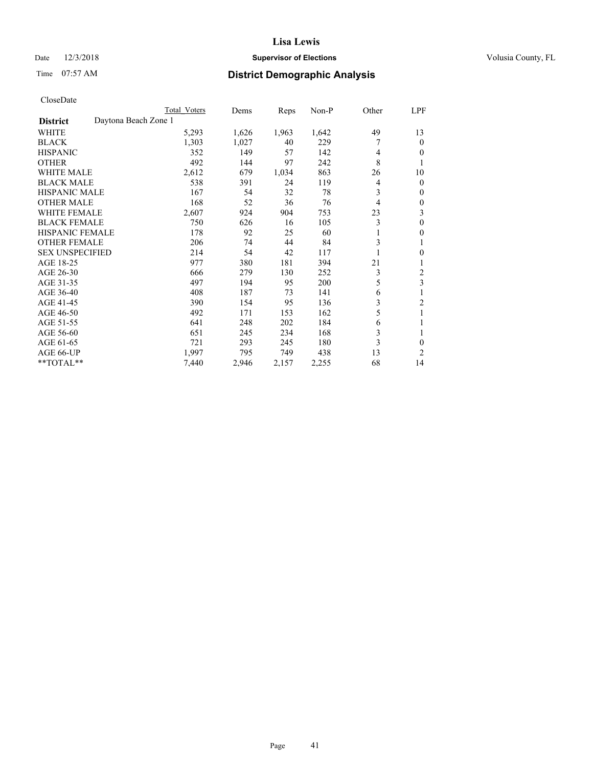# Date  $12/3/2018$  **Supervisor of Elections** Volusia County, FL

# Time 07:57 AM **District Demographic Analysis**

|                        |                      | Total Voters | Dems  | Reps  | Non-P | Other | LPF            |
|------------------------|----------------------|--------------|-------|-------|-------|-------|----------------|
| <b>District</b>        | Daytona Beach Zone 1 |              |       |       |       |       |                |
| WHITE                  |                      | 5,293        | 1,626 | 1,963 | 1,642 | 49    | 13             |
| <b>BLACK</b>           |                      | 1,303        | 1,027 | 40    | 229   |       | $\mathbf{0}$   |
| <b>HISPANIC</b>        |                      | 352          | 149   | 57    | 142   | 4     | $\theta$       |
| <b>OTHER</b>           |                      | 492          | 144   | 97    | 242   | 8     | 1              |
| <b>WHITE MALE</b>      |                      | 2,612        | 679   | 1,034 | 863   | 26    | 10             |
| <b>BLACK MALE</b>      |                      | 538          | 391   | 24    | 119   | 4     | $\mathbf{0}$   |
| <b>HISPANIC MALE</b>   |                      | 167          | 54    | 32    | 78    | 3     | $\mathbf{0}$   |
| <b>OTHER MALE</b>      |                      | 168          | 52    | 36    | 76    | 4     | $\mathbf{0}$   |
| <b>WHITE FEMALE</b>    |                      | 2,607        | 924   | 904   | 753   | 23    | 3              |
| <b>BLACK FEMALE</b>    |                      | 750          | 626   | 16    | 105   | 3     | $\theta$       |
| <b>HISPANIC FEMALE</b> |                      | 178          | 92    | 25    | 60    |       | $\theta$       |
| <b>OTHER FEMALE</b>    |                      | 206          | 74    | 44    | 84    | 3     | 1              |
| <b>SEX UNSPECIFIED</b> |                      | 214          | 54    | 42    | 117   |       | $\mathbf{0}$   |
| AGE 18-25              |                      | 977          | 380   | 181   | 394   | 21    | 1              |
| AGE 26-30              |                      | 666          | 279   | 130   | 252   | 3     | 2              |
| AGE 31-35              |                      | 497          | 194   | 95    | 200   | 5     | 3              |
| AGE 36-40              |                      | 408          | 187   | 73    | 141   | 6     |                |
| AGE 41-45              |                      | 390          | 154   | 95    | 136   | 3     | 2              |
| AGE 46-50              |                      | 492          | 171   | 153   | 162   | 5     | 1              |
| AGE 51-55              |                      | 641          | 248   | 202   | 184   | 6     |                |
| AGE 56-60              |                      | 651          | 245   | 234   | 168   | 3     |                |
| AGE 61-65              |                      | 721          | 293   | 245   | 180   | 3     | $\theta$       |
| AGE 66-UP              |                      | 1.997        | 795   | 749   | 438   | 13    | $\overline{2}$ |
| **TOTAL**              |                      | 7,440        | 2,946 | 2,157 | 2,255 | 68    | 14             |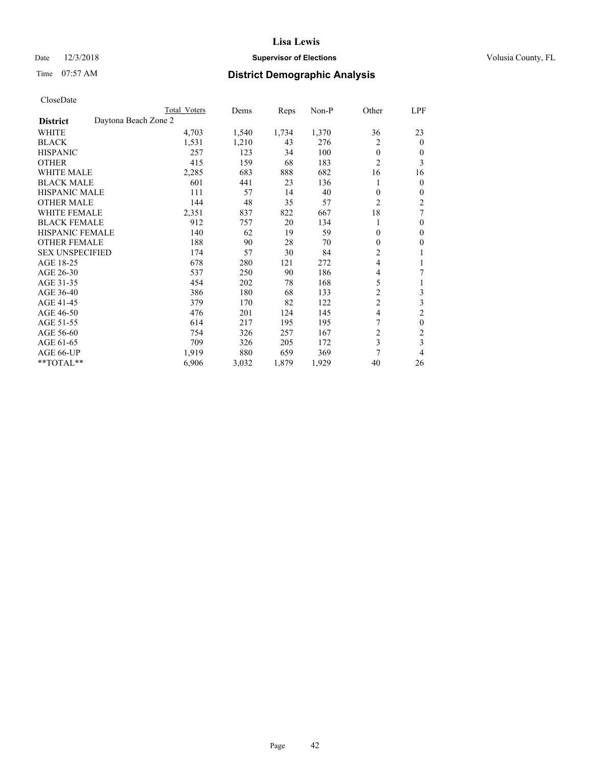# Date  $12/3/2018$  **Supervisor of Elections** Volusia County, FL

# Time 07:57 AM **District Demographic Analysis**

|                                         | Total Voters | Dems  | Reps  | $Non-P$ | Other          | LPF              |
|-----------------------------------------|--------------|-------|-------|---------|----------------|------------------|
| Daytona Beach Zone 2<br><b>District</b> |              |       |       |         |                |                  |
| WHITE                                   | 4,703        | 1,540 | 1,734 | 1,370   | 36             | 23               |
| <b>BLACK</b>                            | 1,531        | 1,210 | 43    | 276     | 2              | $\Omega$         |
| <b>HISPANIC</b>                         | 257          | 123   | 34    | 100     | $\theta$       | 0                |
| <b>OTHER</b>                            | 415          | 159   | 68    | 183     | $\overline{2}$ | 3                |
| <b>WHITE MALE</b>                       | 2,285        | 683   | 888   | 682     | 16             | 16               |
| <b>BLACK MALE</b>                       | 601          | 441   | 23    | 136     |                | 0                |
| <b>HISPANIC MALE</b>                    | 111          | 57    | 14    | 40      | $\theta$       | 0                |
| <b>OTHER MALE</b>                       | 144          | 48    | 35    | 57      | 2              | 2                |
| <b>WHITE FEMALE</b>                     | 2,351        | 837   | 822   | 667     | 18             | 7                |
| <b>BLACK FEMALE</b>                     | 912          | 757   | 20    | 134     | 1              | $\theta$         |
| <b>HISPANIC FEMALE</b>                  | 140          | 62    | 19    | 59      | $\theta$       | $\Omega$         |
| <b>OTHER FEMALE</b>                     | 188          | 90    | 28    | 70      | $\theta$       | 0                |
| <b>SEX UNSPECIFIED</b>                  | 174          | 57    | 30    | 84      | 2              |                  |
| AGE 18-25                               | 678          | 280   | 121   | 272     | $\overline{4}$ | 1                |
| AGE 26-30                               | 537          | 250   | 90    | 186     | 4              | 7                |
| AGE 31-35                               | 454          | 202   | 78    | 168     | 5              | 1                |
| AGE 36-40                               | 386          | 180   | 68    | 133     | $\overline{c}$ | 3                |
| AGE 41-45                               | 379          | 170   | 82    | 122     | $\overline{c}$ | 3                |
| AGE 46-50                               | 476          | 201   | 124   | 145     | 4              | $\overline{c}$   |
| AGE 51-55                               | 614          | 217   | 195   | 195     | 7              | $\boldsymbol{0}$ |
| AGE 56-60                               | 754          | 326   | 257   | 167     | $\overline{c}$ | $\overline{c}$   |
| AGE 61-65                               | 709          | 326   | 205   | 172     | 3              | 3                |
| AGE 66-UP                               | 1,919        | 880   | 659   | 369     | 7              | 4                |
| **TOTAL**                               | 6,906        | 3,032 | 1,879 | 1,929   | 40             | 26               |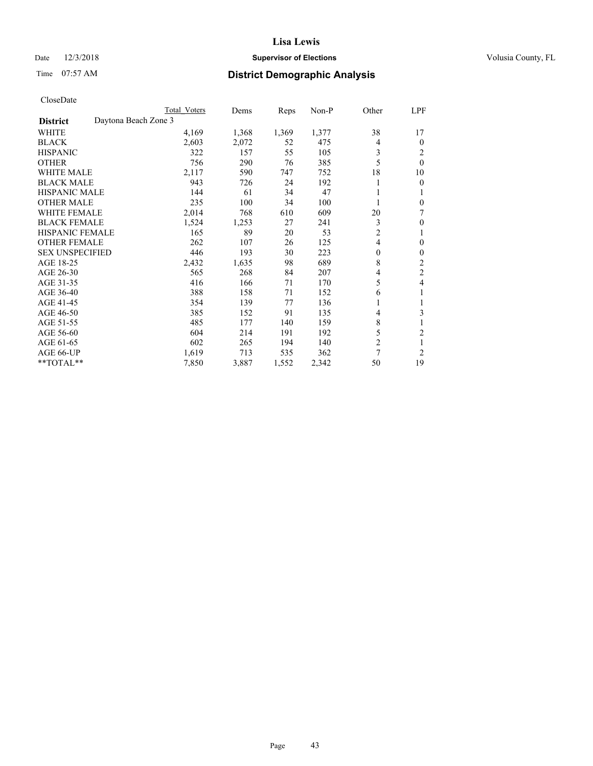# Date  $12/3/2018$  **Supervisor of Elections** Volusia County, FL

# Time 07:57 AM **District Demographic Analysis**

|                                         | Total Voters | Dems  | Reps  | $Non-P$ | Other                    | LPF            |
|-----------------------------------------|--------------|-------|-------|---------|--------------------------|----------------|
| Daytona Beach Zone 3<br><b>District</b> |              |       |       |         |                          |                |
| WHITE                                   | 4,169        | 1,368 | 1,369 | 1,377   | 38                       | 17             |
| <b>BLACK</b>                            | 2,603        | 2,072 | 52    | 475     | 4                        | $\Omega$       |
| <b>HISPANIC</b>                         | 322          | 157   | 55    | 105     | 3                        | 2              |
| <b>OTHER</b>                            | 756          | 290   | 76    | 385     | 5                        | $\theta$       |
| <b>WHITE MALE</b>                       | 2,117        | 590   | 747   | 752     | 18                       | 10             |
| <b>BLACK MALE</b>                       | 943          | 726   | 24    | 192     |                          | $\theta$       |
| <b>HISPANIC MALE</b>                    | 144          | 61    | 34    | 47      |                          |                |
| <b>OTHER MALE</b>                       | 235          | 100   | 34    | 100     |                          | $\theta$       |
| <b>WHITE FEMALE</b>                     | 2,014        | 768   | 610   | 609     | 20                       | 7              |
| <b>BLACK FEMALE</b>                     | 1,524        | 1,253 | 27    | 241     | 3                        | $\theta$       |
| <b>HISPANIC FEMALE</b>                  | 165          | 89    | 20    | 53      | $\overline{c}$           | 1              |
| <b>OTHER FEMALE</b>                     | 262          | 107   | 26    | 125     | $\overline{\mathcal{L}}$ | $\theta$       |
| <b>SEX UNSPECIFIED</b>                  | 446          | 193   | 30    | 223     | $\theta$                 | $\theta$       |
| AGE 18-25                               | 2,432        | 1,635 | 98    | 689     | 8                        | 2              |
| AGE 26-30                               | 565          | 268   | 84    | 207     | 4                        | $\overline{c}$ |
| AGE 31-35                               | 416          | 166   | 71    | 170     | 5                        | 4              |
| AGE 36-40                               | 388          | 158   | 71    | 152     | 6                        |                |
| AGE 41-45                               | 354          | 139   | 77    | 136     | 1                        | 1              |
| AGE 46-50                               | 385          | 152   | 91    | 135     | $\overline{4}$           | 3              |
| AGE 51-55                               | 485          | 177   | 140   | 159     | 8                        |                |
| AGE 56-60                               | 604          | 214   | 191   | 192     | 5                        | $\overline{2}$ |
| AGE 61-65                               | 602          | 265   | 194   | 140     | 2                        | 1              |
| AGE 66-UP                               | 1,619        | 713   | 535   | 362     | 7                        | $\overline{2}$ |
| **TOTAL**                               | 7,850        | 3,887 | 1,552 | 2,342   | 50                       | 19             |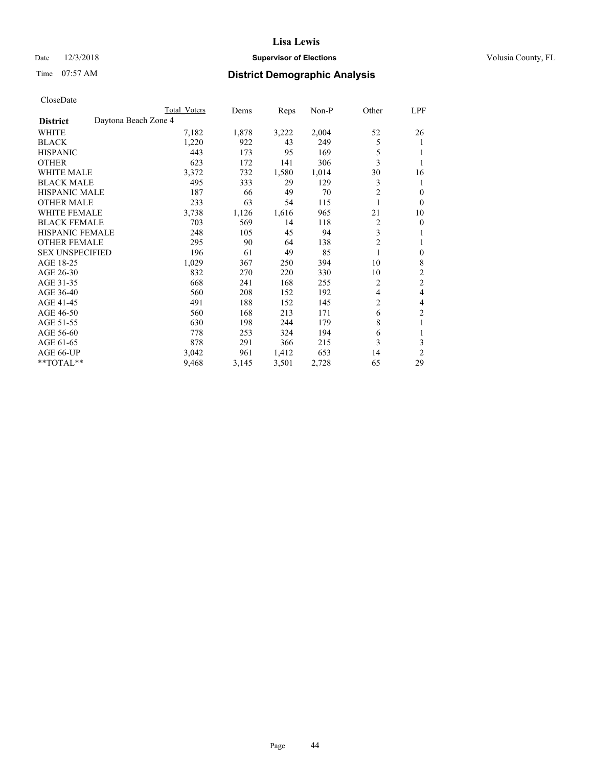# Date  $12/3/2018$  **Supervisor of Elections** Volusia County, FL

# Time 07:57 AM **District Demographic Analysis**

|                        |                      | Total Voters | Dems  | Reps  | Non-P | Other          | LPF            |
|------------------------|----------------------|--------------|-------|-------|-------|----------------|----------------|
| <b>District</b>        | Daytona Beach Zone 4 |              |       |       |       |                |                |
| WHITE                  |                      | 7,182        | 1,878 | 3,222 | 2,004 | 52             | 26             |
| <b>BLACK</b>           |                      | 1,220        | 922   | 43    | 249   | 5              | 1              |
| <b>HISPANIC</b>        |                      | 443          | 173   | 95    | 169   | 5              | 1              |
| <b>OTHER</b>           |                      | 623          | 172   | 141   | 306   | 3              |                |
| <b>WHITE MALE</b>      |                      | 3,372        | 732   | 1,580 | 1,014 | 30             | 16             |
| <b>BLACK MALE</b>      |                      | 495          | 333   | 29    | 129   | 3              | 1              |
| <b>HISPANIC MALE</b>   |                      | 187          | 66    | 49    | 70    | 2              | 0              |
| <b>OTHER MALE</b>      |                      | 233          | 63    | 54    | 115   | 1              | $\mathbf{0}$   |
| WHITE FEMALE           |                      | 3,738        | 1,126 | 1,616 | 965   | 21             | 10             |
| <b>BLACK FEMALE</b>    |                      | 703          | 569   | 14    | 118   | 2              | 0              |
| <b>HISPANIC FEMALE</b> |                      | 248          | 105   | 45    | 94    | 3              | 1              |
| <b>OTHER FEMALE</b>    |                      | 295          | 90    | 64    | 138   | $\mathfrak{2}$ | 1              |
| <b>SEX UNSPECIFIED</b> |                      | 196          | 61    | 49    | 85    | 1              | $\theta$       |
| AGE 18-25              |                      | 1,029        | 367   | 250   | 394   | 10             | 8              |
| AGE 26-30              |                      | 832          | 270   | 220   | 330   | 10             | $\overline{2}$ |
| AGE 31-35              |                      | 668          | 241   | 168   | 255   | 2              | $\overline{c}$ |
| AGE 36-40              |                      | 560          | 208   | 152   | 192   | 4              | 4              |
| AGE 41-45              |                      | 491          | 188   | 152   | 145   | 2              | 4              |
| AGE 46-50              |                      | 560          | 168   | 213   | 171   | 6              | 2              |
| AGE 51-55              |                      | 630          | 198   | 244   | 179   | 8              | 1              |
| AGE 56-60              |                      | 778          | 253   | 324   | 194   | 6              |                |
| AGE 61-65              |                      | 878          | 291   | 366   | 215   | 3              | 3              |
| AGE 66-UP              |                      | 3,042        | 961   | 1,412 | 653   | 14             | $\overline{2}$ |
| **TOTAL**              |                      | 9,468        | 3,145 | 3,501 | 2,728 | 65             | 29             |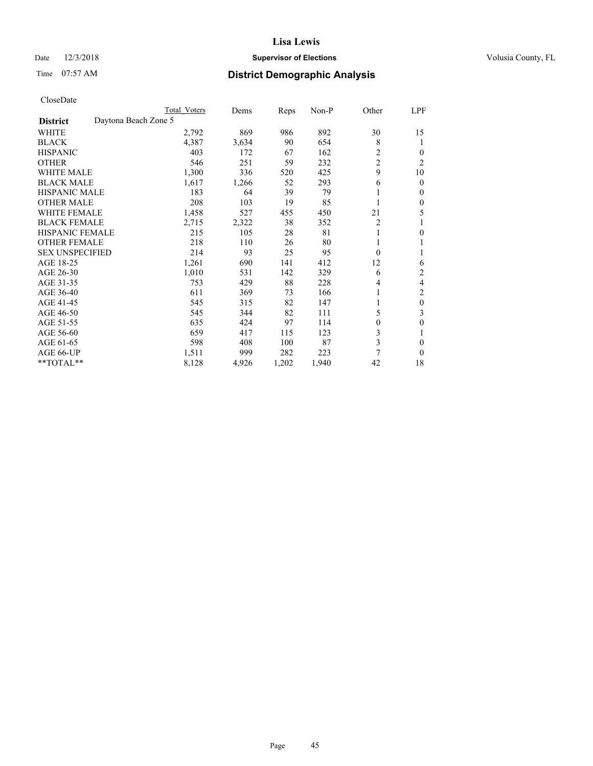# Date  $12/3/2018$  **Supervisor of Elections** Volusia County, FL

# Time 07:57 AM **District Demographic Analysis**

|                                         | Total Voters | Dems  | Reps  | $Non-P$ | Other          | LPF            |
|-----------------------------------------|--------------|-------|-------|---------|----------------|----------------|
| Daytona Beach Zone 5<br><b>District</b> |              |       |       |         |                |                |
| WHITE                                   | 2,792        | 869   | 986   | 892     | 30             | 15             |
| <b>BLACK</b>                            | 4,387        | 3,634 | 90    | 654     | 8              | 1              |
| <b>HISPANIC</b>                         | 403          | 172   | 67    | 162     | $\overline{c}$ | 0              |
| <b>OTHER</b>                            | 546          | 251   | 59    | 232     | $\overline{c}$ | $\overline{c}$ |
| <b>WHITE MALE</b>                       | 1,300        | 336   | 520   | 425     | 9              | 10             |
| <b>BLACK MALE</b>                       | 1,617        | 1,266 | 52    | 293     | 6              | 0              |
| <b>HISPANIC MALE</b>                    | 183          | 64    | 39    | 79      |                | 0              |
| <b>OTHER MALE</b>                       | 208          | 103   | 19    | 85      |                | 0              |
| <b>WHITE FEMALE</b>                     | 1,458        | 527   | 455   | 450     | 21             | 5              |
| <b>BLACK FEMALE</b>                     | 2,715        | 2,322 | 38    | 352     | $\overline{2}$ |                |
| <b>HISPANIC FEMALE</b>                  | 215          | 105   | 28    | 81      | 1              | 0              |
| <b>OTHER FEMALE</b>                     | 218          | 110   | 26    | 80      |                |                |
| <b>SEX UNSPECIFIED</b>                  | 214          | 93    | 25    | 95      | $\theta$       |                |
| AGE 18-25                               | 1,261        | 690   | 141   | 412     | 12             | 6              |
| AGE 26-30                               | 1,010        | 531   | 142   | 329     | 6              | 2              |
| AGE 31-35                               | 753          | 429   | 88    | 228     | 4              | 4              |
| AGE 36-40                               | 611          | 369   | 73    | 166     |                | 2              |
| AGE 41-45                               | 545          | 315   | 82    | 147     | 1              | $\theta$       |
| AGE 46-50                               | 545          | 344   | 82    | 111     | 5              | 3              |
| AGE 51-55                               | 635          | 424   | 97    | 114     | $\theta$       | 0              |
| AGE 56-60                               | 659          | 417   | 115   | 123     | 3              |                |
| AGE 61-65                               | 598          | 408   | 100   | 87      | 3              | 0              |
| AGE 66-UP                               | 1,511        | 999   | 282   | 223     | 7              | 0              |
| **TOTAL**                               | 8,128        | 4,926 | 1,202 | 1,940   | 42             | 18             |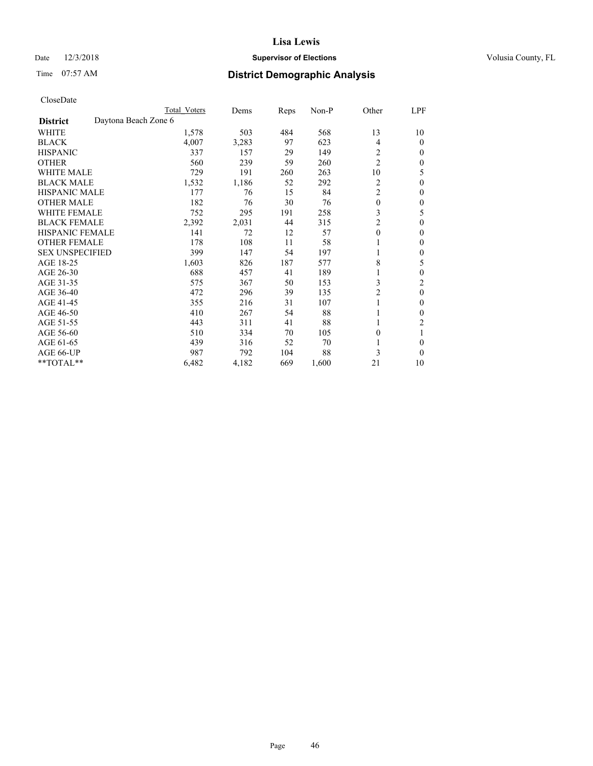# Date  $12/3/2018$  **Supervisor of Elections** Volusia County, FL

# Time 07:57 AM **District Demographic Analysis**

|                        |                      | Total Voters | Dems  | Reps | Non-P | Other          | LPF          |
|------------------------|----------------------|--------------|-------|------|-------|----------------|--------------|
| <b>District</b>        | Daytona Beach Zone 6 |              |       |      |       |                |              |
| WHITE                  |                      | 1,578        | 503   | 484  | 568   | 13             | 10           |
| <b>BLACK</b>           |                      | 4,007        | 3,283 | 97   | 623   | 4              | $\theta$     |
| <b>HISPANIC</b>        |                      | 337          | 157   | 29   | 149   | 2              | $\Omega$     |
| <b>OTHER</b>           |                      | 560          | 239   | 59   | 260   | $\overline{c}$ | 0            |
| <b>WHITE MALE</b>      |                      | 729          | 191   | 260  | 263   | 10             | 5            |
| <b>BLACK MALE</b>      |                      | 1,532        | 1,186 | 52   | 292   | 2              | $\theta$     |
| <b>HISPANIC MALE</b>   |                      | 177          | 76    | 15   | 84    | $\overline{2}$ | 0            |
| <b>OTHER MALE</b>      |                      | 182          | 76    | 30   | 76    | $\mathbf{0}$   | $\mathbf{0}$ |
| <b>WHITE FEMALE</b>    |                      | 752          | 295   | 191  | 258   | 3              | 5            |
| <b>BLACK FEMALE</b>    |                      | 2,392        | 2,031 | 44   | 315   | 2              | $\Omega$     |
| <b>HISPANIC FEMALE</b> |                      | 141          | 72    | 12   | 57    | $\theta$       | $\Omega$     |
| <b>OTHER FEMALE</b>    |                      | 178          | 108   | 11   | 58    | 1              | $\theta$     |
| <b>SEX UNSPECIFIED</b> |                      | 399          | 147   | 54   | 197   |                | $\Omega$     |
| AGE 18-25              |                      | 1,603        | 826   | 187  | 577   | 8              | 5            |
| AGE 26-30              |                      | 688          | 457   | 41   | 189   |                | $\mathbf{0}$ |
| AGE 31-35              |                      | 575          | 367   | 50   | 153   | 3              | 2            |
| AGE 36-40              |                      | 472          | 296   | 39   | 135   | 2              | $\theta$     |
| AGE 41-45              |                      | 355          | 216   | 31   | 107   |                | 0            |
| AGE 46-50              |                      | 410          | 267   | 54   | 88    |                | $\theta$     |
| AGE 51-55              |                      | 443          | 311   | 41   | 88    |                | 2            |
| AGE 56-60              |                      | 510          | 334   | 70   | 105   | $\theta$       |              |
| AGE 61-65              |                      | 439          | 316   | 52   | 70    |                | $\Omega$     |
| AGE 66-UP              |                      | 987          | 792   | 104  | 88    | 3              | $\Omega$     |
| **TOTAL**              |                      | 6,482        | 4,182 | 669  | 1,600 | 21             | 10           |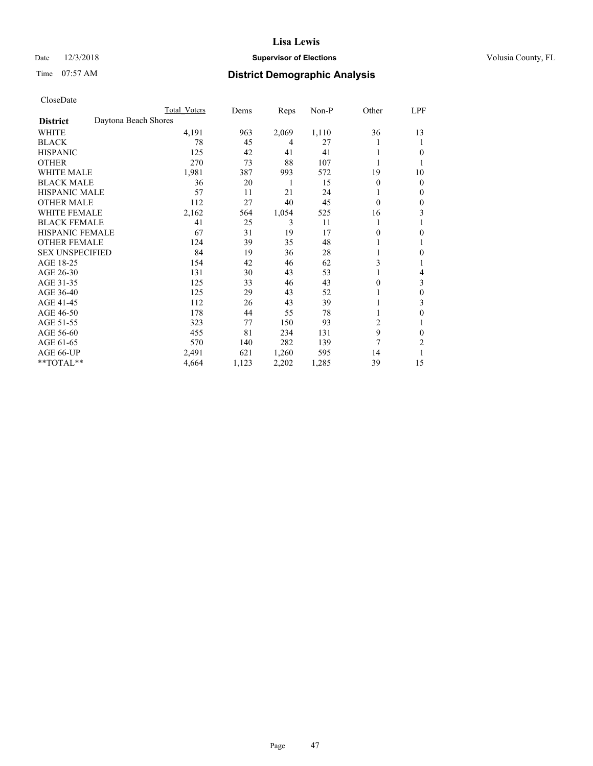# Date  $12/3/2018$  **Supervisor of Elections** Volusia County, FL

# Time 07:57 AM **District Demographic Analysis**

|                        |                      | Total Voters | Dems  | Reps  | Non-P | Other          | LPF          |
|------------------------|----------------------|--------------|-------|-------|-------|----------------|--------------|
| <b>District</b>        | Daytona Beach Shores |              |       |       |       |                |              |
| WHITE                  |                      | 4,191        | 963   | 2,069 | 1,110 | 36             | 13           |
| <b>BLACK</b>           |                      | 78           | 45    | 4     | 27    |                | 1            |
| <b>HISPANIC</b>        |                      | 125          | 42    | 41    | 41    |                | $\theta$     |
| <b>OTHER</b>           |                      | 270          | 73    | 88    | 107   |                |              |
| <b>WHITE MALE</b>      |                      | 1,981        | 387   | 993   | 572   | 19             | 10           |
| <b>BLACK MALE</b>      |                      | 36           | 20    | 1     | 15    | $\theta$       | $\mathbf{0}$ |
| <b>HISPANIC MALE</b>   |                      | 57           | 11    | 21    | 24    |                | $\mathbf{0}$ |
| <b>OTHER MALE</b>      |                      | 112          | 27    | 40    | 45    | $\theta$       | 0            |
| <b>WHITE FEMALE</b>    |                      | 2,162        | 564   | 1,054 | 525   | 16             | 3            |
| <b>BLACK FEMALE</b>    |                      | 41           | 25    | 3     | 11    |                |              |
| <b>HISPANIC FEMALE</b> |                      | 67           | 31    | 19    | 17    | 0              | $\theta$     |
| <b>OTHER FEMALE</b>    |                      | 124          | 39    | 35    | 48    |                | 1            |
| <b>SEX UNSPECIFIED</b> |                      | 84           | 19    | 36    | 28    |                | $\theta$     |
| AGE 18-25              |                      | 154          | 42    | 46    | 62    | 3              |              |
| AGE 26-30              |                      | 131          | 30    | 43    | 53    |                | 4            |
| AGE 31-35              |                      | 125          | 33    | 46    | 43    | 0              | 3            |
| AGE 36-40              |                      | 125          | 29    | 43    | 52    |                | $\theta$     |
| AGE 41-45              |                      | 112          | 26    | 43    | 39    |                | 3            |
| AGE 46-50              |                      | 178          | 44    | 55    | 78    |                | $\theta$     |
| AGE 51-55              |                      | 323          | 77    | 150   | 93    | $\overline{c}$ | 1            |
| AGE 56-60              |                      | 455          | 81    | 234   | 131   | 9              | $\theta$     |
| AGE 61-65              |                      | 570          | 140   | 282   | 139   | 7              | 2            |
| AGE 66-UP              |                      | 2,491        | 621   | 1,260 | 595   | 14             |              |
| **TOTAL**              |                      | 4,664        | 1,123 | 2,202 | 1,285 | 39             | 15           |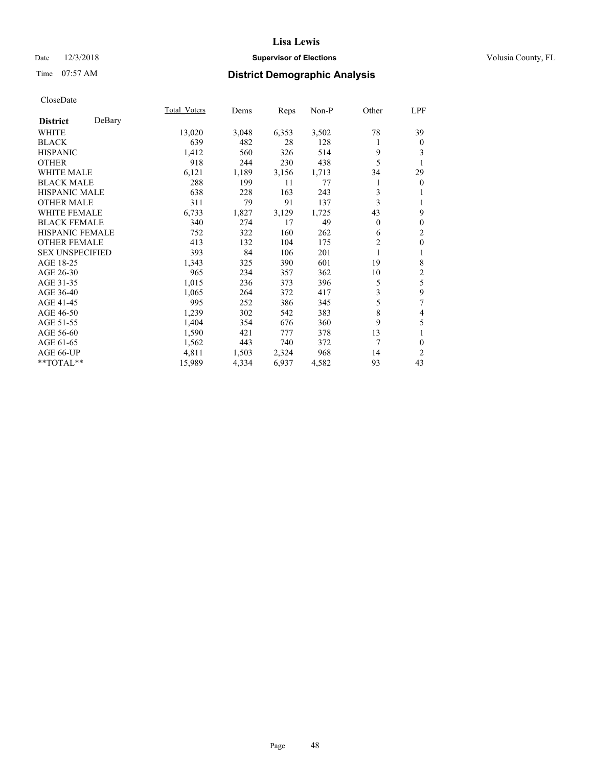# Date  $12/3/2018$  **Supervisor of Elections** Volusia County, FL

# Time 07:57 AM **District Demographic Analysis**

|                        |        | Total Voters | Dems  | Reps  | Non-P | Other          | LPF            |
|------------------------|--------|--------------|-------|-------|-------|----------------|----------------|
| <b>District</b>        | DeBary |              |       |       |       |                |                |
| WHITE                  |        | 13,020       | 3,048 | 6,353 | 3,502 | 78             | 39             |
| <b>BLACK</b>           |        | 639          | 482   | 28    | 128   | 1              | $\overline{0}$ |
| <b>HISPANIC</b>        |        | 1,412        | 560   | 326   | 514   | 9              | 3              |
| <b>OTHER</b>           |        | 918          | 244   | 230   | 438   | 5              |                |
| <b>WHITE MALE</b>      |        | 6,121        | 1,189 | 3,156 | 1,713 | 34             | 29             |
| <b>BLACK MALE</b>      |        | 288          | 199   | 11    | 77    |                | $\overline{0}$ |
| <b>HISPANIC MALE</b>   |        | 638          | 228   | 163   | 243   | 3              |                |
| <b>OTHER MALE</b>      |        | 311          | 79    | 91    | 137   | 3              |                |
| <b>WHITE FEMALE</b>    |        | 6,733        | 1,827 | 3,129 | 1,725 | 43             | 9              |
| <b>BLACK FEMALE</b>    |        | 340          | 274   | 17    | 49    | $\Omega$       | 0              |
| <b>HISPANIC FEMALE</b> |        | 752          | 322   | 160   | 262   | 6              | 2              |
| <b>OTHER FEMALE</b>    |        | 413          | 132   | 104   | 175   | $\overline{2}$ | 0              |
| <b>SEX UNSPECIFIED</b> |        | 393          | 84    | 106   | 201   | 1              | 1              |
| AGE 18-25              |        | 1,343        | 325   | 390   | 601   | 19             | 8              |
| AGE 26-30              |        | 965          | 234   | 357   | 362   | 10             | 2              |
| AGE 31-35              |        | 1,015        | 236   | 373   | 396   | 5              | 5              |
| AGE 36-40              |        | 1,065        | 264   | 372   | 417   | 3              | 9              |
| AGE 41-45              |        | 995          | 252   | 386   | 345   | 5              | 7              |
| AGE 46-50              |        | 1,239        | 302   | 542   | 383   | 8              | 4              |
| AGE 51-55              |        | 1,404        | 354   | 676   | 360   | 9              | 5              |
| AGE 56-60              |        | 1,590        | 421   | 777   | 378   | 13             |                |
| AGE 61-65              |        | 1,562        | 443   | 740   | 372   | 7              | 0              |
| AGE 66-UP              |        | 4,811        | 1,503 | 2,324 | 968   | 14             | 2              |
| **TOTAL**              |        | 15,989       | 4,334 | 6,937 | 4,582 | 93             | 43             |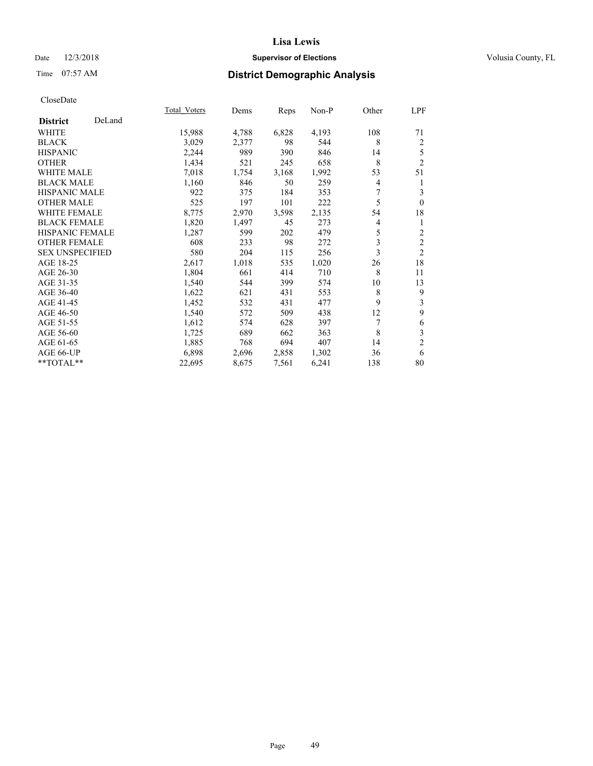# Date  $12/3/2018$  **Supervisor of Elections** Volusia County, FL

# Time 07:57 AM **District Demographic Analysis**

|                        |        | Total Voters | Dems  | Reps  | Non-P | Other | LPF            |
|------------------------|--------|--------------|-------|-------|-------|-------|----------------|
| <b>District</b>        | DeLand |              |       |       |       |       |                |
| WHITE                  |        | 15,988       | 4,788 | 6,828 | 4,193 | 108   | 71             |
| <b>BLACK</b>           |        | 3,029        | 2,377 | 98    | 544   | 8     | $\overline{2}$ |
| <b>HISPANIC</b>        |        | 2,244        | 989   | 390   | 846   | 14    | 5              |
| <b>OTHER</b>           |        | 1,434        | 521   | 245   | 658   | 8     | $\overline{2}$ |
| <b>WHITE MALE</b>      |        | 7,018        | 1,754 | 3,168 | 1,992 | 53    | 51             |
| <b>BLACK MALE</b>      |        | 1,160        | 846   | 50    | 259   | 4     | 1              |
| <b>HISPANIC MALE</b>   |        | 922          | 375   | 184   | 353   | 7     | 3              |
| <b>OTHER MALE</b>      |        | 525          | 197   | 101   | 222   | 5     | $\theta$       |
| <b>WHITE FEMALE</b>    |        | 8,775        | 2,970 | 3,598 | 2,135 | 54    | 18             |
| <b>BLACK FEMALE</b>    |        | 1,820        | 1,497 | 45    | 273   | 4     | 1              |
| <b>HISPANIC FEMALE</b> |        | 1,287        | 599   | 202   | 479   | 5     | 2              |
| <b>OTHER FEMALE</b>    |        | 608          | 233   | 98    | 272   | 3     | $\mathfrak{2}$ |
| <b>SEX UNSPECIFIED</b> |        | 580          | 204   | 115   | 256   | 3     | $\overline{2}$ |
| AGE 18-25              |        | 2,617        | 1,018 | 535   | 1,020 | 26    | 18             |
| AGE 26-30              |        | 1,804        | 661   | 414   | 710   | 8     | 11             |
| AGE 31-35              |        | 1,540        | 544   | 399   | 574   | 10    | 13             |
| AGE 36-40              |        | 1,622        | 621   | 431   | 553   | 8     | 9              |
| AGE 41-45              |        | 1,452        | 532   | 431   | 477   | 9     | 3              |
| AGE 46-50              |        | 1,540        | 572   | 509   | 438   | 12    | 9              |
| AGE 51-55              |        | 1,612        | 574   | 628   | 397   | 7     | 6              |
| AGE 56-60              |        | 1,725        | 689   | 662   | 363   | 8     | 3              |
| AGE 61-65              |        | 1,885        | 768   | 694   | 407   | 14    | $\overline{c}$ |
| AGE 66-UP              |        | 6,898        | 2,696 | 2,858 | 1,302 | 36    | 6              |
| **TOTAL**              |        | 22,695       | 8,675 | 7,561 | 6,241 | 138   | 80             |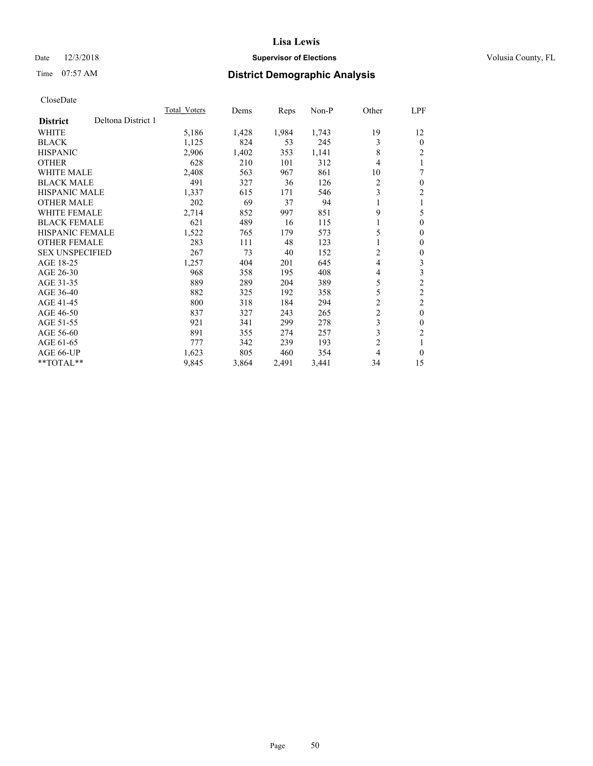# Date  $12/3/2018$  **Supervisor of Elections** Volusia County, FL

# Time 07:57 AM **District Demographic Analysis**

|                                       | Total Voters | Dems  | Reps  | Non-P | Other          | LPF            |
|---------------------------------------|--------------|-------|-------|-------|----------------|----------------|
| Deltona District 1<br><b>District</b> |              |       |       |       |                |                |
| WHITE                                 | 5,186        | 1,428 | 1,984 | 1,743 | 19             | 12             |
| <b>BLACK</b>                          | 1,125        | 824   | 53    | 245   | 3              | $\Omega$       |
| <b>HISPANIC</b>                       | 2,906        | 1,402 | 353   | 1,141 | 8              | 2              |
| <b>OTHER</b>                          | 628          | 210   | 101   | 312   | 4              | 1              |
| <b>WHITE MALE</b>                     | 2,408        | 563   | 967   | 861   | 10             | 7              |
| <b>BLACK MALE</b>                     | 491          | 327   | 36    | 126   | 2              | 0              |
| HISPANIC MALE                         | 1,337        | 615   | 171   | 546   | 3              | $\overline{c}$ |
| <b>OTHER MALE</b>                     | 202          | 69    | 37    | 94    | 1              | 1              |
| <b>WHITE FEMALE</b>                   | 2,714        | 852   | 997   | 851   | 9              | 5              |
| <b>BLACK FEMALE</b>                   | 621          | 489   | 16    | 115   |                | 0              |
| <b>HISPANIC FEMALE</b>                | 1,522        | 765   | 179   | 573   | 5              | 0              |
| <b>OTHER FEMALE</b>                   | 283          | 111   | 48    | 123   | 1              | 0              |
| <b>SEX UNSPECIFIED</b>                | 267          | 73    | 40    | 152   | 2              | 0              |
| AGE 18-25                             | 1,257        | 404   | 201   | 645   | 4              | 3              |
| AGE 26-30                             | 968          | 358   | 195   | 408   | 4              | 3              |
| AGE 31-35                             | 889          | 289   | 204   | 389   | 5              | $\overline{2}$ |
| AGE 36-40                             | 882          | 325   | 192   | 358   | 5              | $\overline{2}$ |
| AGE 41-45                             | 800          | 318   | 184   | 294   | 2              | 2              |
| AGE 46-50                             | 837          | 327   | 243   | 265   | $\overline{c}$ | $\theta$       |
| AGE 51-55                             | 921          | 341   | 299   | 278   | 3              | 0              |
| AGE 56-60                             | 891          | 355   | 274   | 257   | 3              | $\overline{c}$ |
| AGE 61-65                             | 777          | 342   | 239   | 193   | $\overline{c}$ | 1              |
| AGE 66-UP                             | 1,623        | 805   | 460   | 354   | 4              | 0              |
| **TOTAL**                             | 9,845        | 3,864 | 2,491 | 3,441 | 34             | 15             |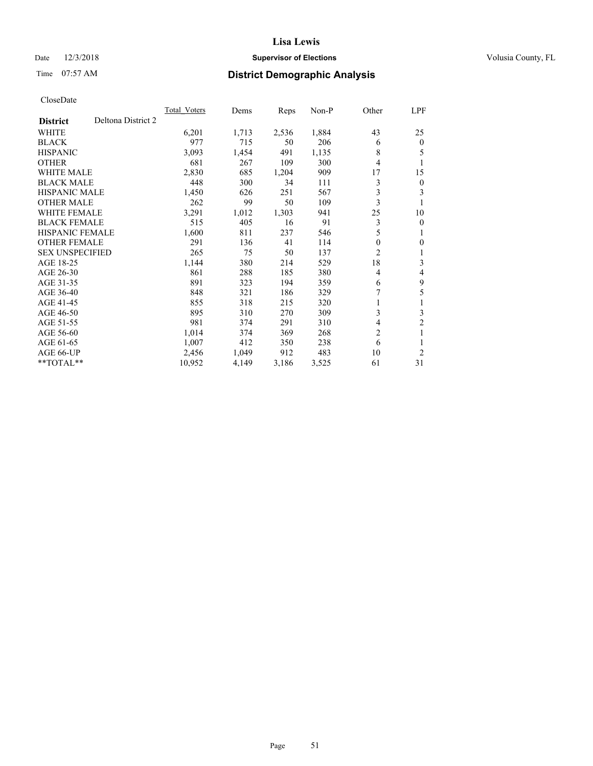# Date  $12/3/2018$  **Supervisor of Elections** Volusia County, FL

# Time 07:57 AM **District Demographic Analysis**

|                                       | Total Voters | Dems  | Reps  | $Non-P$ | Other          | LPF            |
|---------------------------------------|--------------|-------|-------|---------|----------------|----------------|
| Deltona District 2<br><b>District</b> |              |       |       |         |                |                |
| WHITE                                 | 6,201        | 1,713 | 2,536 | 1,884   | 43             | 25             |
| <b>BLACK</b>                          | 977          | 715   | 50    | 206     | 6              | $\mathbf{0}$   |
| <b>HISPANIC</b>                       | 3,093        | 1,454 | 491   | 1,135   | 8              | 5              |
| <b>OTHER</b>                          | 681          | 267   | 109   | 300     | 4              | 1              |
| <b>WHITE MALE</b>                     | 2,830        | 685   | 1,204 | 909     | 17             | 15             |
| <b>BLACK MALE</b>                     | 448          | 300   | 34    | 111     | 3              | $\overline{0}$ |
| HISPANIC MALE                         | 1,450        | 626   | 251   | 567     | 3              | 3              |
| <b>OTHER MALE</b>                     | 262          | 99    | 50    | 109     | 3              | 1              |
| WHITE FEMALE                          | 3,291        | 1,012 | 1,303 | 941     | 25             | 10             |
| <b>BLACK FEMALE</b>                   | 515          | 405   | 16    | 91      | 3              | $\mathbf{0}$   |
| <b>HISPANIC FEMALE</b>                | 1,600        | 811   | 237   | 546     | 5              | 1              |
| <b>OTHER FEMALE</b>                   | 291          | 136   | 41    | 114     | 0              | $\theta$       |
| <b>SEX UNSPECIFIED</b>                | 265          | 75    | 50    | 137     | 2              | 1              |
| AGE 18-25                             | 1,144        | 380   | 214   | 529     | 18             | 3              |
| AGE 26-30                             | 861          | 288   | 185   | 380     | 4              | 4              |
| AGE 31-35                             | 891          | 323   | 194   | 359     | 6              | 9              |
| AGE 36-40                             | 848          | 321   | 186   | 329     | 7              | 5              |
| AGE 41-45                             | 855          | 318   | 215   | 320     | 1              | 1              |
| AGE 46-50                             | 895          | 310   | 270   | 309     | 3              | 3              |
| AGE 51-55                             | 981          | 374   | 291   | 310     | 4              | $\overline{2}$ |
| AGE 56-60                             | 1,014        | 374   | 369   | 268     | $\overline{2}$ | 1              |
| AGE 61-65                             | 1,007        | 412   | 350   | 238     | 6              | 1              |
| AGE 66-UP                             | 2,456        | 1,049 | 912   | 483     | 10             | $\overline{2}$ |
| **TOTAL**                             | 10,952       | 4,149 | 3,186 | 3,525   | 61             | 31             |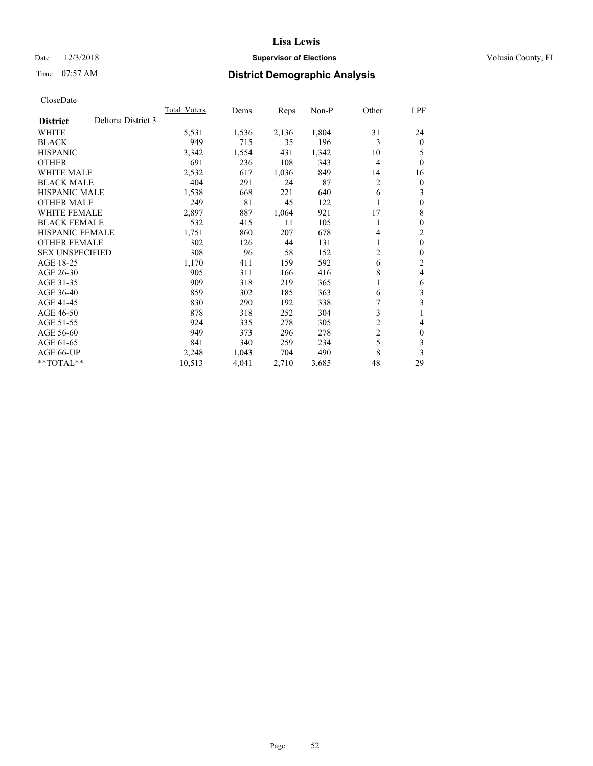# Date  $12/3/2018$  **Supervisor of Elections** Volusia County, FL

# Time 07:57 AM **District Demographic Analysis**

|                        |                    | <b>Total Voters</b> | Dems  | Reps  | $Non-P$ | Other          | LPF            |
|------------------------|--------------------|---------------------|-------|-------|---------|----------------|----------------|
| <b>District</b>        | Deltona District 3 |                     |       |       |         |                |                |
| <b>WHITE</b>           |                    | 5,531               | 1,536 | 2,136 | 1,804   | 31             | 24             |
| <b>BLACK</b>           |                    | 949                 | 715   | 35    | 196     | 3              | $\theta$       |
| <b>HISPANIC</b>        |                    | 3,342               | 1,554 | 431   | 1,342   | 10             | 5              |
| <b>OTHER</b>           |                    | 691                 | 236   | 108   | 343     | 4              | $\theta$       |
| <b>WHITE MALE</b>      |                    | 2,532               | 617   | 1,036 | 849     | 14             | 16             |
| <b>BLACK MALE</b>      |                    | 404                 | 291   | 24    | 87      | 2              | $\overline{0}$ |
| <b>HISPANIC MALE</b>   |                    | 1,538               | 668   | 221   | 640     | 6              | 3              |
| <b>OTHER MALE</b>      |                    | 249                 | 81    | 45    | 122     |                | $\theta$       |
| <b>WHITE FEMALE</b>    |                    | 2,897               | 887   | 1,064 | 921     | 17             | 8              |
| <b>BLACK FEMALE</b>    |                    | 532                 | 415   | 11    | 105     | 1              | $\theta$       |
| <b>HISPANIC FEMALE</b> |                    | 1,751               | 860   | 207   | 678     | 4              | $\overline{2}$ |
| <b>OTHER FEMALE</b>    |                    | 302                 | 126   | 44    | 131     | 1              | $\theta$       |
| <b>SEX UNSPECIFIED</b> |                    | 308                 | 96    | 58    | 152     | 2              | $\theta$       |
| AGE 18-25              |                    | 1,170               | 411   | 159   | 592     | 6              | 2              |
| AGE 26-30              |                    | 905                 | 311   | 166   | 416     | 8              | 4              |
| AGE 31-35              |                    | 909                 | 318   | 219   | 365     | 1              | 6              |
| AGE 36-40              |                    | 859                 | 302   | 185   | 363     | 6              | 3              |
| AGE 41-45              |                    | 830                 | 290   | 192   | 338     | 7              | 3              |
| AGE 46-50              |                    | 878                 | 318   | 252   | 304     | 3              |                |
| AGE 51-55              |                    | 924                 | 335   | 278   | 305     | 2              | 4              |
| AGE 56-60              |                    | 949                 | 373   | 296   | 278     | $\overline{c}$ | $\theta$       |
| AGE 61-65              |                    | 841                 | 340   | 259   | 234     | 5              | 3              |
| AGE 66-UP              |                    | 2,248               | 1,043 | 704   | 490     | 8              | 3              |
| $*$ TOTAL $*$          |                    | 10,513              | 4,041 | 2,710 | 3,685   | 48             | 29             |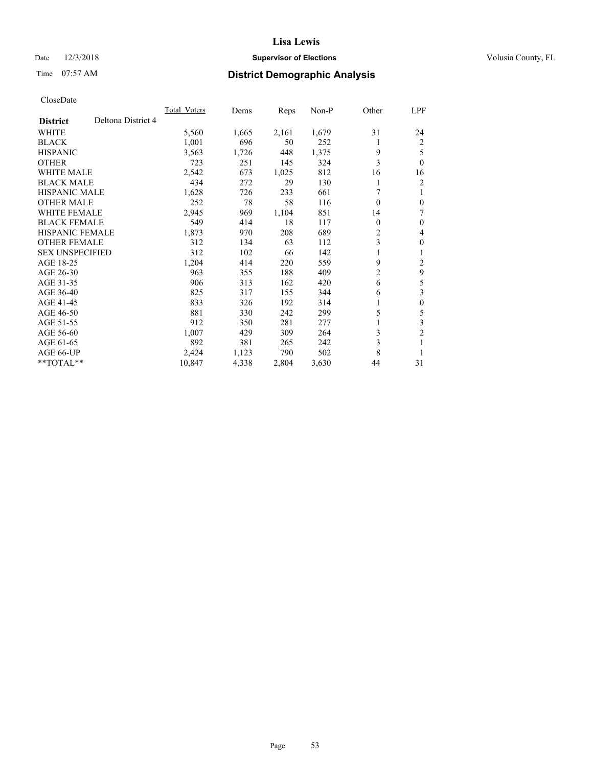# Date  $12/3/2018$  **Supervisor of Elections** Volusia County, FL

# Time 07:57 AM **District Demographic Analysis**

|                        |                    | Total Voters | Dems  | Reps  | $Non-P$ | Other            | LPF              |
|------------------------|--------------------|--------------|-------|-------|---------|------------------|------------------|
| <b>District</b>        | Deltona District 4 |              |       |       |         |                  |                  |
| WHITE                  |                    | 5,560        | 1,665 | 2,161 | 1,679   | 31               | 24               |
| <b>BLACK</b>           |                    | 1,001        | 696   | 50    | 252     | 1                | 2                |
| <b>HISPANIC</b>        |                    | 3,563        | 1,726 | 448   | 1,375   | 9                | 5                |
| <b>OTHER</b>           |                    | 723          | 251   | 145   | 324     | 3                | $\theta$         |
| <b>WHITE MALE</b>      |                    | 2,542        | 673   | 1,025 | 812     | 16               | 16               |
| <b>BLACK MALE</b>      |                    | 434          | 272   | 29    | 130     |                  | 2                |
| <b>HISPANIC MALE</b>   |                    | 1,628        | 726   | 233   | 661     | 7                | 1                |
| <b>OTHER MALE</b>      |                    | 252          | 78    | 58    | 116     | $\theta$         | $\theta$         |
| WHITE FEMALE           |                    | 2,945        | 969   | 1,104 | 851     | 14               | 7                |
| <b>BLACK FEMALE</b>    |                    | 549          | 414   | 18    | 117     | $\boldsymbol{0}$ | $\theta$         |
| <b>HISPANIC FEMALE</b> |                    | 1,873        | 970   | 208   | 689     | 2                | 4                |
| <b>OTHER FEMALE</b>    |                    | 312          | 134   | 63    | 112     | 3                | $\theta$         |
| <b>SEX UNSPECIFIED</b> |                    | 312          | 102   | 66    | 142     | 1                | 1                |
| AGE 18-25              |                    | 1,204        | 414   | 220   | 559     | 9                | $\overline{c}$   |
| AGE 26-30              |                    | 963          | 355   | 188   | 409     | $\overline{2}$   | 9                |
| AGE 31-35              |                    | 906          | 313   | 162   | 420     | 6                | 5                |
| AGE 36-40              |                    | 825          | 317   | 155   | 344     | 6                | 3                |
| AGE 41-45              |                    | 833          | 326   | 192   | 314     | 1                | $\boldsymbol{0}$ |
| AGE 46-50              |                    | 881          | 330   | 242   | 299     | 5                | 5                |
| AGE 51-55              |                    | 912          | 350   | 281   | 277     | 1                | 3                |
| AGE 56-60              |                    | 1,007        | 429   | 309   | 264     | 3                | $\overline{c}$   |
| AGE 61-65              |                    | 892          | 381   | 265   | 242     | 3                | 1                |
| AGE 66-UP              |                    | 2,424        | 1,123 | 790   | 502     | 8                | 1                |
| **TOTAL**              |                    | 10,847       | 4,338 | 2,804 | 3,630   | 44               | 31               |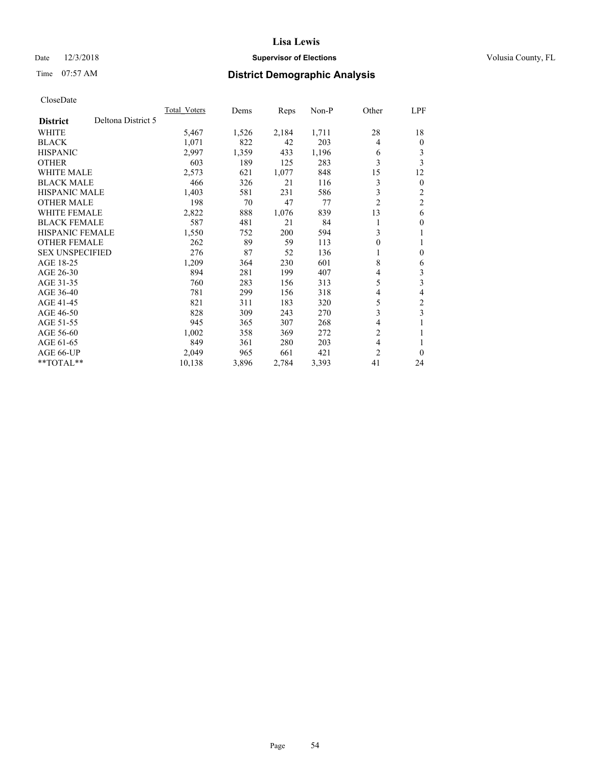# Date  $12/3/2018$  **Supervisor of Elections** Volusia County, FL

# Time 07:57 AM **District Demographic Analysis**

|                        |                    | <b>Total Voters</b> | Dems  | Reps  | $Non-P$ | Other          | LPF            |
|------------------------|--------------------|---------------------|-------|-------|---------|----------------|----------------|
| <b>District</b>        | Deltona District 5 |                     |       |       |         |                |                |
| <b>WHITE</b>           |                    | 5,467               | 1,526 | 2,184 | 1,711   | 28             | 18             |
| <b>BLACK</b>           |                    | 1,071               | 822   | 42    | 203     | 4              | $\mathbf{0}$   |
| <b>HISPANIC</b>        |                    | 2,997               | 1,359 | 433   | 1,196   | 6              | 3              |
| <b>OTHER</b>           |                    | 603                 | 189   | 125   | 283     | 3              | 3              |
| <b>WHITE MALE</b>      |                    | 2,573               | 621   | 1,077 | 848     | 15             | 12             |
| <b>BLACK MALE</b>      |                    | 466                 | 326   | 21    | 116     | 3              | $\mathbf{0}$   |
| <b>HISPANIC MALE</b>   |                    | 1,403               | 581   | 231   | 586     | 3              | 2              |
| <b>OTHER MALE</b>      |                    | 198                 | 70    | 47    | 77      | $\overline{2}$ | $\overline{2}$ |
| <b>WHITE FEMALE</b>    |                    | 2,822               | 888   | 1,076 | 839     | 13             | 6              |
| <b>BLACK FEMALE</b>    |                    | 587                 | 481   | 21    | 84      |                | $\theta$       |
| <b>HISPANIC FEMALE</b> |                    | 1,550               | 752   | 200   | 594     | 3              | 1              |
| <b>OTHER FEMALE</b>    |                    | 262                 | 89    | 59    | 113     | 0              | 1              |
| <b>SEX UNSPECIFIED</b> |                    | 276                 | 87    | 52    | 136     |                | $\theta$       |
| AGE 18-25              |                    | 1,209               | 364   | 230   | 601     | 8              | 6              |
| AGE 26-30              |                    | 894                 | 281   | 199   | 407     | 4              | 3              |
| AGE 31-35              |                    | 760                 | 283   | 156   | 313     | 5              | 3              |
| AGE 36-40              |                    | 781                 | 299   | 156   | 318     | 4              | 4              |
| AGE 41-45              |                    | 821                 | 311   | 183   | 320     | 5              | $\mathfrak{2}$ |
| AGE 46-50              |                    | 828                 | 309   | 243   | 270     | 3              | 3              |
| AGE 51-55              |                    | 945                 | 365   | 307   | 268     | 4              | 1              |
| AGE 56-60              |                    | 1,002               | 358   | 369   | 272     | $\overline{2}$ | 1              |
| AGE 61-65              |                    | 849                 | 361   | 280   | 203     | $\overline{4}$ |                |
| AGE 66-UP              |                    | 2,049               | 965   | 661   | 421     | 2              | $\theta$       |
| $*$ TOTAL $*$          |                    | 10,138              | 3,896 | 2,784 | 3,393   | 41             | 24             |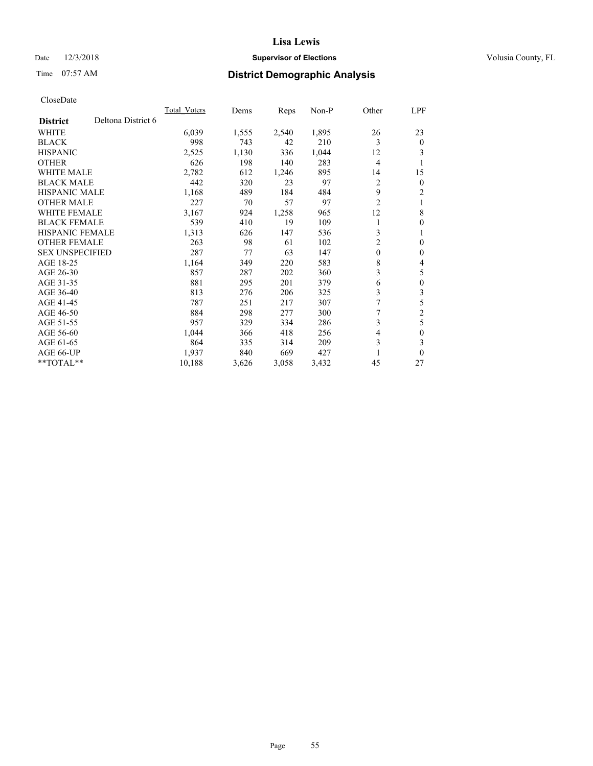# Date  $12/3/2018$  **Supervisor of Elections** Volusia County, FL

# Time 07:57 AM **District Demographic Analysis**

|                        |                    | <b>Total Voters</b> | Dems  | Reps  | $Non-P$ | Other          | LPF            |
|------------------------|--------------------|---------------------|-------|-------|---------|----------------|----------------|
| <b>District</b>        | Deltona District 6 |                     |       |       |         |                |                |
| <b>WHITE</b>           |                    | 6,039               | 1,555 | 2,540 | 1,895   | 26             | 23             |
| <b>BLACK</b>           |                    | 998                 | 743   | 42    | 210     | 3              | $\theta$       |
| <b>HISPANIC</b>        |                    | 2,525               | 1,130 | 336   | 1,044   | 12             | 3              |
| <b>OTHER</b>           |                    | 626                 | 198   | 140   | 283     | $\overline{4}$ | 1              |
| <b>WHITE MALE</b>      |                    | 2,782               | 612   | 1,246 | 895     | 14             | 15             |
| <b>BLACK MALE</b>      |                    | 442                 | 320   | 23    | 97      | 2              | $\mathbf{0}$   |
| <b>HISPANIC MALE</b>   |                    | 1,168               | 489   | 184   | 484     | 9              | 2              |
| <b>OTHER MALE</b>      |                    | 227                 | 70    | 57    | 97      | $\overline{2}$ | 1              |
| <b>WHITE FEMALE</b>    |                    | 3,167               | 924   | 1,258 | 965     | 12             | 8              |
| <b>BLACK FEMALE</b>    |                    | 539                 | 410   | 19    | 109     |                | $\theta$       |
| <b>HISPANIC FEMALE</b> |                    | 1,313               | 626   | 147   | 536     | 3              | 1              |
| <b>OTHER FEMALE</b>    |                    | 263                 | 98    | 61    | 102     | 2              | $\theta$       |
| <b>SEX UNSPECIFIED</b> |                    | 287                 | 77    | 63    | 147     | $\mathbf{0}$   | $\theta$       |
| AGE 18-25              |                    | 1,164               | 349   | 220   | 583     | 8              | 4              |
| AGE 26-30              |                    | 857                 | 287   | 202   | 360     | 3              | 5              |
| AGE 31-35              |                    | 881                 | 295   | 201   | 379     | 6              | $\theta$       |
| AGE 36-40              |                    | 813                 | 276   | 206   | 325     | 3              | 3              |
| AGE 41-45              |                    | 787                 | 251   | 217   | 307     | 7              | 5              |
| AGE 46-50              |                    | 884                 | 298   | 277   | 300     | 7              | $\overline{c}$ |
| AGE 51-55              |                    | 957                 | 329   | 334   | 286     | 3              | 5              |
| AGE 56-60              |                    | 1,044               | 366   | 418   | 256     | 4              | 0              |
| AGE 61-65              |                    | 864                 | 335   | 314   | 209     | 3              | 3              |
| AGE 66-UP              |                    | 1,937               | 840   | 669   | 427     |                | $\theta$       |
| $*$ TOTAL $*$          |                    | 10,188              | 3,626 | 3,058 | 3,432   | 45             | 27             |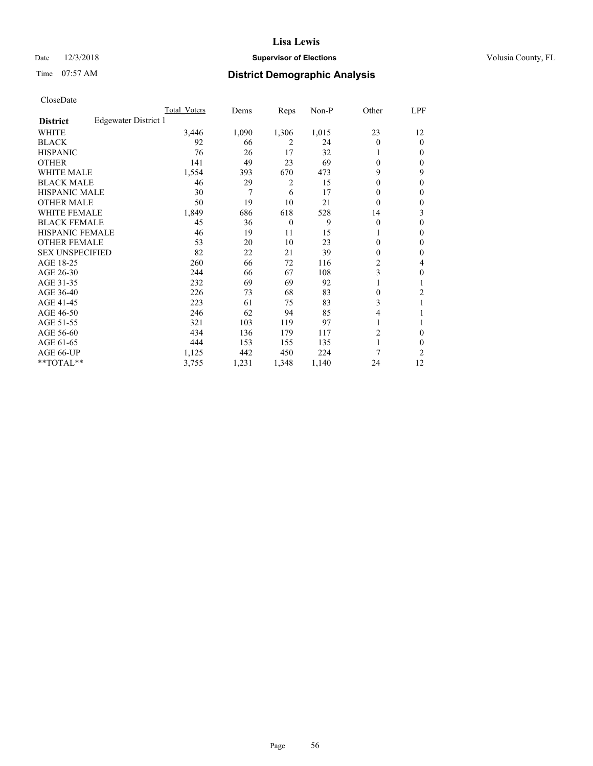# Date  $12/3/2018$  **Supervisor of Elections** Volusia County, FL

# Time 07:57 AM **District Demographic Analysis**

|                        |                      | Total Voters | Dems  | Reps           | Non-P | Other          | LPF          |
|------------------------|----------------------|--------------|-------|----------------|-------|----------------|--------------|
| <b>District</b>        | Edgewater District 1 |              |       |                |       |                |              |
| WHITE                  |                      | 3,446        | 1,090 | 1,306          | 1,015 | 23             | 12           |
| <b>BLACK</b>           |                      | 92           | 66    | 2              | 24    | 0              | $\mathbf{0}$ |
| <b>HISPANIC</b>        |                      | 76           | 26    | 17             | 32    |                | $\Omega$     |
| <b>OTHER</b>           |                      | 141          | 49    | 23             | 69    | 0              | 0            |
| <b>WHITE MALE</b>      |                      | 1,554        | 393   | 670            | 473   | 9              | 9            |
| <b>BLACK MALE</b>      |                      | 46           | 29    | 2              | 15    | $\mathbf{0}$   | $\theta$     |
| <b>HISPANIC MALE</b>   |                      | 30           | 7     | 6              | 17    | 0              | $\theta$     |
| <b>OTHER MALE</b>      |                      | 50           | 19    | 10             | 21    | 0              | 0            |
| WHITE FEMALE           |                      | 1,849        | 686   | 618            | 528   | 14             | 3            |
| <b>BLACK FEMALE</b>    |                      | 45           | 36    | $\overline{0}$ | 9     | 0              | 0            |
| <b>HISPANIC FEMALE</b> |                      | 46           | 19    | 11             | 15    |                | 0            |
| <b>OTHER FEMALE</b>    |                      | 53           | 20    | 10             | 23    | 0              | 0            |
| <b>SEX UNSPECIFIED</b> |                      | 82           | 22    | 21             | 39    | 0              | $\theta$     |
| AGE 18-25              |                      | 260          | 66    | 72             | 116   | $\overline{c}$ | 4            |
| AGE 26-30              |                      | 244          | 66    | 67             | 108   | 3              | $\theta$     |
| AGE 31-35              |                      | 232          | 69    | 69             | 92    |                |              |
| AGE 36-40              |                      | 226          | 73    | 68             | 83    | 0              | 2            |
| AGE 41-45              |                      | 223          | 61    | 75             | 83    | 3              |              |
| AGE 46-50              |                      | 246          | 62    | 94             | 85    | 4              |              |
| AGE 51-55              |                      | 321          | 103   | 119            | 97    | 1              |              |
| AGE 56-60              |                      | 434          | 136   | 179            | 117   | 2              | 0            |
| AGE 61-65              |                      | 444          | 153   | 155            | 135   | 1              | 0            |
| AGE 66-UP              |                      | 1,125        | 442   | 450            | 224   | 7              | 2            |
| **TOTAL**              |                      | 3,755        | 1,231 | 1,348          | 1,140 | 24             | 12           |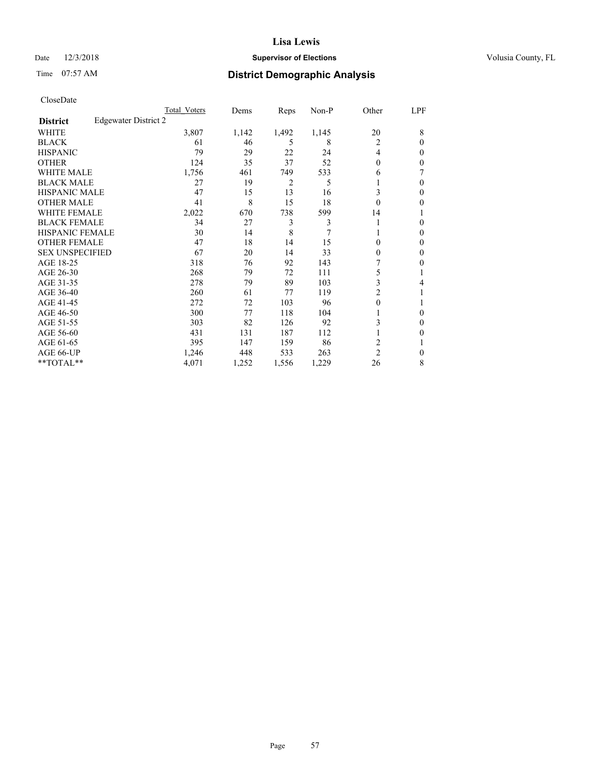# Date  $12/3/2018$  **Supervisor of Elections** Volusia County, FL

# Time 07:57 AM **District Demographic Analysis**

|                        | Total Voters         | Dems  | Reps  | Non-P | Other          | LPF    |
|------------------------|----------------------|-------|-------|-------|----------------|--------|
| <b>District</b>        | Edgewater District 2 |       |       |       |                |        |
| WHITE                  | 3,807                | 1,142 | 1,492 | 1,145 | 20             | 8      |
| <b>BLACK</b>           | 61                   | 46    | 5     | 8     | 2              | 0      |
| <b>HISPANIC</b>        | 79                   | 29    | 22    | 24    | 4              | $_{0}$ |
| <b>OTHER</b>           | 124                  | 35    | 37    | 52    | $\theta$       | 0      |
| WHITE MALE             | 1,756                | 461   | 749   | 533   | 6              |        |
| <b>BLACK MALE</b>      | 27                   | 19    | 2     | 5     |                | 0      |
| <b>HISPANIC MALE</b>   | 47                   | 15    | 13    | 16    | 3              | 0      |
| <b>OTHER MALE</b>      | 41                   | 8     | 15    | 18    | $\theta$       | 0      |
| <b>WHITE FEMALE</b>    | 2,022                | 670   | 738   | 599   | 14             |        |
| <b>BLACK FEMALE</b>    | 34                   | 27    | 3     | 3     |                | 0      |
| <b>HISPANIC FEMALE</b> | 30                   | 14    | 8     | 7     |                | 0      |
| <b>OTHER FEMALE</b>    | 47                   | 18    | 14    | 15    | 0              | 0      |
| <b>SEX UNSPECIFIED</b> | 67                   | 20    | 14    | 33    | 0              | 0      |
| AGE 18-25              | 318                  | 76    | 92    | 143   |                | 0      |
| AGE 26-30              | 268                  | 79    | 72    | 111   | 5              |        |
| AGE 31-35              | 278                  | 79    | 89    | 103   | 3              | 4      |
| AGE 36-40              | 260                  | 61    | 77    | 119   | 2              |        |
| AGE 41-45              | 272                  | 72    | 103   | 96    | 0              |        |
| AGE 46-50              | 300                  | 77    | 118   | 104   |                | 0      |
| AGE 51-55              | 303                  | 82    | 126   | 92    | 3              | 0      |
| AGE 56-60              | 431                  | 131   | 187   | 112   |                | 0      |
| AGE 61-65              | 395                  | 147   | 159   | 86    | 2              |        |
| AGE 66-UP              | 1,246                | 448   | 533   | 263   | $\overline{2}$ | 0      |
| **TOTAL**              | 4,071                | 1,252 | 1,556 | 1,229 | 26             | 8      |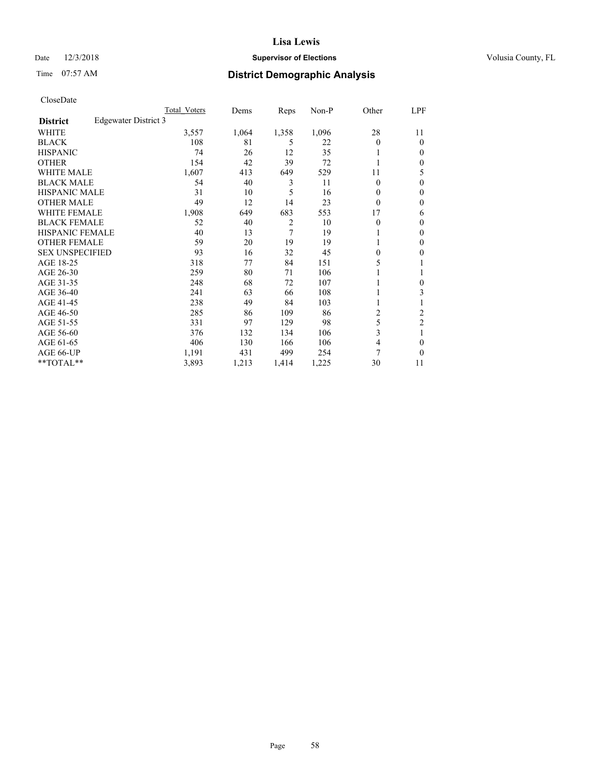# Date  $12/3/2018$  **Supervisor of Elections** Volusia County, FL

# Time 07:57 AM **District Demographic Analysis**

|                                         | Total Voters | Dems  | Reps           | $Non-P$ | Other    | LPF            |
|-----------------------------------------|--------------|-------|----------------|---------|----------|----------------|
| Edgewater District 3<br><b>District</b> |              |       |                |         |          |                |
| WHITE                                   | 3,557        | 1,064 | 1,358          | 1,096   | 28       | 11             |
| <b>BLACK</b>                            | 108          | 81    | 5              | 22      | 0        | $\theta$       |
| <b>HISPANIC</b>                         | 74           | 26    | 12             | 35      |          | $\Omega$       |
| <b>OTHER</b>                            | 154          | 42    | 39             | 72      |          | $\mathbf{0}$   |
| <b>WHITE MALE</b>                       | 1,607        | 413   | 649            | 529     | 11       | 5              |
| <b>BLACK MALE</b>                       | 54           | 40    | 3              | 11      | 0        | $\mathbf{0}$   |
| <b>HISPANIC MALE</b>                    | 31           | 10    | 5              | 16      | 0        | $\theta$       |
| <b>OTHER MALE</b>                       | 49           | 12    | 14             | 23      | 0        | $\mathbf{0}$   |
| <b>WHITE FEMALE</b>                     | 1,908        | 649   | 683            | 553     | 17       | 6              |
| <b>BLACK FEMALE</b>                     | 52           | 40    | $\overline{c}$ | 10      | 0        | $\theta$       |
| <b>HISPANIC FEMALE</b>                  | 40           | 13    | 7              | 19      |          | $\mathbf{0}$   |
| <b>OTHER FEMALE</b>                     | 59           | 20    | 19             | 19      |          | $\Omega$       |
| <b>SEX UNSPECIFIED</b>                  | 93           | 16    | 32             | 45      | $\theta$ | 0              |
| AGE 18-25                               | 318          | 77    | 84             | 151     | 5        |                |
| AGE 26-30                               | 259          | 80    | 71             | 106     |          | 1              |
| AGE 31-35                               | 248          | 68    | 72             | 107     |          | 0              |
| AGE 36-40                               | 241          | 63    | 66             | 108     |          | 3              |
| AGE 41-45                               | 238          | 49    | 84             | 103     | 1        | 1              |
| AGE 46-50                               | 285          | 86    | 109            | 86      | 2        | $\overline{2}$ |
| AGE 51-55                               | 331          | 97    | 129            | 98      | 5        | $\overline{c}$ |
| AGE 56-60                               | 376          | 132   | 134            | 106     | 3        | 1              |
| AGE 61-65                               | 406          | 130   | 166            | 106     | 4        | 0              |
| AGE 66-UP                               | 1,191        | 431   | 499            | 254     | 7        | $\theta$       |
| $*$ TOTAL $*$                           | 3,893        | 1,213 | 1,414          | 1,225   | 30       | 11             |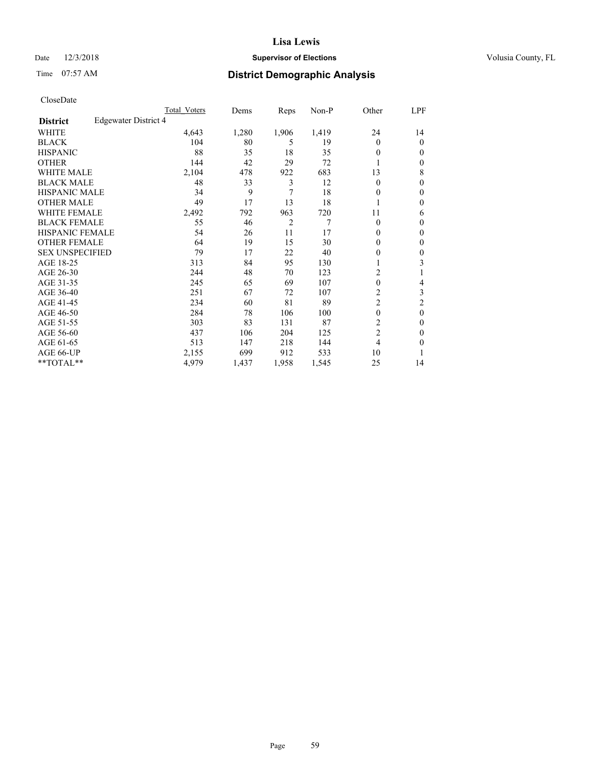# Date  $12/3/2018$  **Supervisor of Elections** Volusia County, FL

# Time 07:57 AM **District Demographic Analysis**

|                        |                      | Total Voters | Dems  | Reps           | Non-P | Other            | LPF            |
|------------------------|----------------------|--------------|-------|----------------|-------|------------------|----------------|
| <b>District</b>        | Edgewater District 4 |              |       |                |       |                  |                |
| WHITE                  |                      | 4,643        | 1,280 | 1,906          | 1,419 | 24               | 14             |
| <b>BLACK</b>           |                      | 104          | 80    | 5              | 19    | $\Omega$         | $\mathbf{0}$   |
| <b>HISPANIC</b>        |                      | 88           | 35    | 18             | 35    | $\theta$         | $\Omega$       |
| <b>OTHER</b>           |                      | 144          | 42    | 29             | 72    |                  | $\Omega$       |
| <b>WHITE MALE</b>      |                      | 2,104        | 478   | 922            | 683   | 13               | 8              |
| <b>BLACK MALE</b>      |                      | 48           | 33    | 3              | 12    | $\Omega$         | $\mathbf{0}$   |
| <b>HISPANIC MALE</b>   |                      | 34           | 9     | 7              | 18    | 0                | $\theta$       |
| <b>OTHER MALE</b>      |                      | 49           | 17    | 13             | 18    |                  | 0              |
| <b>WHITE FEMALE</b>    |                      | 2,492        | 792   | 963            | 720   | 11               | 6              |
| <b>BLACK FEMALE</b>    |                      | 55           | 46    | $\overline{2}$ | 7     | $\theta$         | $\Omega$       |
| <b>HISPANIC FEMALE</b> |                      | 54           | 26    | 11             | 17    | $\Omega$         | $\Omega$       |
| <b>OTHER FEMALE</b>    |                      | 64           | 19    | 15             | 30    | $\Omega$         | $\Omega$       |
| <b>SEX UNSPECIFIED</b> |                      | 79           | 17    | 22             | 40    | 0                | $\theta$       |
| AGE 18-25              |                      | 313          | 84    | 95             | 130   |                  | 3              |
| AGE 26-30              |                      | 244          | 48    | 70             | 123   | 2                |                |
| AGE 31-35              |                      | 245          | 65    | 69             | 107   | $\boldsymbol{0}$ | 4              |
| AGE 36-40              |                      | 251          | 67    | 72             | 107   | 2                | 3              |
| AGE 41-45              |                      | 234          | 60    | 81             | 89    | $\overline{c}$   | $\overline{2}$ |
| AGE 46-50              |                      | 284          | 78    | 106            | 100   | $\theta$         | $\theta$       |
| AGE 51-55              |                      | 303          | 83    | 131            | 87    | 2                | $\theta$       |
| AGE 56-60              |                      | 437          | 106   | 204            | 125   | $\overline{2}$   | $\theta$       |
| AGE 61-65              |                      | 513          | 147   | 218            | 144   | 4                | 0              |
| AGE 66-UP              |                      | 2,155        | 699   | 912            | 533   | 10               |                |
| **TOTAL**              |                      | 4,979        | 1,437 | 1,958          | 1,545 | 25               | 14             |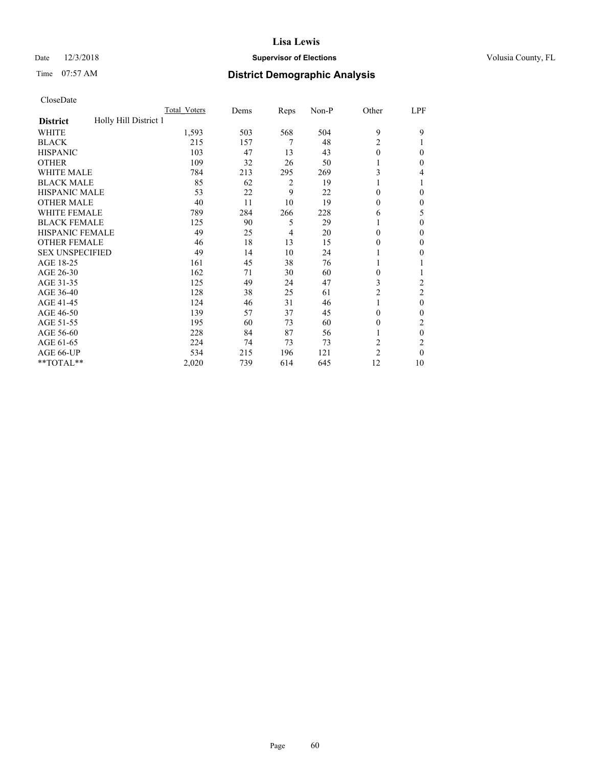# Date  $12/3/2018$  **Supervisor of Elections** Volusia County, FL

# Time 07:57 AM **District Demographic Analysis**

|                                          | Total Voters | Dems | Reps | Non-P | Other          | LPF            |
|------------------------------------------|--------------|------|------|-------|----------------|----------------|
| Holly Hill District 1<br><b>District</b> |              |      |      |       |                |                |
| WHITE                                    | 1,593        | 503  | 568  | 504   | 9              | 9              |
| <b>BLACK</b>                             | 215          | 157  | 7    | 48    | $\overline{2}$ |                |
| <b>HISPANIC</b>                          | 103          | 47   | 13   | 43    | $\theta$       | 0              |
| <b>OTHER</b>                             | 109          | 32   | 26   | 50    |                | 0              |
| WHITE MALE                               | 784          | 213  | 295  | 269   | 3              | 4              |
| <b>BLACK MALE</b>                        | 85           | 62   | 2    | 19    |                |                |
| <b>HISPANIC MALE</b>                     | 53           | 22   | 9    | 22    | 0              | 0              |
| <b>OTHER MALE</b>                        | 40           | 11   | 10   | 19    | 0              | 0              |
| WHITE FEMALE                             | 789          | 284  | 266  | 228   | 6              | 5              |
| <b>BLACK FEMALE</b>                      | 125          | 90   | 5    | 29    |                | 0              |
| <b>HISPANIC FEMALE</b>                   | 49           | 25   | 4    | 20    | 0              | 0              |
| <b>OTHER FEMALE</b>                      | 46           | 18   | 13   | 15    | 0              | 0              |
| <b>SEX UNSPECIFIED</b>                   | 49           | 14   | 10   | 24    |                | 0              |
| AGE 18-25                                | 161          | 45   | 38   | 76    |                |                |
| AGE 26-30                                | 162          | 71   | 30   | 60    | 0              |                |
| AGE 31-35                                | 125          | 49   | 24   | 47    | 3              | $\overline{c}$ |
| AGE 36-40                                | 128          | 38   | 25   | 61    | $\overline{c}$ | 2              |
| AGE 41-45                                | 124          | 46   | 31   | 46    |                | $\theta$       |
| AGE 46-50                                | 139          | 57   | 37   | 45    | $\Omega$       | 0              |
| AGE 51-55                                | 195          | 60   | 73   | 60    | $_{0}$         | 2              |
| AGE 56-60                                | 228          | 84   | 87   | 56    |                | $\theta$       |
| AGE 61-65                                | 224          | 74   | 73   | 73    | $\overline{2}$ | 2              |
| AGE 66-UP                                | 534          | 215  | 196  | 121   | $\overline{2}$ | 0              |
| **TOTAL**                                | 2,020        | 739  | 614  | 645   | 12             | 10             |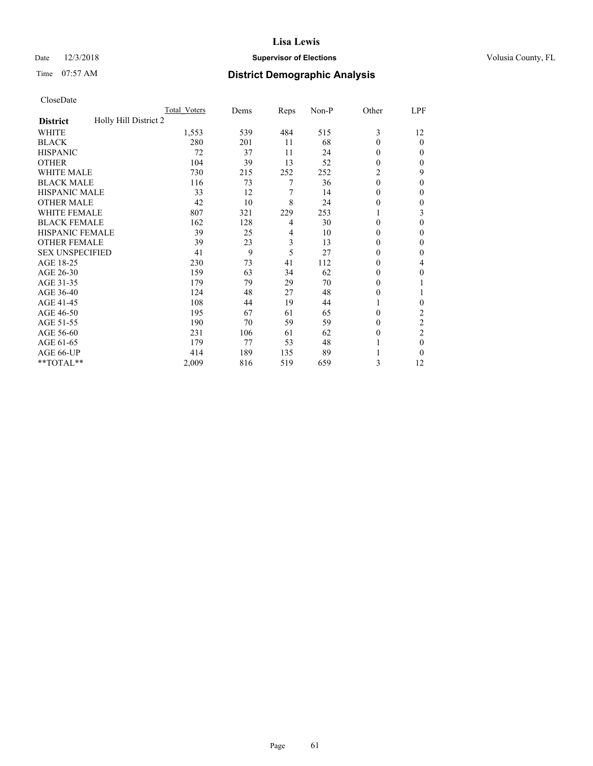# Date  $12/3/2018$  **Supervisor of Elections** Volusia County, FL

# Time 07:57 AM **District Demographic Analysis**

|                                          | Total Voters | Dems | Reps           | Non-P | Other        | LPF            |
|------------------------------------------|--------------|------|----------------|-------|--------------|----------------|
| Holly Hill District 2<br><b>District</b> |              |      |                |       |              |                |
| WHITE                                    | 1,553        | 539  | 484            | 515   | 3            | 12             |
| <b>BLACK</b>                             | 280          | 201  | 11             | 68    | $\theta$     | $\theta$       |
| <b>HISPANIC</b>                          | 72           | 37   | 11             | 24    | $\Omega$     | 0              |
| <b>OTHER</b>                             | 104          | 39   | 13             | 52    | $\theta$     | 0              |
| WHITE MALE                               | 730          | 215  | 252            | 252   | 2            | 9              |
| <b>BLACK MALE</b>                        | 116          | 73   | 7              | 36    | $\theta$     | $\mathbf{0}$   |
| <b>HISPANIC MALE</b>                     | 33           | 12   | 7              | 14    | $\mathbf{0}$ | 0              |
| <b>OTHER MALE</b>                        | 42           | 10   | 8              | 24    | $\theta$     | 0              |
| WHITE FEMALE                             | 807          | 321  | 229            | 253   |              | 3              |
| <b>BLACK FEMALE</b>                      | 162          | 128  | 4              | 30    | $\Omega$     | 0              |
| <b>HISPANIC FEMALE</b>                   | 39           | 25   | $\overline{4}$ | 10    | $\Omega$     | 0              |
| <b>OTHER FEMALE</b>                      | 39           | 23   | 3              | 13    | $\Omega$     | 0              |
| <b>SEX UNSPECIFIED</b>                   | 41           | 9    | 5              | 27    | $\Omega$     | 0              |
| AGE 18-25                                | 230          | 73   | 41             | 112   | $\Omega$     | 4              |
| AGE 26-30                                | 159          | 63   | 34             | 62    | $\Omega$     | $\mathbf{0}$   |
| AGE 31-35                                | 179          | 79   | 29             | 70    | $\theta$     |                |
| AGE 36-40                                | 124          | 48   | 27             | 48    | $\theta$     |                |
| AGE 41-45                                | 108          | 44   | 19             | 44    |              | 0              |
| AGE 46-50                                | 195          | 67   | 61             | 65    | $\Omega$     | 2              |
| AGE 51-55                                | 190          | 70   | 59             | 59    | $\Omega$     | $\overline{c}$ |
| AGE 56-60                                | 231          | 106  | 61             | 62    | $\theta$     | $\overline{2}$ |
| AGE 61-65                                | 179          | 77   | 53             | 48    |              | $\theta$       |
| AGE 66-UP                                | 414          | 189  | 135            | 89    |              | 0              |
| **TOTAL**                                | 2,009        | 816  | 519            | 659   | 3            | 12             |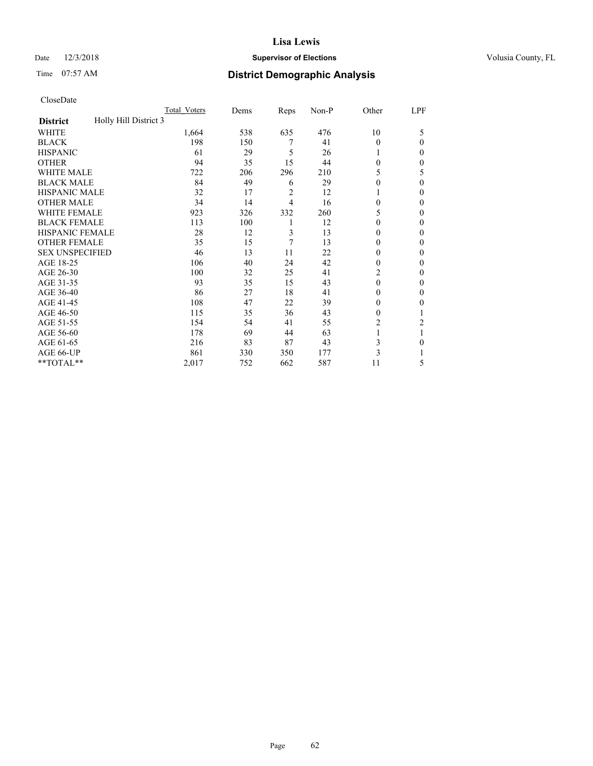# Date  $12/3/2018$  **Supervisor of Elections** Volusia County, FL

# Time 07:57 AM **District Demographic Analysis**

|                                          | Total Voters | Dems | Reps | Non-P | Other    | LPF            |
|------------------------------------------|--------------|------|------|-------|----------|----------------|
| Holly Hill District 3<br><b>District</b> |              |      |      |       |          |                |
| WHITE                                    | 1,664        | 538  | 635  | 476   | 10       | 5              |
| <b>BLACK</b>                             | 198          | 150  | 7    | 41    | $\theta$ | $\Omega$       |
| <b>HISPANIC</b>                          | 61           | 29   | 5    | 26    | 1        | 0              |
| <b>OTHER</b>                             | 94           | 35   | 15   | 44    | $\theta$ | 0              |
| WHITE MALE                               | 722          | 206  | 296  | 210   | 5        | 5              |
| <b>BLACK MALE</b>                        | 84           | 49   | 6    | 29    | $\theta$ | $\theta$       |
| <b>HISPANIC MALE</b>                     | 32           | 17   | 2    | 12    | 1        | 0              |
| <b>OTHER MALE</b>                        | 34           | 14   | 4    | 16    | 0        | $\mathbf{0}$   |
| <b>WHITE FEMALE</b>                      | 923          | 326  | 332  | 260   | 5        | 0              |
| <b>BLACK FEMALE</b>                      | 113          | 100  | 1    | 12    | $\theta$ | 0              |
| <b>HISPANIC FEMALE</b>                   | 28           | 12   | 3    | 13    | $\Omega$ | 0              |
| <b>OTHER FEMALE</b>                      | 35           | 15   | 7    | 13    | $\theta$ | 0              |
| <b>SEX UNSPECIFIED</b>                   | 46           | 13   | 11   | 22    | $\theta$ | 0              |
| AGE 18-25                                | 106          | 40   | 24   | 42    | $\theta$ | 0              |
| AGE 26-30                                | 100          | 32   | 25   | 41    | 2        | $\mathbf{0}$   |
| AGE 31-35                                | 93           | 35   | 15   | 43    | $\theta$ | 0              |
| AGE 36-40                                | 86           | 27   | 18   | 41    | $\theta$ | $\Omega$       |
| AGE 41-45                                | 108          | 47   | 22   | 39    | 0        | 0              |
| AGE 46-50                                | 115          | 35   | 36   | 43    | $\theta$ |                |
| AGE 51-55                                | 154          | 54   | 41   | 55    | 2        | $\overline{2}$ |
| AGE 56-60                                | 178          | 69   | 44   | 63    |          |                |
| AGE 61-65                                | 216          | 83   | 87   | 43    | 3        | 0              |
| AGE 66-UP                                | 861          | 330  | 350  | 177   | 3        |                |
| **TOTAL**                                | 2,017        | 752  | 662  | 587   | 11       | 5              |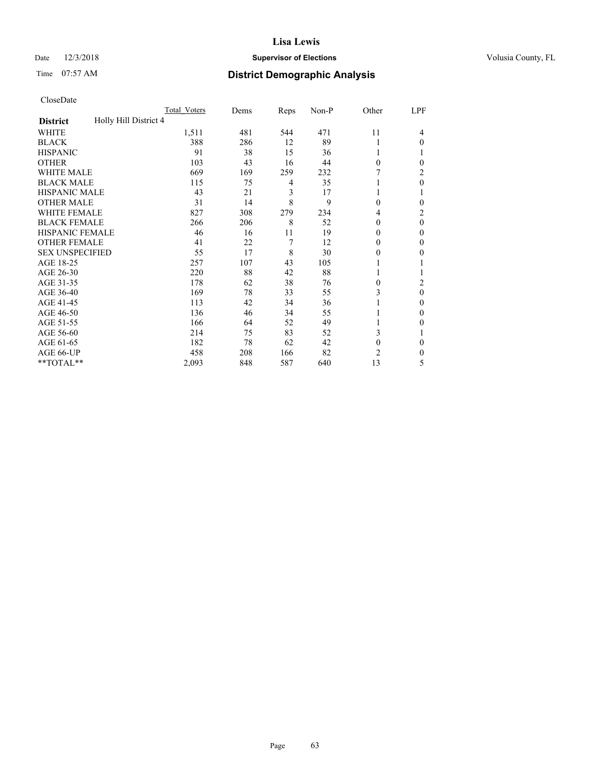# Date  $12/3/2018$  **Supervisor of Elections** Volusia County, FL

# Time 07:57 AM **District Demographic Analysis**

|                                          | Total Voters | Dems | Reps | Non-P | Other        | LPF      |
|------------------------------------------|--------------|------|------|-------|--------------|----------|
| Holly Hill District 4<br><b>District</b> |              |      |      |       |              |          |
| WHITE                                    | 1,511        | 481  | 544  | 471   | 11           | 4        |
| <b>BLACK</b>                             | 388          | 286  | 12   | 89    |              | $\Omega$ |
| <b>HISPANIC</b>                          | 91           | 38   | 15   | 36    |              |          |
| <b>OTHER</b>                             | 103          | 43   | 16   | 44    | $\theta$     | 0        |
| <b>WHITE MALE</b>                        | 669          | 169  | 259  | 232   |              | 2        |
| <b>BLACK MALE</b>                        | 115          | 75   | 4    | 35    |              | $\theta$ |
| <b>HISPANIC MALE</b>                     | 43           | 21   | 3    | 17    |              |          |
| <b>OTHER MALE</b>                        | 31           | 14   | 8    | 9     | 0            | 0        |
| <b>WHITE FEMALE</b>                      | 827          | 308  | 279  | 234   | 4            | 2        |
| <b>BLACK FEMALE</b>                      | 266          | 206  | 8    | 52    | 0            | $\theta$ |
| <b>HISPANIC FEMALE</b>                   | 46           | 16   | 11   | 19    | 0            | $\Omega$ |
| <b>OTHER FEMALE</b>                      | 41           | 22   | 7    | 12    | $\theta$     | $\Omega$ |
| <b>SEX UNSPECIFIED</b>                   | 55           | 17   | 8    | 30    | $\theta$     | 0        |
| AGE 18-25                                | 257          | 107  | 43   | 105   |              |          |
| AGE 26-30                                | 220          | 88   | 42   | 88    |              |          |
| AGE 31-35                                | 178          | 62   | 38   | 76    | 0            | 2        |
| AGE 36-40                                | 169          | 78   | 33   | 55    | 3            | $\theta$ |
| AGE 41-45                                | 113          | 42   | 34   | 36    |              | $\Omega$ |
| AGE 46-50                                | 136          | 46   | 34   | 55    |              | $\Omega$ |
| AGE 51-55                                | 166          | 64   | 52   | 49    |              | 0        |
| AGE 56-60                                | 214          | 75   | 83   | 52    | 3            |          |
| AGE 61-65                                | 182          | 78   | 62   | 42    | $\mathbf{0}$ | $\Omega$ |
| AGE 66-UP                                | 458          | 208  | 166  | 82    | 2            | 0        |
| **TOTAL**                                | 2,093        | 848  | 587  | 640   | 13           | 5        |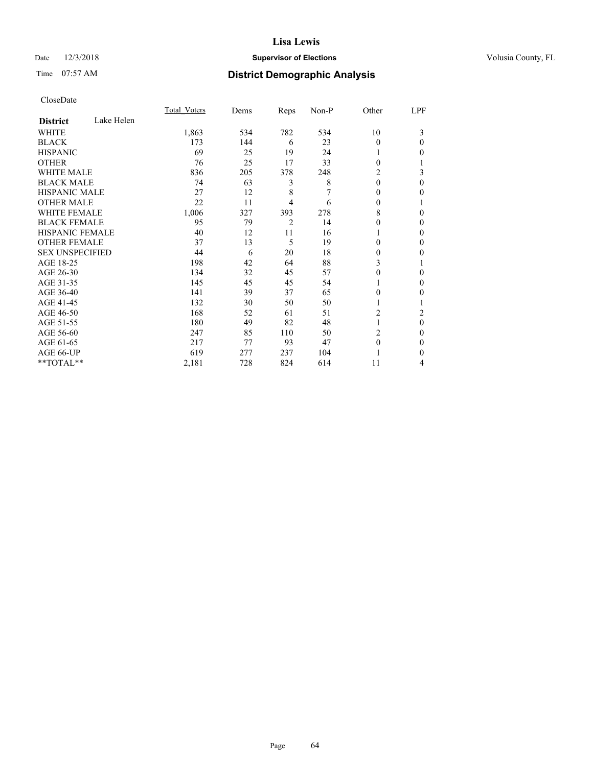# Date  $12/3/2018$  **Supervisor of Elections** Volusia County, FL

# Time 07:57 AM **District Demographic Analysis**

|                        |            | Total Voters | Dems | Reps | Non-P | Other    | LPF      |
|------------------------|------------|--------------|------|------|-------|----------|----------|
| <b>District</b>        | Lake Helen |              |      |      |       |          |          |
| WHITE                  |            | 1,863        | 534  | 782  | 534   | 10       | 3        |
| <b>BLACK</b>           |            | 173          | 144  | 6    | 23    | $\Omega$ | $\Omega$ |
| <b>HISPANIC</b>        |            | 69           | 25   | 19   | 24    |          | 0        |
| <b>OTHER</b>           |            | 76           | 25   | 17   | 33    | $\Omega$ |          |
| <b>WHITE MALE</b>      |            | 836          | 205  | 378  | 248   | 2        | 3        |
| <b>BLACK MALE</b>      |            | 74           | 63   | 3    | 8     | $\Omega$ | 0        |
| <b>HISPANIC MALE</b>   |            | 27           | 12   | 8    |       | $\Omega$ | 0        |
| <b>OTHER MALE</b>      |            | 22           | 11   | 4    | 6     | $\Omega$ |          |
| <b>WHITE FEMALE</b>    |            | 1,006        | 327  | 393  | 278   | 8        | 0        |
| <b>BLACK FEMALE</b>    |            | 95           | 79   | 2    | 14    | 0        | 0        |
| <b>HISPANIC FEMALE</b> |            | 40           | 12   | 11   | 16    |          | 0        |
| <b>OTHER FEMALE</b>    |            | 37           | 13   | 5    | 19    | $\Omega$ | 0        |
| <b>SEX UNSPECIFIED</b> |            | 44           | 6    | 20   | 18    | 0        | 0        |
| AGE 18-25              |            | 198          | 42   | 64   | 88    | 3        |          |
| AGE 26-30              |            | 134          | 32   | 45   | 57    | $\Omega$ | 0        |
| AGE 31-35              |            | 145          | 45   | 45   | 54    |          | 0        |
| AGE 36-40              |            | 141          | 39   | 37   | 65    | 0        | 0        |
| AGE 41-45              |            | 132          | 30   | 50   | 50    |          |          |
| AGE 46-50              |            | 168          | 52   | 61   | 51    | 2        | 2        |
| AGE 51-55              |            | 180          | 49   | 82   | 48    | 1        | $\theta$ |
| AGE 56-60              |            | 247          | 85   | 110  | 50    | 2        | 0        |
| AGE 61-65              |            | 217          | 77   | 93   | 47    | $\theta$ | 0        |
| AGE 66-UP              |            | 619          | 277  | 237  | 104   |          | 0        |
| **TOTAL**              |            | 2,181        | 728  | 824  | 614   | 11       | 4        |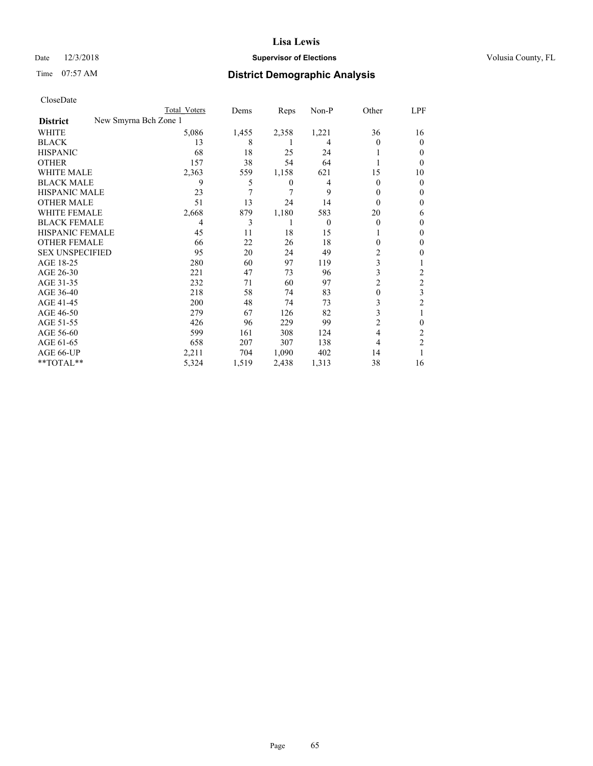# Date  $12/3/2018$  **Supervisor of Elections** Volusia County, FL

|                                          | Total Voters | Dems  | <b>Reps</b> | $Non-P$  | Other    | <u>LPF</u>     |
|------------------------------------------|--------------|-------|-------------|----------|----------|----------------|
| New Smyrna Bch Zone 1<br><b>District</b> |              |       |             |          |          |                |
| WHITE                                    | 5,086        | 1,455 | 2,358       | 1,221    | 36       | 16             |
| <b>BLACK</b>                             | 13           | 8     |             | 4        | 0        | $\Omega$       |
| <b>HISPANIC</b>                          | 68           | 18    | 25          | 24       |          | 0              |
| <b>OTHER</b>                             | 157          | 38    | 54          | 64       |          | $\Omega$       |
| <b>WHITE MALE</b>                        | 2,363        | 559   | 1,158       | 621      | 15       | 10             |
| <b>BLACK MALE</b>                        | 9            | 5     | 0           | 4        | 0        | $\theta$       |
| <b>HISPANIC MALE</b>                     | 23           | 7     | 7           | 9        | 0        | $_{0}$         |
| <b>OTHER MALE</b>                        | 51           | 13    | 24          | 14       | 0        | $\theta$       |
| <b>WHITE FEMALE</b>                      | 2,668        | 879   | 1,180       | 583      | 20       | 6              |
| <b>BLACK FEMALE</b>                      | 4            | 3     |             | $\theta$ | $\theta$ | $\theta$       |
| <b>HISPANIC FEMALE</b>                   | 45           | 11    | 18          | 15       |          | 0              |
| <b>OTHER FEMALE</b>                      | 66           | 22    | 26          | 18       | 0        | 0              |
| <b>SEX UNSPECIFIED</b>                   | 95           | 20    | 24          | 49       | 2        | 0              |
| AGE 18-25                                | 280          | 60    | 97          | 119      | 3        |                |
| AGE 26-30                                | 221          | 47    | 73          | 96       | 3        | 2              |
| AGE 31-35                                | 232          | 71    | 60          | 97       | 2        | $\overline{c}$ |
| AGE 36-40                                | 218          | 58    | 74          | 83       | 0        | 3              |
| AGE 41-45                                | 200          | 48    | 74          | 73       | 3        | 2              |
| AGE 46-50                                | 279          | 67    | 126         | 82       | 3        |                |
| AGE 51-55                                | 426          | 96    | 229         | 99       | 2        | 0              |
| AGE 56-60                                | 599          | 161   | 308         | 124      | 4        | 2              |
| AGE 61-65                                | 658          | 207   | 307         | 138      | 4        | $\overline{2}$ |
| AGE 66-UP                                | 2,211        | 704   | 1,090       | 402      | 14       |                |
| **TOTAL**                                | 5,324        | 1,519 | 2,438       | 1,313    | 38       | 16             |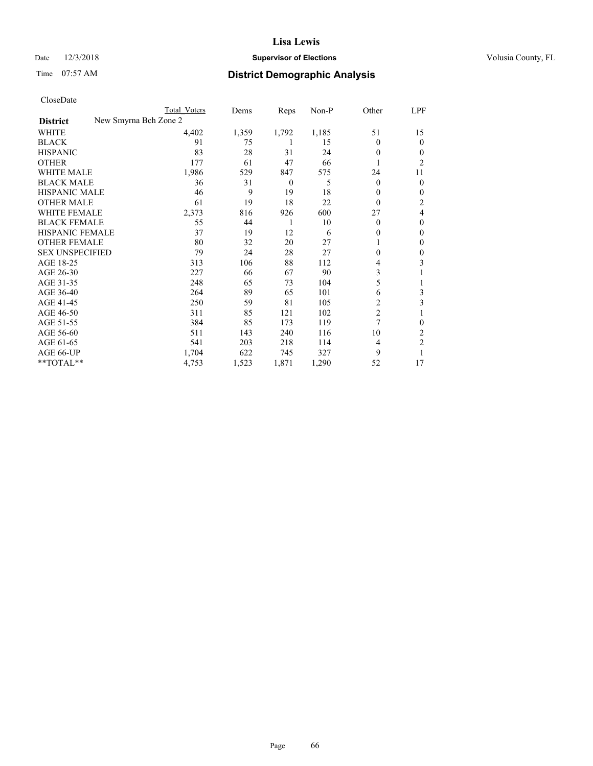# Date  $12/3/2018$  **Supervisor of Elections** Volusia County, FL

| CloseDate |
|-----------|
|-----------|

|                                          | Total Voters | Dems  | Reps             | Non-P | Other          | LPF    |
|------------------------------------------|--------------|-------|------------------|-------|----------------|--------|
| New Smyrna Bch Zone 2<br><b>District</b> |              |       |                  |       |                |        |
| WHITE                                    | 4,402        | 1,359 | 1,792            | 1,185 | 51             | 15     |
| <b>BLACK</b>                             | 91           | 75    |                  | 15    | $\Omega$       | 0      |
| <b>HISPANIC</b>                          | 83           | 28    | 31               | 24    | $\Omega$       | $_{0}$ |
| <b>OTHER</b>                             | 177          | 61    | 47               | 66    |                | 2      |
| <b>WHITE MALE</b>                        | 1,986        | 529   | 847              | 575   | 24             | 11     |
| <b>BLACK MALE</b>                        | 36           | 31    | $\boldsymbol{0}$ | 5     | $\overline{0}$ | 0      |
| <b>HISPANIC MALE</b>                     | 46           | 9     | 19               | 18    | 0              | 0      |
| <b>OTHER MALE</b>                        | 61           | 19    | 18               | 22    | $\Omega$       | 2      |
| <b>WHITE FEMALE</b>                      | 2,373        | 816   | 926              | 600   | 27             | 4      |
| <b>BLACK FEMALE</b>                      | 55           | 44    | 1                | 10    | $\Omega$       | 0      |
| <b>HISPANIC FEMALE</b>                   | 37           | 19    | 12               | 6     | 0              | 0      |
| <b>OTHER FEMALE</b>                      | 80           | 32    | 20               | 27    | 1              | 0      |
| <b>SEX UNSPECIFIED</b>                   | 79           | 24    | 28               | 27    | 0              | 0      |
| AGE 18-25                                | 313          | 106   | 88               | 112   | 4              | 3      |
| AGE 26-30                                | 227          | 66    | 67               | 90    | 3              |        |
| AGE 31-35                                | 248          | 65    | 73               | 104   | 5              |        |
| AGE 36-40                                | 264          | 89    | 65               | 101   | 6              | 3      |
| AGE 41-45                                | 250          | 59    | 81               | 105   | 2              | 3      |
| AGE 46-50                                | 311          | 85    | 121              | 102   | $\overline{2}$ |        |
| AGE 51-55                                | 384          | 85    | 173              | 119   | 7              | 0      |
| AGE 56-60                                | 511          | 143   | 240              | 116   | 10             | 2      |
| AGE 61-65                                | 541          | 203   | 218              | 114   | 4              | 2      |
| AGE 66-UP                                | 1,704        | 622   | 745              | 327   | 9              |        |
| **TOTAL**                                | 4,753        | 1,523 | 1,871            | 1,290 | 52             | 17     |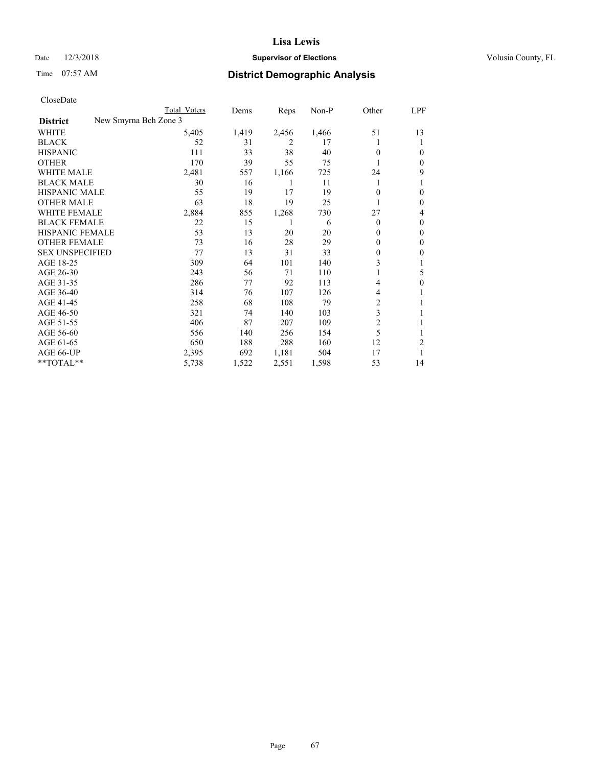# Date  $12/3/2018$  **Supervisor of Elections** Volusia County, FL

| CloseDate |
|-----------|
|-----------|

|                        |                       | Total Voters | Dems  | Reps  | $Non-P$ | Other    | LPF              |
|------------------------|-----------------------|--------------|-------|-------|---------|----------|------------------|
| <b>District</b>        | New Smyrna Bch Zone 3 |              |       |       |         |          |                  |
| WHITE                  |                       | 5,405        | 1,419 | 2,456 | 1,466   | 51       | 13               |
| <b>BLACK</b>           |                       | 52           | 31    | 2     | 17      |          | 1                |
| <b>HISPANIC</b>        |                       | 111          | 33    | 38    | 40      | 0        | 0                |
| <b>OTHER</b>           |                       | 170          | 39    | 55    | 75      |          | $\mathbf{0}$     |
| <b>WHITE MALE</b>      |                       | 2,481        | 557   | 1,166 | 725     | 24       | 9                |
| <b>BLACK MALE</b>      |                       | 30           | 16    | 1     | 11      | 1        |                  |
| <b>HISPANIC MALE</b>   |                       | 55           | 19    | 17    | 19      | 0        | 0                |
| <b>OTHER MALE</b>      |                       | 63           | 18    | 19    | 25      |          | $\mathbf{0}$     |
| <b>WHITE FEMALE</b>    |                       | 2,884        | 855   | 1,268 | 730     | 27       | 4                |
| <b>BLACK FEMALE</b>    |                       | 22           | 15    | 1     | 6       | $\theta$ | $\theta$         |
| HISPANIC FEMALE        |                       | 53           | 13    | 20    | 20      | $\Omega$ | $\mathbf{0}$     |
| <b>OTHER FEMALE</b>    |                       | 73           | 16    | 28    | 29      | 0        | $\mathbf{0}$     |
| <b>SEX UNSPECIFIED</b> |                       | 77           | 13    | 31    | 33      | $\theta$ | 0                |
| AGE 18-25              |                       | 309          | 64    | 101   | 140     | 3        |                  |
| AGE 26-30              |                       | 243          | 56    | 71    | 110     | 1        | 5                |
| AGE 31-35              |                       | 286          | 77    | 92    | 113     | 4        | $\boldsymbol{0}$ |
| AGE 36-40              |                       | 314          | 76    | 107   | 126     | 4        |                  |
| AGE 41-45              |                       | 258          | 68    | 108   | 79      | 2        | 1                |
| AGE 46-50              |                       | 321          | 74    | 140   | 103     | 3        |                  |
| AGE 51-55              |                       | 406          | 87    | 207   | 109     | 2        | 1                |
| AGE 56-60              |                       | 556          | 140   | 256   | 154     | 5        | 1                |
| AGE 61-65              |                       | 650          | 188   | 288   | 160     | 12       | 2                |
| AGE 66-UP              |                       | 2,395        | 692   | 1,181 | 504     | 17       | 1                |
| **TOTAL**              |                       | 5,738        | 1,522 | 2,551 | 1,598   | 53       | 14               |
|                        |                       |              |       |       |         |          |                  |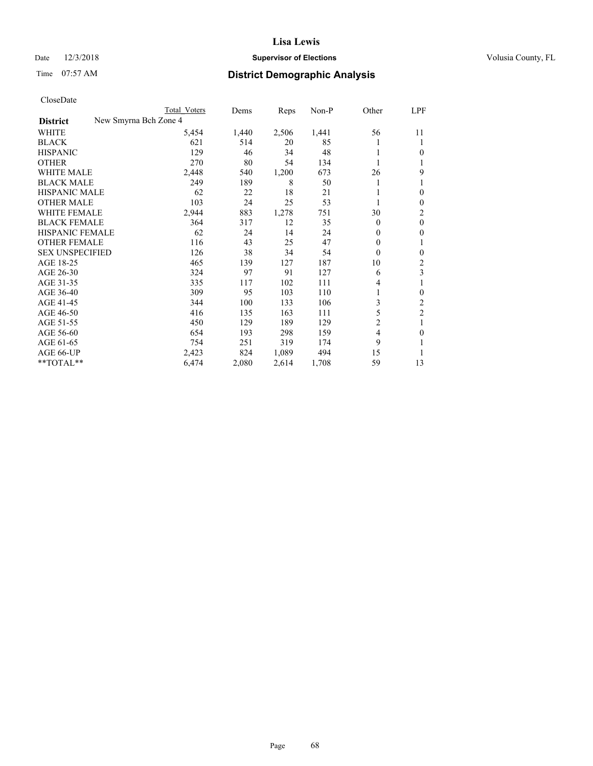# Date  $12/3/2018$  **Supervisor of Elections** Volusia County, FL

|                        |                       | Total Voters | Dems  | Reps  | $Non-P$ | Other    | <b>LPF</b>       |
|------------------------|-----------------------|--------------|-------|-------|---------|----------|------------------|
| <b>District</b>        | New Smyrna Bch Zone 4 |              |       |       |         |          |                  |
| WHITE                  |                       | 5,454        | 1,440 | 2,506 | 1,441   | 56       | 11               |
| <b>BLACK</b>           |                       | 621          | 514   | 20    | 85      |          | 1                |
| <b>HISPANIC</b>        |                       | 129          | 46    | 34    | 48      |          | $\theta$         |
| <b>OTHER</b>           |                       | 270          | 80    | 54    | 134     |          | 1                |
| <b>WHITE MALE</b>      |                       | 2,448        | 540   | 1,200 | 673     | 26       | 9                |
| <b>BLACK MALE</b>      |                       | 249          | 189   | 8     | 50      |          |                  |
| <b>HISPANIC MALE</b>   |                       | 62           | 22    | 18    | 21      |          | $\theta$         |
| <b>OTHER MALE</b>      |                       | 103          | 24    | 25    | 53      |          | $\boldsymbol{0}$ |
| <b>WHITE FEMALE</b>    |                       | 2,944        | 883   | 1,278 | 751     | 30       | $\overline{c}$   |
| <b>BLACK FEMALE</b>    |                       | 364          | 317   | 12    | 35      | $\theta$ | $\mathbf{0}$     |
| <b>HISPANIC FEMALE</b> |                       | 62           | 24    | 14    | 24      | $\theta$ | $\boldsymbol{0}$ |
| <b>OTHER FEMALE</b>    |                       | 116          | 43    | 25    | 47      | $\theta$ | 1                |
| <b>SEX UNSPECIFIED</b> |                       | 126          | 38    | 34    | 54      | $\theta$ | $\boldsymbol{0}$ |
| AGE 18-25              |                       | 465          | 139   | 127   | 187     | 10       | 2                |
| AGE 26-30              |                       | 324          | 97    | 91    | 127     | 6        | 3                |
| AGE 31-35              |                       | 335          | 117   | 102   | 111     | 4        | 1                |
| AGE 36-40              |                       | 309          | 95    | 103   | 110     |          | $\boldsymbol{0}$ |
| AGE 41-45              |                       | 344          | 100   | 133   | 106     | 3        | $\overline{c}$   |
| AGE 46-50              |                       | 416          | 135   | 163   | 111     | 5        | $\overline{c}$   |
| AGE 51-55              |                       | 450          | 129   | 189   | 129     | 2        | 1                |
| AGE 56-60              |                       | 654          | 193   | 298   | 159     | 4        | $\mathbf{0}$     |
| AGE 61-65              |                       | 754          | 251   | 319   | 174     | 9        | 1                |
| AGE 66-UP              |                       | 2,423        | 824   | 1,089 | 494     | 15       | 1                |
| **TOTAL**              |                       | 6,474        | 2,080 | 2,614 | 1,708   | 59       | 13               |
|                        |                       |              |       |       |         |          |                  |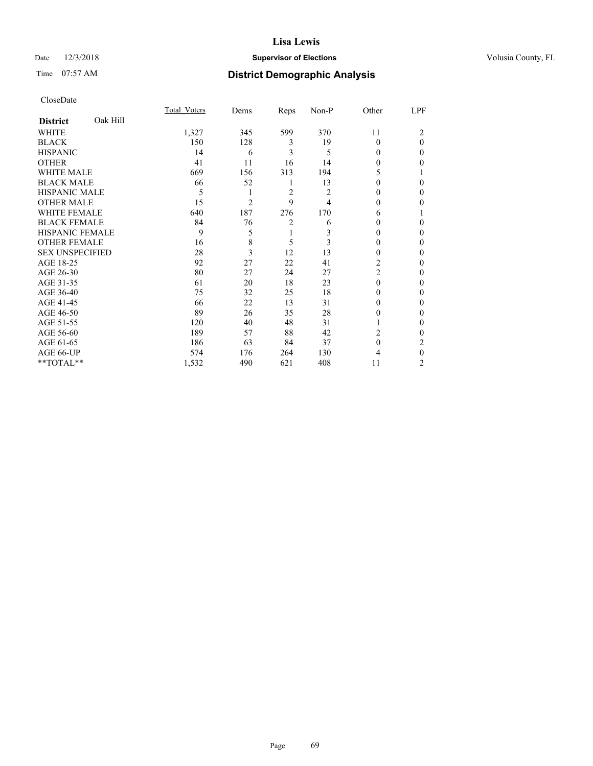# Date  $12/3/2018$  **Supervisor of Elections** Volusia County, FL

# Time 07:57 AM **District Demographic Analysis**

|                        |          | Total Voters | Dems           | Reps           | Non-P          | Other          | LPF      |
|------------------------|----------|--------------|----------------|----------------|----------------|----------------|----------|
| <b>District</b>        | Oak Hill |              |                |                |                |                |          |
| WHITE                  |          | 1,327        | 345            | 599            | 370            | 11             | 2        |
| <b>BLACK</b>           |          | 150          | 128            | 3              | 19             | $\theta$       | $\theta$ |
| <b>HISPANIC</b>        |          | 14           | 6              | 3              | 5              | 0              | $\Omega$ |
| <b>OTHER</b>           |          | 41           | 11             | 16             | 14             | 0              | 0        |
| WHITE MALE             |          | 669          | 156            | 313            | 194            | 5              |          |
| <b>BLACK MALE</b>      |          | 66           | 52             | 1              | 13             | 0              | 0        |
| <b>HISPANIC MALE</b>   |          | 5            | 1              | $\overline{2}$ | $\overline{2}$ | 0              | 0        |
| <b>OTHER MALE</b>      |          | 15           | $\overline{c}$ | 9              | 4              | 0              | 0        |
| WHITE FEMALE           |          | 640          | 187            | 276            | 170            | 6              |          |
| <b>BLACK FEMALE</b>    |          | 84           | 76             | $\overline{c}$ | 6              | 0              | $\Omega$ |
| <b>HISPANIC FEMALE</b> |          | 9            | 5              | 1              | 3              | 0              | 0        |
| <b>OTHER FEMALE</b>    |          | 16           | 8              | 5              | 3              | $\theta$       | 0        |
| <b>SEX UNSPECIFIED</b> |          | 28           | 3              | 12             | 13             | $\theta$       | 0        |
| AGE 18-25              |          | 92           | 27             | 22             | 41             | $\overline{2}$ | 0        |
| AGE 26-30              |          | 80           | 27             | 24             | 27             | $\overline{2}$ | 0        |
| AGE 31-35              |          | 61           | 20             | 18             | 23             | $\theta$       | 0        |
| AGE 36-40              |          | 75           | 32             | 25             | 18             | $\theta$       | $\Omega$ |
| AGE 41-45              |          | 66           | 22             | 13             | 31             | 0              | 0        |
| AGE 46-50              |          | 89           | 26             | 35             | 28             | $\theta$       | 0        |
| AGE 51-55              |          | 120          | 40             | 48             | 31             |                | $\theta$ |
| AGE 56-60              |          | 189          | 57             | 88             | 42             | 2              | 0        |
| AGE 61-65              |          | 186          | 63             | 84             | 37             | $\theta$       | 2        |
| AGE 66-UP              |          | 574          | 176            | 264            | 130            | 4              | $\theta$ |
| **TOTAL**              |          | 1,532        | 490            | 621            | 408            | 11             | 2        |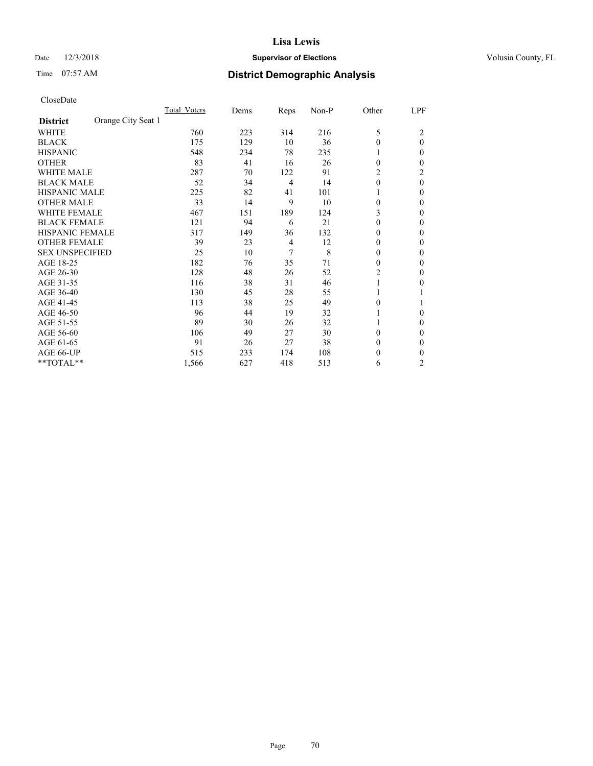# Date  $12/3/2018$  **Supervisor of Elections** Volusia County, FL

# Time 07:57 AM **District Demographic Analysis**

|                        |                    | Total Voters | Dems | Reps           | Non-P | Other          | LPF            |
|------------------------|--------------------|--------------|------|----------------|-------|----------------|----------------|
| <b>District</b>        | Orange City Seat 1 |              |      |                |       |                |                |
| WHITE                  |                    | 760          | 223  | 314            | 216   | 5              | 2              |
| <b>BLACK</b>           |                    | 175          | 129  | 10             | 36    | $\theta$       | $\theta$       |
| <b>HISPANIC</b>        |                    | 548          | 234  | 78             | 235   |                | $\Omega$       |
| <b>OTHER</b>           |                    | 83           | 41   | 16             | 26    | $\theta$       | 0              |
| <b>WHITE MALE</b>      |                    | 287          | 70   | 122            | 91    | 2              | 2              |
| <b>BLACK MALE</b>      |                    | 52           | 34   | $\overline{4}$ | 14    | $\mathbf{0}$   | $\theta$       |
| <b>HISPANIC MALE</b>   |                    | 225          | 82   | 41             | 101   |                | $\Omega$       |
| <b>OTHER MALE</b>      |                    | 33           | 14   | 9              | 10    | $\mathbf{0}$   | 0              |
| <b>WHITE FEMALE</b>    |                    | 467          | 151  | 189            | 124   | 3              | 0              |
| <b>BLACK FEMALE</b>    |                    | 121          | 94   | 6              | 21    | $\theta$       | $\Omega$       |
| <b>HISPANIC FEMALE</b> |                    | 317          | 149  | 36             | 132   | 0              | 0              |
| <b>OTHER FEMALE</b>    |                    | 39           | 23   | $\overline{4}$ | 12    | $\theta$       | 0              |
| <b>SEX UNSPECIFIED</b> |                    | 25           | 10   | 7              | 8     | $\theta$       | 0              |
| AGE 18-25              |                    | 182          | 76   | 35             | 71    | $\theta$       | 0              |
| AGE 26-30              |                    | 128          | 48   | 26             | 52    | $\overline{2}$ | $\theta$       |
| AGE 31-35              |                    | 116          | 38   | 31             | 46    |                | 0              |
| AGE 36-40              |                    | 130          | 45   | 28             | 55    |                |                |
| AGE 41-45              |                    | 113          | 38   | 25             | 49    | 0              |                |
| AGE 46-50              |                    | 96           | 44   | 19             | 32    |                | $\Omega$       |
| AGE 51-55              |                    | 89           | 30   | 26             | 32    |                | $\Omega$       |
| AGE 56-60              |                    | 106          | 49   | 27             | 30    | $\theta$       | 0              |
| AGE 61-65              |                    | 91           | 26   | 27             | 38    | $\mathbf{0}$   | $\Omega$       |
| AGE 66-UP              |                    | 515          | 233  | 174            | 108   | 0              | 0              |
| **TOTAL**              |                    | 1,566        | 627  | 418            | 513   | 6              | $\overline{c}$ |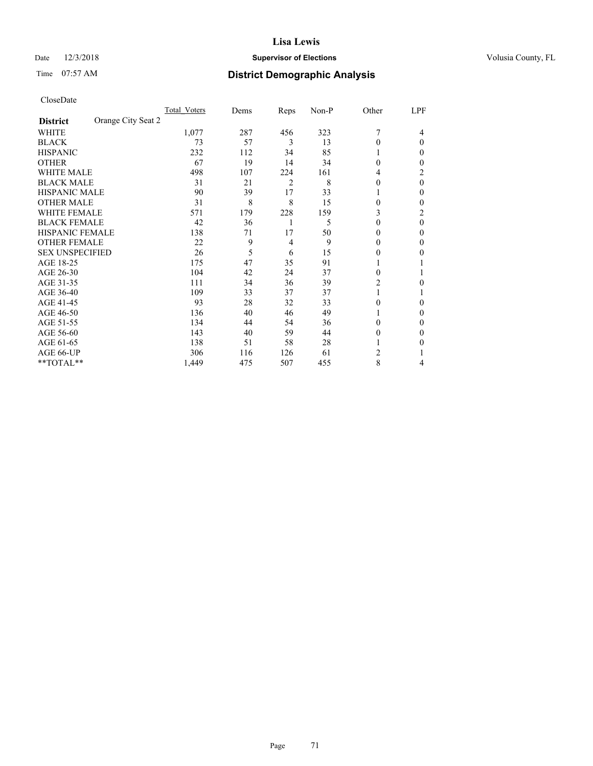# Date  $12/3/2018$  **Supervisor of Elections** Volusia County, FL

| CloseDate |
|-----------|
|-----------|

|                                       | Total Voters | Dems | Reps | Non-P | Other | LPF    |
|---------------------------------------|--------------|------|------|-------|-------|--------|
| Orange City Seat 2<br><b>District</b> |              |      |      |       |       |        |
| WHITE                                 | 1,077        | 287  | 456  | 323   |       | 4      |
| <b>BLACK</b>                          | 73           | 57   | 3    | 13    | 0     | 0      |
| <b>HISPANIC</b>                       | 232          | 112  | 34   | 85    |       | 0      |
| <b>OTHER</b>                          | 67           | 19   | 14   | 34    | 0     | 0      |
| <b>WHITE MALE</b>                     | 498          | 107  | 224  | 161   | 4     | 2      |
| <b>BLACK MALE</b>                     | 31           | 21   | 2    | 8     | 0     | 0      |
| <b>HISPANIC MALE</b>                  | 90           | 39   | 17   | 33    |       | $_{0}$ |
| OTHER MALE                            | 31           | 8    | 8    | 15    | 0     | 0      |
| <b>WHITE FEMALE</b>                   | 571          | 179  | 228  | 159   | 3     | 2      |
| <b>BLACK FEMALE</b>                   | 42           | 36   | 1    | 5     | 0     | 0      |
| <b>HISPANIC FEMALE</b>                | 138          | 71   | 17   | 50    | 0     | 0      |
| <b>OTHER FEMALE</b>                   | 22           | 9    | 4    | 9     | 0     | 0      |
| <b>SEX UNSPECIFIED</b>                | 26           | 5    | 6    | 15    | 0     | 0      |
| AGE 18-25                             | 175          | 47   | 35   | 91    |       |        |
| AGE 26-30                             | 104          | 42   | 24   | 37    | 0     |        |
| AGE 31-35                             | 111          | 34   | 36   | 39    | 2     | 0      |
| AGE 36-40                             | 109          | 33   | 37   | 37    |       |        |
| AGE 41-45                             | 93           | 28   | 32   | 33    | 0     | 0      |
| AGE 46-50                             | 136          | 40   | 46   | 49    |       | $_{0}$ |
| AGE 51-55                             | 134          | 44   | 54   | 36    | 0     | 0      |
| AGE 56-60                             | 143          | 40   | 59   | 44    | 0     | 0      |
| AGE 61-65                             | 138          | 51   | 58   | 28    |       | 0      |
| AGE 66-UP                             | 306          | 116  | 126  | 61    | 2     |        |
| **TOTAL**                             | 1,449        | 475  | 507  | 455   | 8     | 4      |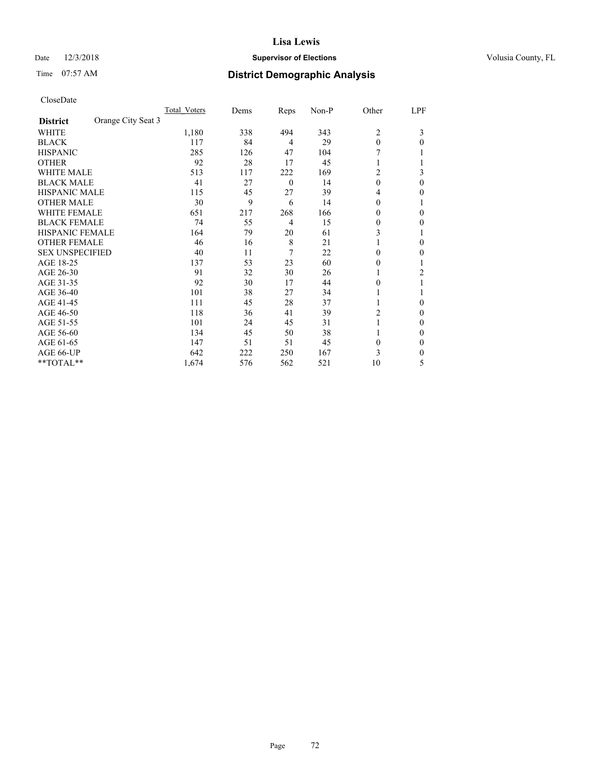# Date  $12/3/2018$  **Supervisor of Elections** Volusia County, FL

# Time 07:57 AM **District Demographic Analysis**

|                        | Total Voters       | Dems     | Reps           | Non-P | Other          | LPF |
|------------------------|--------------------|----------|----------------|-------|----------------|-----|
| <b>District</b>        | Orange City Seat 3 |          |                |       |                |     |
| WHITE                  | 1,180              | 338      | 494            | 343   | $\overline{2}$ | 3   |
| <b>BLACK</b>           | 117                | 84       | 4              | 29    | $\theta$       | 0   |
| <b>HISPANIC</b>        | 285                | 126      | 47             | 104   |                |     |
| <b>OTHER</b>           | 92                 | 28       | 17             | 45    |                |     |
| <b>WHITE MALE</b>      | 513                | 117      | 222            | 169   | 2              | 3   |
| <b>BLACK MALE</b>      | 41                 | 27       | $\overline{0}$ | 14    | $\theta$       | 0   |
| <b>HISPANIC MALE</b>   | 115                | 45       | 27             | 39    | 4              | 0   |
| <b>OTHER MALE</b>      | 30                 | 9        | 6              | 14    | 0              | 1   |
| WHITE FEMALE           | 651                | 217      | 268            | 166   | 0              | 0   |
| <b>BLACK FEMALE</b>    |                    | 74<br>55 | $\overline{4}$ | 15    | 0              | 0   |
| <b>HISPANIC FEMALE</b> | 164                | 79       | 20             | 61    | 3              |     |
| <b>OTHER FEMALE</b>    | 46                 | 16       | 8              | 21    |                | 0   |
| <b>SEX UNSPECIFIED</b> | 40                 | 11       | 7              | 22    | 0              | 0   |
| AGE 18-25              | 137                | 53       | 23             | 60    | $\theta$       |     |
| AGE 26-30              | 91                 | 32       | 30             | 26    | 1              | 2   |
| AGE 31-35              | 92                 | 30       | 17             | 44    | 0              |     |
| AGE 36-40              | 101                | 38       | 27             | 34    |                |     |
| AGE 41-45              | 111                | 45       | 28             | 37    |                | 0   |
| AGE 46-50              | 118                | 36       | 41             | 39    | 2              | 0   |
| AGE 51-55              | 101                | 24       | 45             | 31    |                | 0   |
| AGE 56-60              | 134                | 45       | 50             | 38    |                | 0   |
| AGE 61-65              | 147                | 51       | 51             | 45    | $\theta$       | 0   |
| AGE 66-UP              | 642                | 222      | 250            | 167   | 3              | 0   |
| **TOTAL**              | 1,674              | 576      | 562            | 521   | 10             | 5   |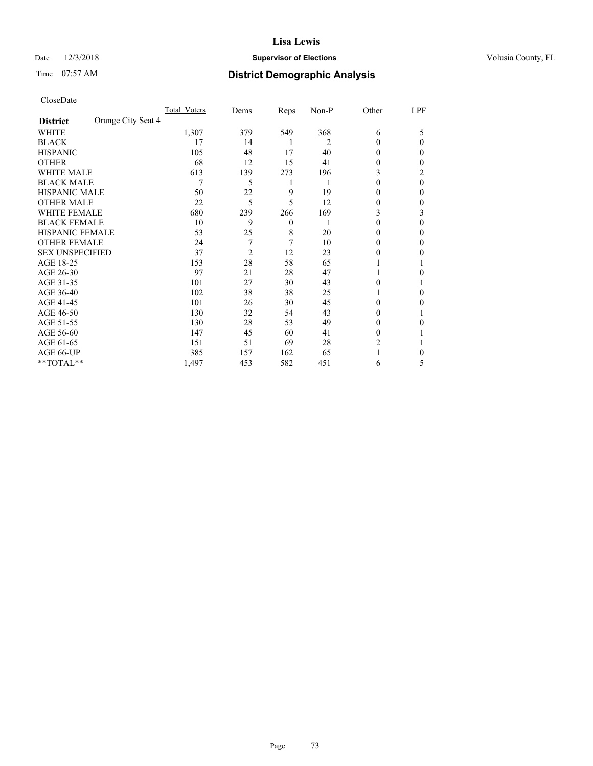# Date  $12/3/2018$  **Supervisor of Elections** Volusia County, FL

# Time 07:57 AM **District Demographic Analysis**

|                        | Total Voters       | Dems           | Reps             | Non-P | Other    | LPF      |
|------------------------|--------------------|----------------|------------------|-------|----------|----------|
| <b>District</b>        | Orange City Seat 4 |                |                  |       |          |          |
| WHITE                  | 1,307              | 379            | 549              | 368   | 6        | 5        |
| <b>BLACK</b>           | 17                 | 14             | 1                | 2     | $\theta$ | 0        |
| <b>HISPANIC</b>        | 105                | 48             | 17               | 40    | $\Omega$ | 0        |
| <b>OTHER</b>           | 68                 | 12             | 15               | 41    | 0        | 0        |
| <b>WHITE MALE</b>      | 613                | 139            | 273              | 196   | 3        | 2        |
| <b>BLACK MALE</b>      | 7                  | 5              | 1                | 1     | $\theta$ | $\theta$ |
| <b>HISPANIC MALE</b>   | 50                 | 22             | 9                | 19    | 0        | 0        |
| <b>OTHER MALE</b>      | 22                 | 5              | 5                | 12    | 0        | 0        |
| <b>WHITE FEMALE</b>    | 680                | 239            | 266              | 169   | 3        | 3        |
| <b>BLACK FEMALE</b>    | 10                 | 9              | $\boldsymbol{0}$ |       | $\theta$ | 0        |
| <b>HISPANIC FEMALE</b> | 53                 | 25             | 8                | 20    | $\theta$ | 0        |
| <b>OTHER FEMALE</b>    | 24                 | 7              | 7                | 10    | $\Omega$ | 0        |
| <b>SEX UNSPECIFIED</b> | 37                 | $\overline{2}$ | 12               | 23    | 0        | 0        |
| AGE 18-25              | 153                | 28             | 58               | 65    |          |          |
| AGE 26-30              | 97                 | 21             | 28               | 47    |          | 0        |
| AGE 31-35              | 101                | 27             | 30               | 43    | 0        |          |
| AGE 36-40              | 102                | 38             | 38               | 25    |          | 0        |
| AGE 41-45              | 101                | 26             | 30               | 45    | 0        | 0        |
| AGE 46-50              | 130                | 32             | 54               | 43    | $\Omega$ |          |
| AGE 51-55              | 130                | 28             | 53               | 49    | $\Omega$ | 0        |
| AGE 56-60              | 147                | 45             | 60               | 41    | $\theta$ |          |
| AGE 61-65              | 151                | 51             | 69               | 28    | 2        |          |
| AGE 66-UP              | 385                | 157            | 162              | 65    |          | 0        |
| **TOTAL**              | 1,497              | 453            | 582              | 451   | 6        | 5        |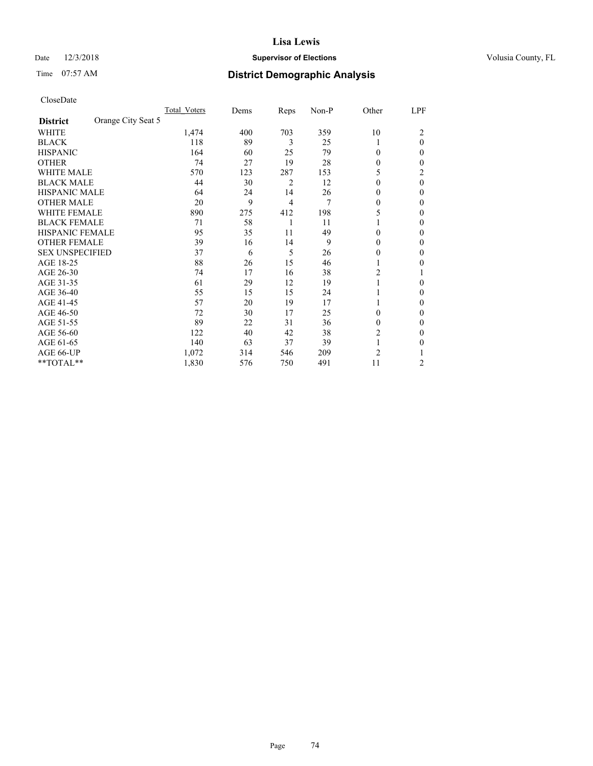# Date  $12/3/2018$  **Supervisor of Elections** Volusia County, FL

# Time 07:57 AM **District Demographic Analysis**

|                        |                    | Total Voters | Dems | Reps | Non-P | Other          | LPF      |
|------------------------|--------------------|--------------|------|------|-------|----------------|----------|
| <b>District</b>        | Orange City Seat 5 |              |      |      |       |                |          |
| WHITE                  |                    | 1,474        | 400  | 703  | 359   | 10             | 2        |
| <b>BLACK</b>           |                    | 118          | 89   | 3    | 25    | 1              | $\theta$ |
| <b>HISPANIC</b>        |                    | 164          | 60   | 25   | 79    | $\Omega$       | 0        |
| <b>OTHER</b>           |                    | 74           | 27   | 19   | 28    | $\theta$       | 0        |
| <b>WHITE MALE</b>      |                    | 570          | 123  | 287  | 153   | 5              | 2        |
| <b>BLACK MALE</b>      |                    | 44           | 30   | 2    | 12    | $\theta$       | $\theta$ |
| <b>HISPANIC MALE</b>   |                    | 64           | 24   | 14   | 26    | 0              | 0        |
| <b>OTHER MALE</b>      |                    | 20           | 9    | 4    | 7     | $\theta$       | 0        |
| WHITE FEMALE           |                    | 890          | 275  | 412  | 198   | 5              | 0        |
| <b>BLACK FEMALE</b>    |                    | 71           | 58   | 1    | 11    |                | 0        |
| <b>HISPANIC FEMALE</b> |                    | 95           | 35   | 11   | 49    | $\Omega$       | 0        |
| <b>OTHER FEMALE</b>    |                    | 39           | 16   | 14   | 9     | $\theta$       | 0        |
| <b>SEX UNSPECIFIED</b> |                    | 37           | 6    | 5    | 26    | 0              | 0        |
| AGE 18-25              |                    | 88           | 26   | 15   | 46    |                | 0        |
| AGE 26-30              |                    | 74           | 17   | 16   | 38    | 2              |          |
| AGE 31-35              |                    | 61           | 29   | 12   | 19    | 1              | 0        |
| AGE 36-40              |                    | 55           | 15   | 15   | 24    | 1              | 0        |
| AGE 41-45              |                    | 57           | 20   | 19   | 17    |                | 0        |
| AGE 46-50              |                    | 72           | 30   | 17   | 25    | $\theta$       | 0        |
| AGE 51-55              |                    | 89           | 22   | 31   | 36    | $\theta$       | 0        |
| AGE 56-60              |                    | 122          | 40   | 42   | 38    | 2              | 0        |
| AGE 61-65              |                    | 140          | 63   | 37   | 39    | 1              | 0        |
| AGE 66-UP              |                    | 1,072        | 314  | 546  | 209   | $\overline{c}$ |          |
| **TOTAL**              |                    | 1,830        | 576  | 750  | 491   | 11             | 2        |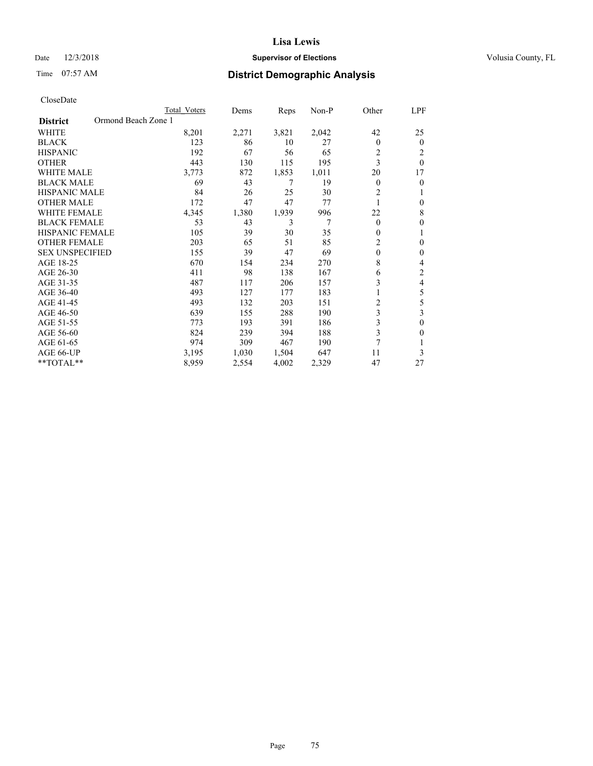# Date  $12/3/2018$  **Supervisor of Elections** Volusia County, FL

# Time 07:57 AM **District Demographic Analysis**

|                                        | Total Voters | Dems  | Reps  | Non-P | Other          | LPF            |
|----------------------------------------|--------------|-------|-------|-------|----------------|----------------|
| Ormond Beach Zone 1<br><b>District</b> |              |       |       |       |                |                |
| <b>WHITE</b>                           | 8,201        | 2,271 | 3,821 | 2,042 | 42             | 25             |
| <b>BLACK</b>                           | 123          | 86    | 10    | 27    | $\theta$       | $\theta$       |
| <b>HISPANIC</b>                        | 192          | 67    | 56    | 65    | $\overline{c}$ | 2              |
| <b>OTHER</b>                           | 443          | 130   | 115   | 195   | 3              | $\theta$       |
| <b>WHITE MALE</b>                      | 3,773        | 872   | 1,853 | 1,011 | 20             | 17             |
| <b>BLACK MALE</b>                      | 69           | 43    | 7     | 19    | $\mathbf{0}$   | $\theta$       |
| HISPANIC MALE                          | 84           | 26    | 25    | 30    | $\overline{2}$ |                |
| <b>OTHER MALE</b>                      | 172          | 47    | 47    | 77    |                | $\mathbf{0}$   |
| WHITE FEMALE                           | 4,345        | 1,380 | 1,939 | 996   | 22             | 8              |
| <b>BLACK FEMALE</b>                    | 53           | 43    | 3     | 7     | $\theta$       | $\theta$       |
| <b>HISPANIC FEMALE</b>                 | 105          | 39    | 30    | 35    | $\mathbf{0}$   | 1              |
| <b>OTHER FEMALE</b>                    | 203          | 65    | 51    | 85    | $\overline{c}$ | $\theta$       |
| <b>SEX UNSPECIFIED</b>                 | 155          | 39    | 47    | 69    | $\mathbf{0}$   | $\theta$       |
| AGE 18-25                              | 670          | 154   | 234   | 270   | 8              | 4              |
| AGE 26-30                              | 411          | 98    | 138   | 167   | 6              | $\overline{2}$ |
| AGE 31-35                              | 487          | 117   | 206   | 157   | 3              | 4              |
| AGE 36-40                              | 493          | 127   | 177   | 183   |                | 5              |
| AGE 41-45                              | 493          | 132   | 203   | 151   | $\overline{2}$ | 5              |
| AGE 46-50                              | 639          | 155   | 288   | 190   | 3              | 3              |
| AGE 51-55                              | 773          | 193   | 391   | 186   | 3              | $\theta$       |
| AGE 56-60                              | 824          | 239   | 394   | 188   | 3              | $\Omega$       |
| AGE 61-65                              | 974          | 309   | 467   | 190   | 7              |                |
| AGE 66-UP                              | 3,195        | 1,030 | 1,504 | 647   | 11             | 3              |
| $*$ TOTAL $*$                          | 8,959        | 2,554 | 4,002 | 2,329 | 47             | 27             |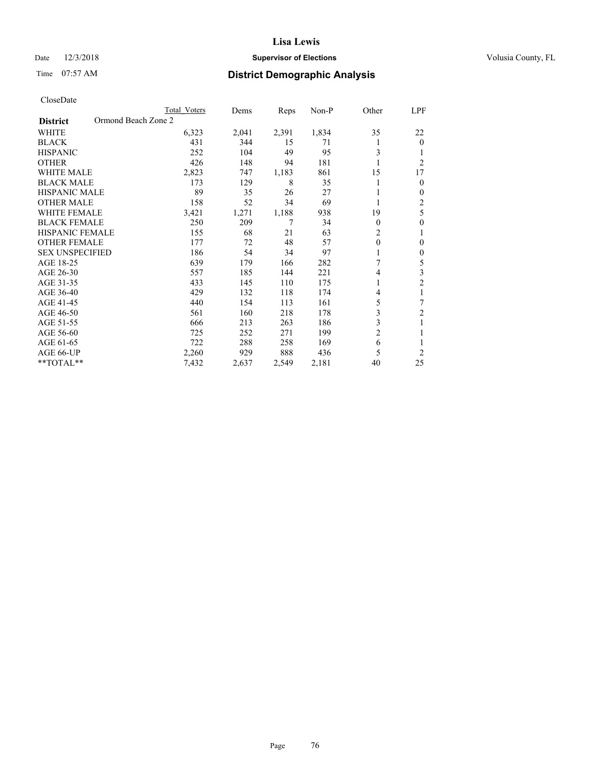# Date  $12/3/2018$  **Supervisor of Elections** Volusia County, FL

# Time 07:57 AM **District Demographic Analysis**

|                                        | Total Voters | Dems  | Reps  | Non-P | Other          | LPF            |
|----------------------------------------|--------------|-------|-------|-------|----------------|----------------|
| Ormond Beach Zone 2<br><b>District</b> |              |       |       |       |                |                |
| WHITE                                  | 6,323        | 2,041 | 2,391 | 1,834 | 35             | 22             |
| <b>BLACK</b>                           | 431          | 344   | 15    | 71    |                | $\mathbf{0}$   |
| <b>HISPANIC</b>                        | 252          | 104   | 49    | 95    | 3              | 1              |
| <b>OTHER</b>                           | 426          | 148   | 94    | 181   |                | $\overline{2}$ |
| <b>WHITE MALE</b>                      | 2,823        | 747   | 1,183 | 861   | 15             | 17             |
| <b>BLACK MALE</b>                      | 173          | 129   | 8     | 35    |                | $\mathbf{0}$   |
| <b>HISPANIC MALE</b>                   | 89           | 35    | 26    | 27    |                | $\mathbf{0}$   |
| <b>OTHER MALE</b>                      | 158          | 52    | 34    | 69    | 1              | 2              |
| <b>WHITE FEMALE</b>                    | 3,421        | 1,271 | 1,188 | 938   | 19             | 5              |
| <b>BLACK FEMALE</b>                    | 250          | 209   | 7     | 34    | $\theta$       | $\theta$       |
| <b>HISPANIC FEMALE</b>                 | 155          | 68    | 21    | 63    | $\overline{2}$ | 1              |
| <b>OTHER FEMALE</b>                    | 177          | 72    | 48    | 57    | $\theta$       | $\theta$       |
| <b>SEX UNSPECIFIED</b>                 | 186          | 54    | 34    | 97    |                | $\theta$       |
| AGE 18-25                              | 639          | 179   | 166   | 282   | 7              | 5              |
| AGE 26-30                              | 557          | 185   | 144   | 221   | 4              | 3              |
| AGE 31-35                              | 433          | 145   | 110   | 175   |                | $\overline{2}$ |
| AGE 36-40                              | 429          | 132   | 118   | 174   | 4              | 1              |
| AGE 41-45                              | 440          | 154   | 113   | 161   | 5              | 7              |
| AGE 46-50                              | 561          | 160   | 218   | 178   | 3              | 2              |
| AGE 51-55                              | 666          | 213   | 263   | 186   | 3              | 1              |
| AGE 56-60                              | 725          | 252   | 271   | 199   | $\overline{c}$ |                |
| AGE 61-65                              | 722          | 288   | 258   | 169   | 6              | 1              |
| AGE 66-UP                              | 2,260        | 929   | 888   | 436   | 5              | $\overline{2}$ |
| **TOTAL**                              | 7,432        | 2,637 | 2,549 | 2,181 | 40             | 25             |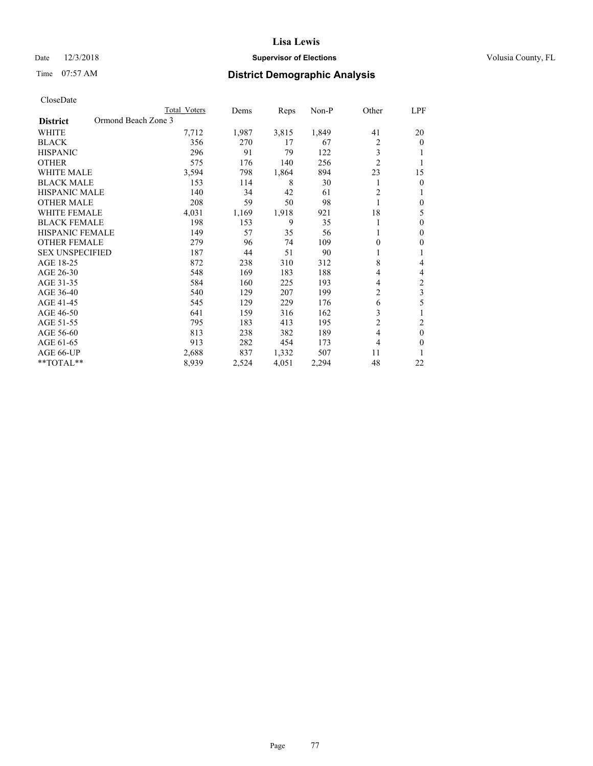# Date  $12/3/2018$  **Supervisor of Elections** Volusia County, FL

# Time 07:57 AM **District Demographic Analysis**

|                                        | Total Voters | Dems  | Reps  | $Non-P$ | Other          | LPF            |
|----------------------------------------|--------------|-------|-------|---------|----------------|----------------|
| Ormond Beach Zone 3<br><b>District</b> |              |       |       |         |                |                |
| WHITE                                  | 7,712        | 1,987 | 3,815 | 1,849   | 41             | 20             |
| <b>BLACK</b>                           | 356          | 270   | 17    | 67      | $\overline{c}$ | $\theta$       |
| <b>HISPANIC</b>                        | 296          | 91    | 79    | 122     | 3              |                |
| <b>OTHER</b>                           | 575          | 176   | 140   | 256     | $\overline{2}$ | 1              |
| <b>WHITE MALE</b>                      | 3,594        | 798   | 1,864 | 894     | 23             | 15             |
| <b>BLACK MALE</b>                      | 153          | 114   | 8     | 30      |                | $\theta$       |
| <b>HISPANIC MALE</b>                   | 140          | 34    | 42    | 61      | $\overline{2}$ | 1              |
| <b>OTHER MALE</b>                      | 208          | 59    | 50    | 98      | 1              | $\theta$       |
| <b>WHITE FEMALE</b>                    | 4,031        | 1,169 | 1,918 | 921     | 18             | 5              |
| <b>BLACK FEMALE</b>                    | 198          | 153   | 9     | 35      |                | $\theta$       |
| <b>HISPANIC FEMALE</b>                 | 149          | 57    | 35    | 56      | 1              | $\mathbf{0}$   |
| <b>OTHER FEMALE</b>                    | 279          | 96    | 74    | 109     | 0              | $\theta$       |
| <b>SEX UNSPECIFIED</b>                 | 187          | 44    | 51    | 90      |                | 1              |
| AGE 18-25                              | 872          | 238   | 310   | 312     | 8              | 4              |
| AGE 26-30                              | 548          | 169   | 183   | 188     | 4              | 4              |
| AGE 31-35                              | 584          | 160   | 225   | 193     | 4              | $\mathfrak{2}$ |
| AGE 36-40                              | 540          | 129   | 207   | 199     | $\overline{c}$ | 3              |
| AGE 41-45                              | 545          | 129   | 229   | 176     | 6              | 5              |
| AGE 46-50                              | 641          | 159   | 316   | 162     | 3              |                |
| AGE 51-55                              | 795          | 183   | 413   | 195     | $\overline{c}$ | 2              |
| AGE 56-60                              | 813          | 238   | 382   | 189     | $\overline{4}$ | $\theta$       |
| AGE 61-65                              | 913          | 282   | 454   | 173     | 4              | $\theta$       |
| AGE 66-UP                              | 2,688        | 837   | 1,332 | 507     | 11             | 1              |
| $*$ TOTAL $*$                          | 8,939        | 2,524 | 4,051 | 2,294   | 48             | 22             |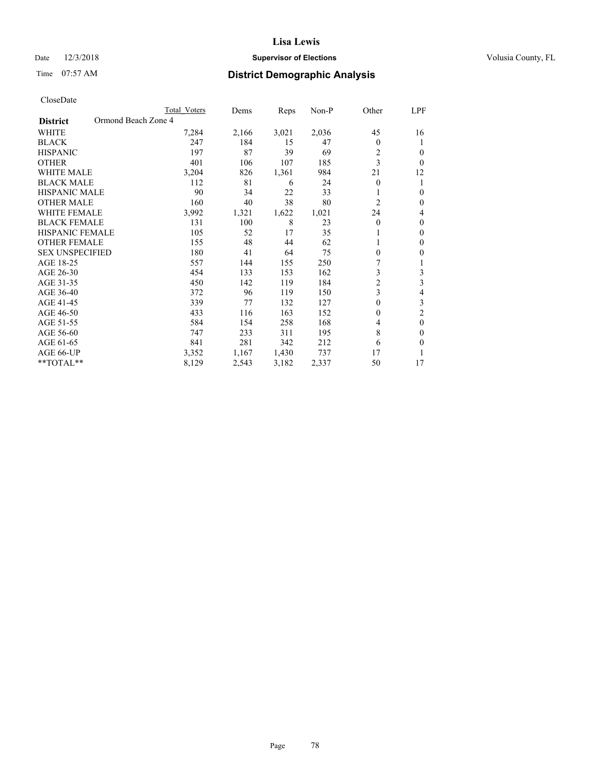# Date  $12/3/2018$  **Supervisor of Elections** Volusia County, FL

# Time 07:57 AM **District Demographic Analysis**

|                                        | Total Voters | Dems  | Reps  | Non-P | Other          | LPF            |
|----------------------------------------|--------------|-------|-------|-------|----------------|----------------|
| Ormond Beach Zone 4<br><b>District</b> |              |       |       |       |                |                |
| WHITE                                  | 7,284        | 2,166 | 3,021 | 2,036 | 45             | 16             |
| <b>BLACK</b>                           | 247          | 184   | 15    | 47    | $\Omega$       |                |
| <b>HISPANIC</b>                        | 197          | 87    | 39    | 69    | 2              | $\Omega$       |
| <b>OTHER</b>                           | 401          | 106   | 107   | 185   | 3              | $\Omega$       |
| <b>WHITE MALE</b>                      | 3,204        | 826   | 1,361 | 984   | 21             | 12             |
| <b>BLACK MALE</b>                      | 112          | 81    | 6     | 24    | $\theta$       |                |
| <b>HISPANIC MALE</b>                   | 90           | 34    | 22    | 33    |                | $\theta$       |
| <b>OTHER MALE</b>                      | 160          | 40    | 38    | 80    | $\overline{c}$ | $\mathbf{0}$   |
| <b>WHITE FEMALE</b>                    | 3,992        | 1,321 | 1,622 | 1,021 | 24             | 4              |
| <b>BLACK FEMALE</b>                    | 131          | 100   | 8     | 23    | $\mathbf{0}$   | $\mathbf{0}$   |
| <b>HISPANIC FEMALE</b>                 | 105          | 52    | 17    | 35    |                | $\theta$       |
| <b>OTHER FEMALE</b>                    | 155          | 48    | 44    | 62    |                | $\theta$       |
| <b>SEX UNSPECIFIED</b>                 | 180          | 41    | 64    | 75    | $\theta$       | $\theta$       |
| AGE 18-25                              | 557          | 144   | 155   | 250   | 7              |                |
| AGE 26-30                              | 454          | 133   | 153   | 162   | 3              | 3              |
| AGE 31-35                              | 450          | 142   | 119   | 184   | $\overline{c}$ | 3              |
| AGE 36-40                              | 372          | 96    | 119   | 150   | 3              | 4              |
| AGE 41-45                              | 339          | 77    | 132   | 127   | 0              | 3              |
| AGE 46-50                              | 433          | 116   | 163   | 152   | $\Omega$       | $\overline{2}$ |
| AGE 51-55                              | 584          | 154   | 258   | 168   | 4              | $\theta$       |
| AGE 56-60                              | 747          | 233   | 311   | 195   | 8              | $\theta$       |
| AGE 61-65                              | 841          | 281   | 342   | 212   | 6              | $\theta$       |
| AGE 66-UP                              | 3,352        | 1,167 | 1,430 | 737   | 17             |                |
| **TOTAL**                              | 8,129        | 2,543 | 3,182 | 2,337 | 50             | 17             |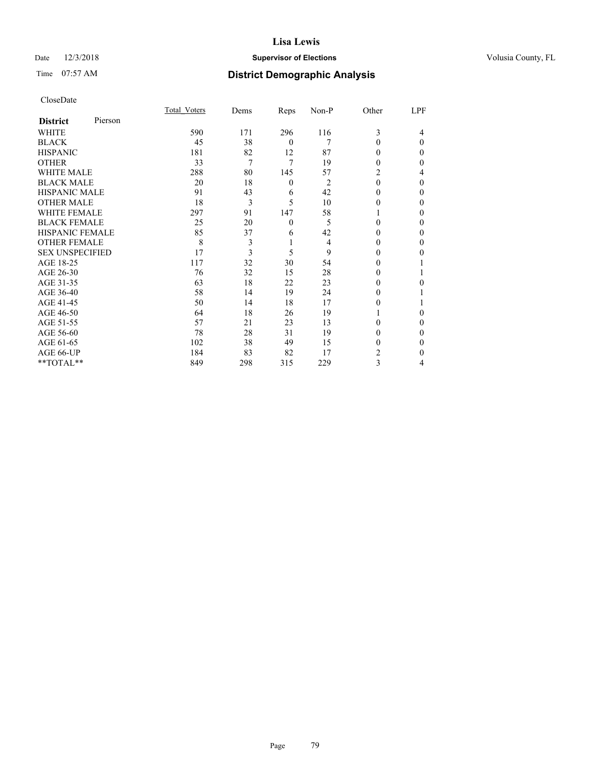# Date  $12/3/2018$  **Supervisor of Elections** Volusia County, FL

# Time 07:57 AM **District Demographic Analysis**

|                        |         | Total Voters | Dems | Reps             | Non-P | Other    | LPF      |
|------------------------|---------|--------------|------|------------------|-------|----------|----------|
| <b>District</b>        | Pierson |              |      |                  |       |          |          |
| WHITE                  |         | 590          | 171  | 296              | 116   | 3        | 4        |
| <b>BLACK</b>           |         | 45           | 38   | $\mathbf{0}$     | 7     | 0        | $\Omega$ |
| <b>HISPANIC</b>        |         | 181          | 82   | 12               | 87    | 0        | 0        |
| <b>OTHER</b>           |         | 33           | 7    | 7                | 19    | 0        | $\Omega$ |
| WHITE MALE             |         | 288          | 80   | 145              | 57    | 2        | 4        |
| <b>BLACK MALE</b>      |         | 20           | 18   | $\boldsymbol{0}$ | 2     | $\Omega$ | $\Omega$ |
| <b>HISPANIC MALE</b>   |         | 91           | 43   | 6                | 42    | 0        | 0        |
| <b>OTHER MALE</b>      |         | 18           | 3    | 5                | 10    | 0        | 0        |
| WHITE FEMALE           |         | 297          | 91   | 147              | 58    |          | 0        |
| <b>BLACK FEMALE</b>    |         | 25           | 20   | $\mathbf{0}$     | 5     | 0        | $\Omega$ |
| <b>HISPANIC FEMALE</b> |         | 85           | 37   | 6                | 42    | 0        | 0        |
| <b>OTHER FEMALE</b>    |         | 8            | 3    | 1                | 4     | $\Omega$ | 0        |
| <b>SEX UNSPECIFIED</b> |         | 17           | 3    | 5                | 9     | $\Omega$ | $_{0}$   |
| AGE 18-25              |         | 117          | 32   | 30               | 54    | 0        |          |
| AGE 26-30              |         | 76           | 32   | 15               | 28    | 0        |          |
| AGE 31-35              |         | 63           | 18   | 22               | 23    | 0        | 0        |
| AGE 36-40              |         | 58           | 14   | 19               | 24    | 0        |          |
| AGE 41-45              |         | 50           | 14   | 18               | 17    | 0        |          |
| AGE 46-50              |         | 64           | 18   | 26               | 19    |          | 0        |
| AGE 51-55              |         | 57           | 21   | 23               | 13    | 0        | $\theta$ |
| AGE 56-60              |         | 78           | 28   | 31               | 19    | 0        | $_{0}$   |
| AGE 61-65              |         | 102          | 38   | 49               | 15    | 0        | 0        |
| AGE 66-UP              |         | 184          | 83   | 82               | 17    | 2        | 0        |
| **TOTAL**              |         | 849          | 298  | 315              | 229   | 3        | 4        |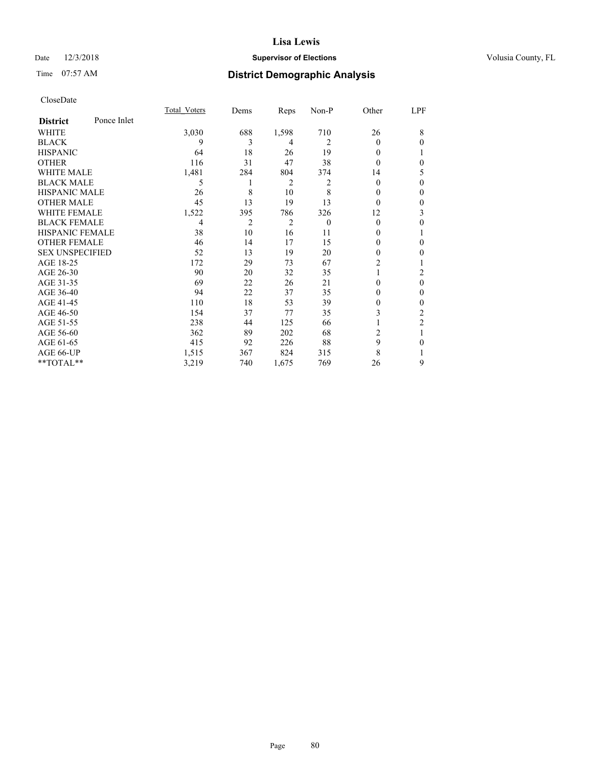# Date  $12/3/2018$  **Supervisor of Elections** Volusia County, FL

# Time 07:57 AM **District Demographic Analysis**

|                        |             | Total Voters   | Dems           | Reps           | Non-P    | Other    | LPF            |
|------------------------|-------------|----------------|----------------|----------------|----------|----------|----------------|
| <b>District</b>        | Ponce Inlet |                |                |                |          |          |                |
| WHITE                  |             | 3,030          | 688            | 1,598          | 710      | 26       | 8              |
| <b>BLACK</b>           |             | 9              | 3              | 4              | 2        | $\Omega$ | $\theta$       |
| <b>HISPANIC</b>        |             | 64             | 18             | 26             | 19       | 0        | 1              |
| <b>OTHER</b>           |             | 116            | 31             | 47             | 38       | 0        | $\theta$       |
| <b>WHITE MALE</b>      |             | 1,481          | 284            | 804            | 374      | 14       | 5              |
| <b>BLACK MALE</b>      |             | 5              | 1              | 2              | 2        | $\theta$ | $\theta$       |
| <b>HISPANIC MALE</b>   |             | 26             | 8              | 10             | 8        | $_{0}$   | $\theta$       |
| <b>OTHER MALE</b>      |             | 45             | 13             | 19             | 13       | $\theta$ | $\mathbf{0}$   |
| <b>WHITE FEMALE</b>    |             | 1,522          | 395            | 786            | 326      | 12       | 3              |
| <b>BLACK FEMALE</b>    |             | $\overline{4}$ | $\overline{2}$ | $\overline{2}$ | $\theta$ | $\theta$ | $\theta$       |
| <b>HISPANIC FEMALE</b> |             | 38             | 10             | 16             | 11       | 0        | 1              |
| <b>OTHER FEMALE</b>    |             | 46             | 14             | 17             | 15       | 0        | $\theta$       |
| <b>SEX UNSPECIFIED</b> |             | 52             | 13             | 19             | 20       | 0        | $\mathbf{0}$   |
| AGE 18-25              |             | 172            | 29             | 73             | 67       | 2        | 1              |
| AGE 26-30              |             | 90             | 20             | 32             | 35       |          | 2              |
| AGE 31-35              |             | 69             | 22             | 26             | 21       | 0        | $\theta$       |
| AGE 36-40              |             | 94             | 22             | 37             | 35       | 0        | $\mathbf{0}$   |
| AGE 41-45              |             | 110            | 18             | 53             | 39       | 0        | $\theta$       |
| AGE 46-50              |             | 154            | 37             | 77             | 35       | 3        | 2              |
| AGE 51-55              |             | 238            | 44             | 125            | 66       |          | $\overline{2}$ |
| AGE 56-60              |             | 362            | 89             | 202            | 68       | 2        | 1              |
| AGE 61-65              |             | 415            | 92             | 226            | 88       | 9        | $\mathbf{0}$   |
| AGE 66-UP              |             | 1,515          | 367            | 824            | 315      | 8        |                |
| **TOTAL**              |             | 3,219          | 740            | 1,675          | 769      | 26       | 9              |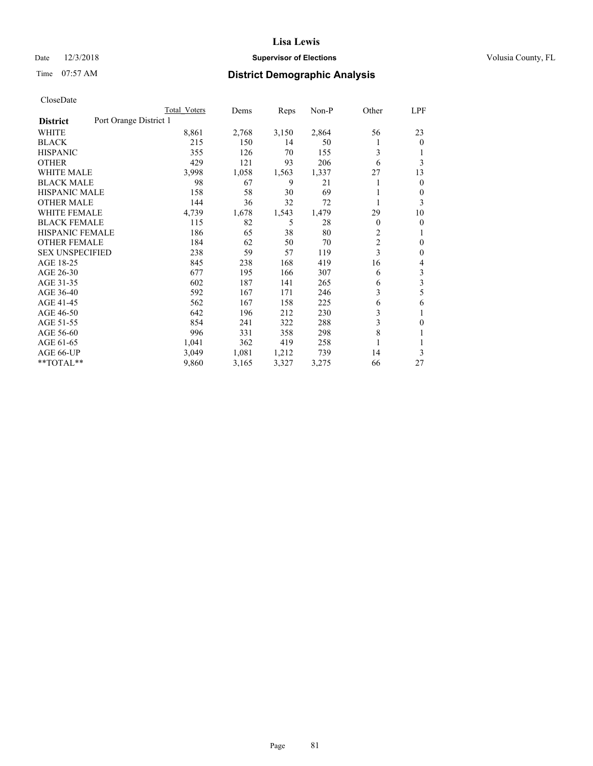# Date  $12/3/2018$  **Supervisor of Elections** Volusia County, FL

# Time 07:57 AM **District Demographic Analysis**

|                                           | Total Voters | Dems  | Reps  | $Non-P$ | Other          | <u>LPF</u>     |
|-------------------------------------------|--------------|-------|-------|---------|----------------|----------------|
| Port Orange District 1<br><b>District</b> |              |       |       |         |                |                |
| WHITE                                     | 8,861        | 2,768 | 3,150 | 2,864   | 56             | 23             |
| <b>BLACK</b>                              | 215          | 150   | 14    | 50      | 1              | $\theta$       |
| <b>HISPANIC</b>                           | 355          | 126   | 70    | 155     | 3              | 1              |
| <b>OTHER</b>                              | 429          | 121   | 93    | 206     | 6              | 3              |
| <b>WHITE MALE</b>                         | 3,998        | 1,058 | 1,563 | 1,337   | 27             | 13             |
| <b>BLACK MALE</b>                         | 98           | 67    | 9     | 21      | 1              | $\overline{0}$ |
| <b>HISPANIC MALE</b>                      | 158          | 58    | 30    | 69      |                | $\theta$       |
| <b>OTHER MALE</b>                         | 144          | 36    | 32    | 72      |                | 3              |
| <b>WHITE FEMALE</b>                       | 4,739        | 1,678 | 1,543 | 1,479   | 29             | 10             |
| <b>BLACK FEMALE</b>                       | 115          | 82    | 5     | 28      | 0              | $\theta$       |
| <b>HISPANIC FEMALE</b>                    | 186          | 65    | 38    | 80      | 2              | 1              |
| <b>OTHER FEMALE</b>                       | 184          | 62    | 50    | 70      | $\overline{c}$ | $\theta$       |
| <b>SEX UNSPECIFIED</b>                    | 238          | 59    | 57    | 119     | 3              | $\mathbf{0}$   |
| AGE 18-25                                 | 845          | 238   | 168   | 419     | 16             | 4              |
| AGE 26-30                                 | 677          | 195   | 166   | 307     | 6              | 3              |
| AGE 31-35                                 | 602          | 187   | 141   | 265     | 6              | 3              |
| AGE 36-40                                 | 592          | 167   | 171   | 246     | 3              | 5              |
| AGE 41-45                                 | 562          | 167   | 158   | 225     | 6              | 6              |
| AGE 46-50                                 | 642          | 196   | 212   | 230     | 3              | 1              |
| AGE 51-55                                 | 854          | 241   | 322   | 288     | 3              | $\mathbf{0}$   |
| AGE 56-60                                 | 996          | 331   | 358   | 298     | 8              | 1              |
| AGE 61-65                                 | 1,041        | 362   | 419   | 258     | 1              | 1              |
| AGE 66-UP                                 | 3,049        | 1,081 | 1,212 | 739     | 14             | 3              |
| **TOTAL**                                 | 9,860        | 3,165 | 3,327 | 3,275   | 66             | 27             |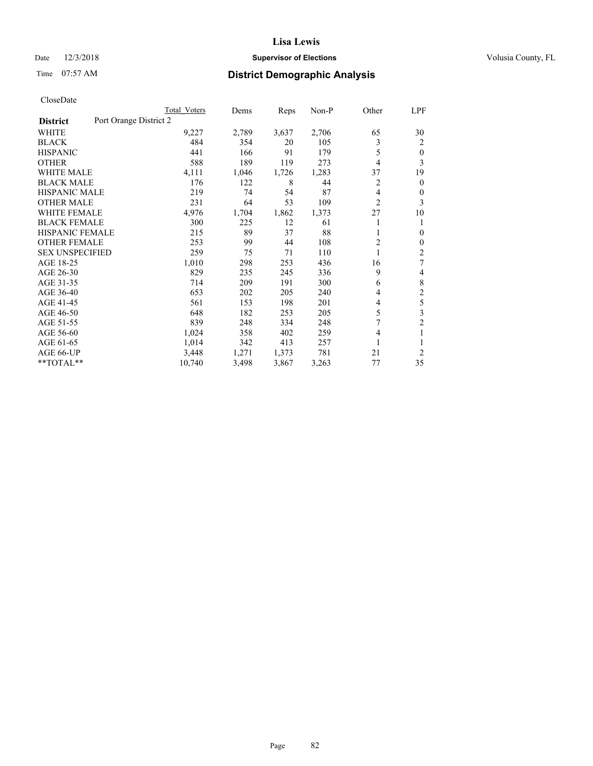# Date  $12/3/2018$  **Supervisor of Elections** Volusia County, FL

# Time 07:57 AM **District Demographic Analysis**

|                                           | Total Voters | Dems  | Reps  | $Non-P$ | Other          | LPF            |
|-------------------------------------------|--------------|-------|-------|---------|----------------|----------------|
| Port Orange District 2<br><b>District</b> |              |       |       |         |                |                |
| WHITE                                     | 9,227        | 2,789 | 3,637 | 2,706   | 65             | 30             |
| <b>BLACK</b>                              | 484          | 354   | 20    | 105     | 3              | 2              |
| <b>HISPANIC</b>                           | 441          | 166   | 91    | 179     | 5              | $\theta$       |
| <b>OTHER</b>                              | 588          | 189   | 119   | 273     | 4              | 3              |
| <b>WHITE MALE</b>                         | 4,111        | 1,046 | 1,726 | 1,283   | 37             | 19             |
| <b>BLACK MALE</b>                         | 176          | 122   | 8     | 44      | 2              | $\theta$       |
| <b>HISPANIC MALE</b>                      | 219          | 74    | 54    | 87      | 4              | 0              |
| <b>OTHER MALE</b>                         | 231          | 64    | 53    | 109     | $\overline{c}$ | 3              |
| <b>WHITE FEMALE</b>                       | 4,976        | 1,704 | 1,862 | 1,373   | 27             | 10             |
| <b>BLACK FEMALE</b>                       | 300          | 225   | 12    | 61      |                | 1              |
| <b>HISPANIC FEMALE</b>                    | 215          | 89    | 37    | 88      | 1              | $\Omega$       |
| <b>OTHER FEMALE</b>                       | 253          | 99    | 44    | 108     | 2              | $\mathbf{0}$   |
| <b>SEX UNSPECIFIED</b>                    | 259          | 75    | 71    | 110     |                | $\overline{2}$ |
| AGE 18-25                                 | 1,010        | 298   | 253   | 436     | 16             | 7              |
| AGE 26-30                                 | 829          | 235   | 245   | 336     | 9              | 4              |
| AGE 31-35                                 | 714          | 209   | 191   | 300     | 6              | 8              |
| AGE 36-40                                 | 653          | 202   | 205   | 240     | 4              | $\overline{2}$ |
| AGE 41-45                                 | 561          | 153   | 198   | 201     | 4              | 5              |
| AGE 46-50                                 | 648          | 182   | 253   | 205     | 5              | 3              |
| AGE 51-55                                 | 839          | 248   | 334   | 248     | 7              | $\overline{c}$ |
| AGE 56-60                                 | 1,024        | 358   | 402   | 259     | 4              | 1              |
| AGE 61-65                                 | 1,014        | 342   | 413   | 257     |                |                |
| AGE 66-UP                                 | 3,448        | 1,271 | 1,373 | 781     | 21             | $\overline{2}$ |
| **TOTAL**                                 | 10,740       | 3,498 | 3,867 | 3,263   | 77             | 35             |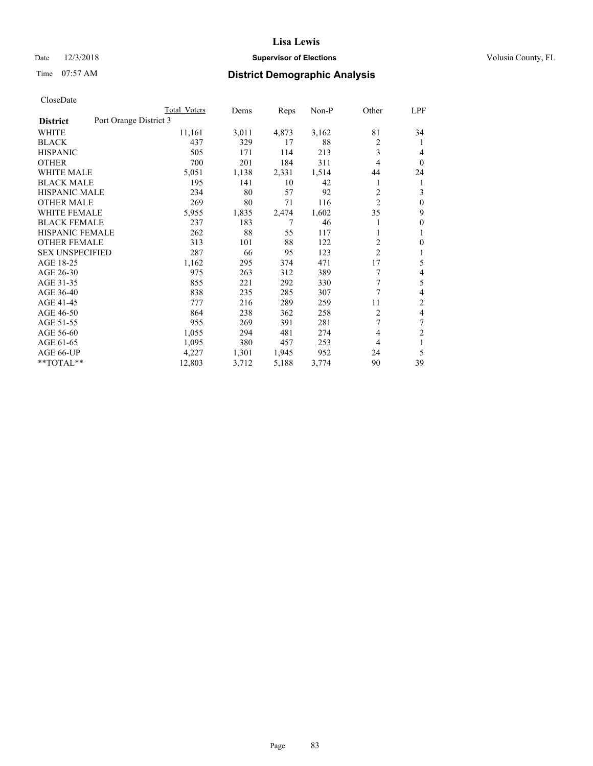# Date  $12/3/2018$  **Supervisor of Elections** Volusia County, FL

# Time 07:57 AM **District Demographic Analysis**

|                                           | Total Voters | Dems  | Reps  | $Non-P$ | Other          | LPF            |
|-------------------------------------------|--------------|-------|-------|---------|----------------|----------------|
| Port Orange District 3<br><b>District</b> |              |       |       |         |                |                |
| WHITE                                     | 11,161       | 3,011 | 4,873 | 3,162   | 81             | 34             |
| <b>BLACK</b>                              | 437          | 329   | 17    | 88      | $\overline{c}$ | 1              |
| <b>HISPANIC</b>                           | 505          | 171   | 114   | 213     | 3              | 4              |
| <b>OTHER</b>                              | 700          | 201   | 184   | 311     | 4              | $\theta$       |
| <b>WHITE MALE</b>                         | 5,051        | 1,138 | 2,331 | 1,514   | 44             | 24             |
| <b>BLACK MALE</b>                         | 195          | 141   | 10    | 42      | 1              | 1              |
| <b>HISPANIC MALE</b>                      | 234          | 80    | 57    | 92      | 2              | 3              |
| <b>OTHER MALE</b>                         | 269          | 80    | 71    | 116     | $\overline{c}$ | $\theta$       |
| <b>WHITE FEMALE</b>                       | 5,955        | 1,835 | 2,474 | 1,602   | 35             | 9              |
| <b>BLACK FEMALE</b>                       | 237          | 183   | 7     | 46      |                | $\mathbf{0}$   |
| <b>HISPANIC FEMALE</b>                    | 262          | 88    | 55    | 117     | 1              | 1              |
| <b>OTHER FEMALE</b>                       | 313          | 101   | 88    | 122     | 2              | 0              |
| <b>SEX UNSPECIFIED</b>                    | 287          | 66    | 95    | 123     | $\overline{c}$ | 1              |
| AGE 18-25                                 | 1,162        | 295   | 374   | 471     | 17             | 5              |
| AGE 26-30                                 | 975          | 263   | 312   | 389     | 7              | 4              |
| AGE 31-35                                 | 855          | 221   | 292   | 330     | 7              | 5              |
| AGE 36-40                                 | 838          | 235   | 285   | 307     | 7              | 4              |
| AGE 41-45                                 | 777          | 216   | 289   | 259     | 11             | $\overline{2}$ |
| AGE 46-50                                 | 864          | 238   | 362   | 258     | 2              | 4              |
| AGE 51-55                                 | 955          | 269   | 391   | 281     | 7              | 7              |
| AGE 56-60                                 | 1,055        | 294   | 481   | 274     | 4              | $\overline{c}$ |
| AGE 61-65                                 | 1,095        | 380   | 457   | 253     | 4              | 1              |
| AGE 66-UP                                 | 4,227        | 1,301 | 1,945 | 952     | 24             | 5              |
| **TOTAL**                                 | 12,803       | 3,712 | 5,188 | 3,774   | 90             | 39             |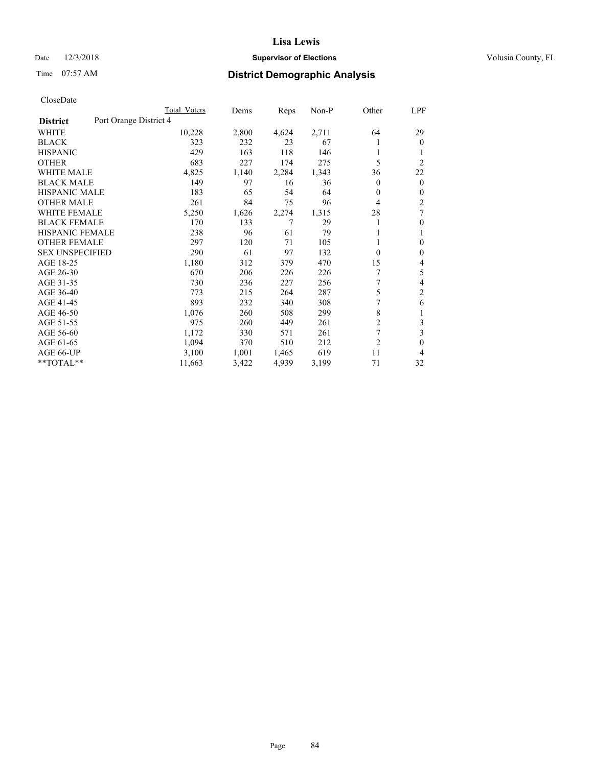# Date  $12/3/2018$  **Supervisor of Elections** Volusia County, FL

# Time 07:57 AM **District Demographic Analysis**

|                        | Total Voters           | Dems  | Reps  | Non-P | Other          | LPF            |
|------------------------|------------------------|-------|-------|-------|----------------|----------------|
| <b>District</b>        | Port Orange District 4 |       |       |       |                |                |
| WHITE                  | 10,228                 | 2,800 | 4,624 | 2,711 | 64             | 29             |
| <b>BLACK</b>           | 323                    | 232   | 23    | 67    |                | $\overline{0}$ |
| <b>HISPANIC</b>        | 429                    | 163   | 118   | 146   |                |                |
| <b>OTHER</b>           | 683                    | 227   | 174   | 275   | 5              | $\overline{2}$ |
| <b>WHITE MALE</b>      | 4,825                  | 1,140 | 2,284 | 1,343 | 36             | 22             |
| <b>BLACK MALE</b>      | 149                    | 97    | 16    | 36    | 0              | $\mathbf{0}$   |
| <b>HISPANIC MALE</b>   | 183                    | 65    | 54    | 64    | 0              | $\mathbf{0}$   |
| <b>OTHER MALE</b>      | 261                    | 84    | 75    | 96    | 4              | $\overline{c}$ |
| <b>WHITE FEMALE</b>    | 5,250                  | 1,626 | 2,274 | 1,315 | 28             | 7              |
| <b>BLACK FEMALE</b>    | 170                    | 133   | 7     | 29    |                | $\mathbf{0}$   |
| <b>HISPANIC FEMALE</b> | 238                    | 96    | 61    | 79    |                | 1              |
| <b>OTHER FEMALE</b>    | 297                    | 120   | 71    | 105   |                | 0              |
| <b>SEX UNSPECIFIED</b> | 290                    | 61    | 97    | 132   | 0              | $\theta$       |
| AGE 18-25              | 1,180                  | 312   | 379   | 470   | 15             | 4              |
| AGE 26-30              | 670                    | 206   | 226   | 226   | 7              | 5              |
| AGE 31-35              | 730                    | 236   | 227   | 256   | 7              | 4              |
| AGE 36-40              | 773                    | 215   | 264   | 287   | 5              | 2              |
| AGE 41-45              | 893                    | 232   | 340   | 308   | 7              | 6              |
| AGE 46-50              | 1,076                  | 260   | 508   | 299   | 8              | 1              |
| AGE 51-55              | 975                    | 260   | 449   | 261   | $\overline{c}$ | 3              |
| AGE 56-60              | 1,172                  | 330   | 571   | 261   | 7              | 3              |
| AGE 61-65              | 1,094                  | 370   | 510   | 212   | $\overline{2}$ | 0              |
| AGE 66-UP              | 3,100                  | 1,001 | 1,465 | 619   | 11             | 4              |
| $*$ TOTAL $*$          | 11,663                 | 3,422 | 4,939 | 3,199 | 71             | 32             |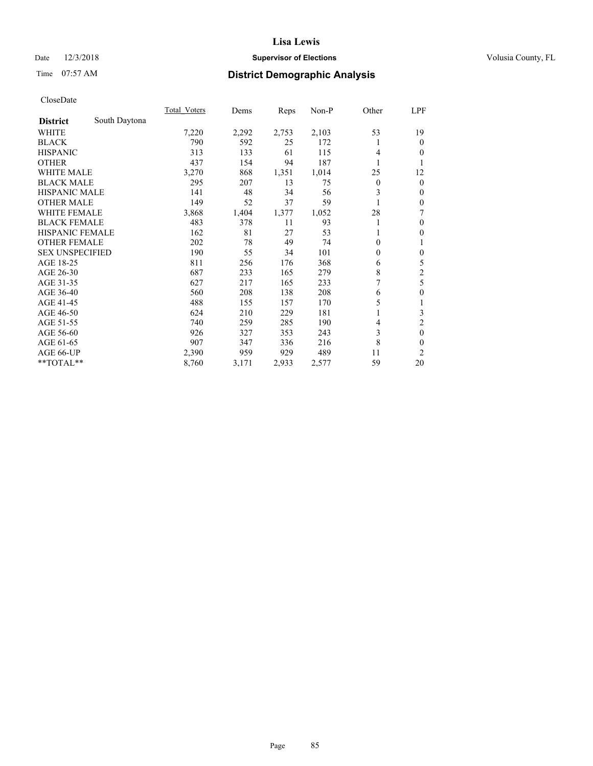# Date  $12/3/2018$  **Supervisor of Elections** Volusia County, FL

# Time 07:57 AM **District Demographic Analysis**

|                        |               | <b>Total Voters</b> | Dems  | Reps  | Non-P | Other          | LPF              |
|------------------------|---------------|---------------------|-------|-------|-------|----------------|------------------|
| <b>District</b>        | South Daytona |                     |       |       |       |                |                  |
| WHITE                  |               | 7,220               | 2,292 | 2,753 | 2,103 | 53             | 19               |
| <b>BLACK</b>           |               | 790                 | 592   | 25    | 172   |                | $\theta$         |
| <b>HISPANIC</b>        |               | 313                 | 133   | 61    | 115   | 4              | 0                |
| <b>OTHER</b>           |               | 437                 | 154   | 94    | 187   |                | 1                |
| WHITE MALE             |               | 3,270               | 868   | 1,351 | 1,014 | 25             | 12               |
| <b>BLACK MALE</b>      |               | 295                 | 207   | 13    | 75    | $\overline{0}$ | $\mathbf{0}$     |
| <b>HISPANIC MALE</b>   |               | 141                 | 48    | 34    | 56    | 3              | $\mathbf{0}$     |
| <b>OTHER MALE</b>      |               | 149                 | 52    | 37    | 59    |                | $\mathbf{0}$     |
| <b>WHITE FEMALE</b>    |               | 3,868               | 1,404 | 1,377 | 1,052 | 28             | 7                |
| <b>BLACK FEMALE</b>    |               | 483                 | 378   | 11    | 93    | 1              | $\theta$         |
| <b>HISPANIC FEMALE</b> |               | 162                 | 81    | 27    | 53    |                | 0                |
| <b>OTHER FEMALE</b>    |               | 202                 | 78    | 49    | 74    | 0              | 1                |
| <b>SEX UNSPECIFIED</b> |               | 190                 | 55    | 34    | 101   | $\theta$       | $\theta$         |
| AGE 18-25              |               | 811                 | 256   | 176   | 368   | 6              | 5                |
| AGE 26-30              |               | 687                 | 233   | 165   | 279   | 8              | $\overline{c}$   |
| AGE 31-35              |               | 627                 | 217   | 165   | 233   | 7              | 5                |
| AGE 36-40              |               | 560                 | 208   | 138   | 208   | 6              | $\boldsymbol{0}$ |
| AGE 41-45              |               | 488                 | 155   | 157   | 170   | 5              | 1                |
| AGE 46-50              |               | 624                 | 210   | 229   | 181   |                | 3                |
| AGE 51-55              |               | 740                 | 259   | 285   | 190   | 4              | $\overline{2}$   |
| AGE 56-60              |               | 926                 | 327   | 353   | 243   | 3              | $\theta$         |
| AGE 61-65              |               | 907                 | 347   | 336   | 216   | 8              | $\boldsymbol{0}$ |
| AGE 66-UP              |               | 2,390               | 959   | 929   | 489   | 11             | $\overline{c}$   |
| **TOTAL**              |               | 8,760               | 3,171 | 2,933 | 2,577 | 59             | 20               |